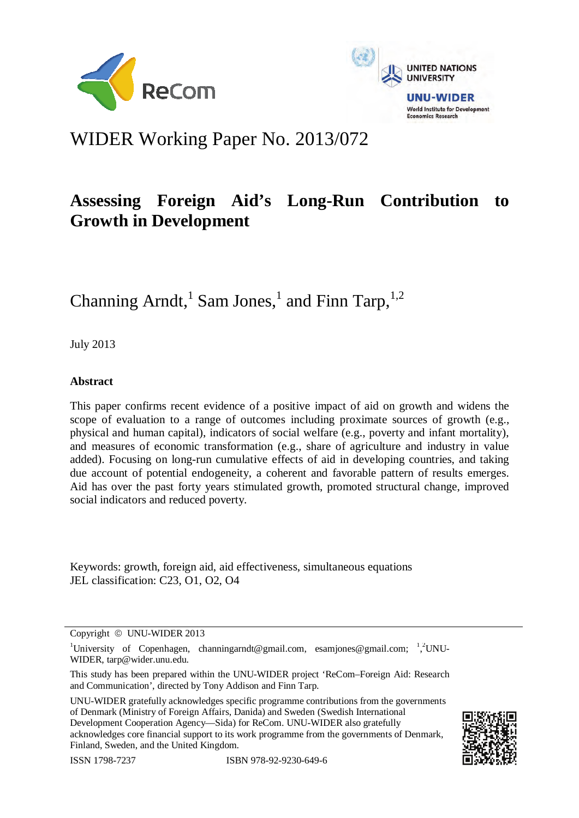



# WIDER Working Paper No. 2013/072

# **Assessing Foreign Aid's Long-Run Contribution to Growth in Development**

Channing Arndt,<sup>1</sup> Sam Jones,<sup>1</sup> and Finn Tarp,<sup>1,2</sup>

July 2013

# **Abstract**

This paper confirms recent evidence of a positive impact of aid on growth and widens the scope of evaluation to a range of outcomes including proximate sources of growth (e.g., physical and human capital), indicators of social welfare (e.g., poverty and infant mortality), and measures of economic transformation (e.g., share of agriculture and industry in value added). Focusing on long-run cumulative effects of aid in developing countries, and taking due account of potential endogeneity, a coherent and favorable pattern of results emerges. Aid has over the past forty years stimulated growth, promoted structural change, improved social indicators and reduced poverty.

Keywords: growth, foreign aid, aid effectiveness, simultaneous equations JEL classification: C23, O1, O2, O4

Copyright © UNU-WIDER 2013

UNU-WIDER gratefully acknowledges specific programme contributions from the governments of Denmark (Ministry of Foreign Affairs, Danida) and Sweden (Swedish International Development Cooperation Agency—Sida) for ReCom. UNU-WIDER also gratefully acknowledges core financial support to its work programme from the governments of Denmark, Finland, Sweden, and the United Kingdom.



<sup>&</sup>lt;sup>1</sup>University of Copenhagen, channingarndt@gmail.com, esamjones@gmail.com; <sup>1</sup><sup>2</sup>UNU-WIDER, tarp@wider.unu.edu.

This study has been prepared within the UNU-WIDER project 'ReCom–Foreign Aid: Research and Communication', directed by Tony Addison and Finn Tarp.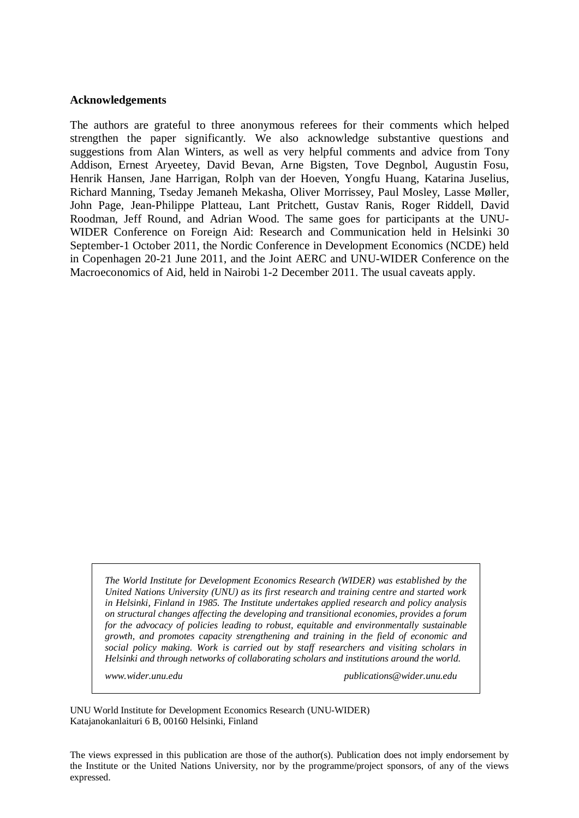### **Acknowledgements**

The authors are grateful to three anonymous referees for their comments which helped strengthen the paper significantly. We also acknowledge substantive questions and suggestions from Alan Winters, as well as very helpful comments and advice from Tony Addison, Ernest Aryeetey, David Bevan, Arne Bigsten, Tove Degnbol, Augustin Fosu, Henrik Hansen, Jane Harrigan, Rolph van der Hoeven, Yongfu Huang, Katarina Juselius, Richard Manning, Tseday Jemaneh Mekasha, Oliver Morrissey, Paul Mosley, Lasse Møller, John Page, Jean-Philippe Platteau, Lant Pritchett, Gustav Ranis, Roger Riddell, David Roodman, Jeff Round, and Adrian Wood. The same goes for participants at the UNU-WIDER Conference on Foreign Aid: Research and Communication held in Helsinki 30 September-1 October 2011, the Nordic Conference in Development Economics (NCDE) held in Copenhagen 20-21 June 2011, and the Joint AERC and UNU-WIDER Conference on the Macroeconomics of Aid, held in Nairobi 1-2 December 2011. The usual caveats apply.

*The World Institute for Development Economics Research (WIDER) was established by the United Nations University (UNU) as its first research and training centre and started work in Helsinki, Finland in 1985. The Institute undertakes applied research and policy analysis on structural changes affecting the developing and transitional economies, provides a forum for the advocacy of policies leading to robust, equitable and environmentally sustainable growth, and promotes capacity strengthening and training in the field of economic and social policy making. Work is carried out by staff researchers and visiting scholars in Helsinki and through networks of collaborating scholars and institutions around the world.* 

*www.wider.unu.edu publications@wider.unu.edu* 

UNU World Institute for Development Economics Research (UNU-WIDER) Katajanokanlaituri 6 B, 00160 Helsinki, Finland

The views expressed in this publication are those of the author(s). Publication does not imply endorsement by the Institute or the United Nations University, nor by the programme/project sponsors, of any of the views expressed.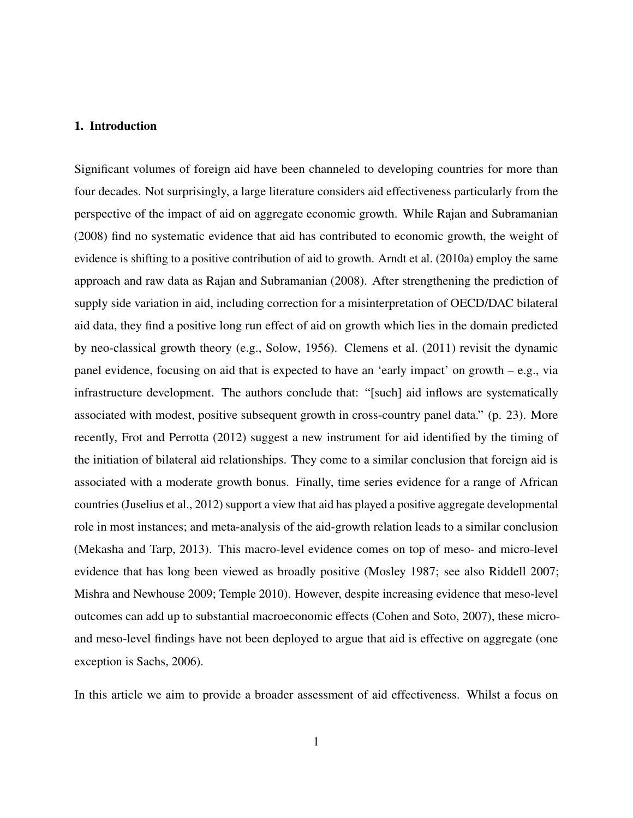#### 1. Introduction

Significant volumes of foreign aid have been channeled to developing countries for more than four decades. Not surprisingly, a large literature considers aid effectiveness particularly from the perspective of the impact of aid on aggregate economic growth. While [Rajan and Subramanian](#page-31-0) [\(2008\)](#page-31-0) find no systematic evidence that aid has contributed to economic growth, the weight of evidence is shifting to a positive contribution of aid to growth. [Arndt et al.](#page-29-0) [\(2010a\)](#page-29-0) employ the same approach and raw data as [Rajan and Subramanian](#page-31-0) [\(2008\)](#page-31-0). After strengthening the prediction of supply side variation in aid, including correction for a misinterpretation of OECD/DAC bilateral aid data, they find a positive long run effect of aid on growth which lies in the domain predicted by neo-classical growth theory (e.g., [Solow, 1956\)](#page-32-0). [Clemens et al.](#page-30-0) [\(2011\)](#page-30-0) revisit the dynamic panel evidence, focusing on aid that is expected to have an 'early impact' on growth – e.g., via infrastructure development. The authors conclude that: "[such] aid inflows are systematically associated with modest, positive subsequent growth in cross-country panel data." (p. 23). More recently, [Frot and Perrotta](#page-30-1) [\(2012\)](#page-30-1) suggest a new instrument for aid identified by the timing of the initiation of bilateral aid relationships. They come to a similar conclusion that foreign aid is associated with a moderate growth bonus. Finally, time series evidence for a range of African countries [\(Juselius et al., 2012\)](#page-30-2) support a view that aid has played a positive aggregate developmental role in most instances; and meta-analysis of the aid-growth relation leads to a similar conclusion [\(Mekasha and Tarp, 2013\)](#page-31-1). This macro-level evidence comes on top of meso- and micro-level evidence that has long been viewed as broadly positive [\(Mosley 1987;](#page-31-2) see also [Riddell 2007;](#page-31-3) [Mishra and Newhouse 2009;](#page-31-4) [Temple 2010\)](#page-32-1). However, despite increasing evidence that meso-level outcomes can add up to substantial macroeconomic effects [\(Cohen and Soto, 2007\)](#page-30-3), these microand meso-level findings have not been deployed to argue that aid is effective on aggregate (one exception is [Sachs, 2006\)](#page-31-5).

In this article we aim to provide a broader assessment of aid effectiveness. Whilst a focus on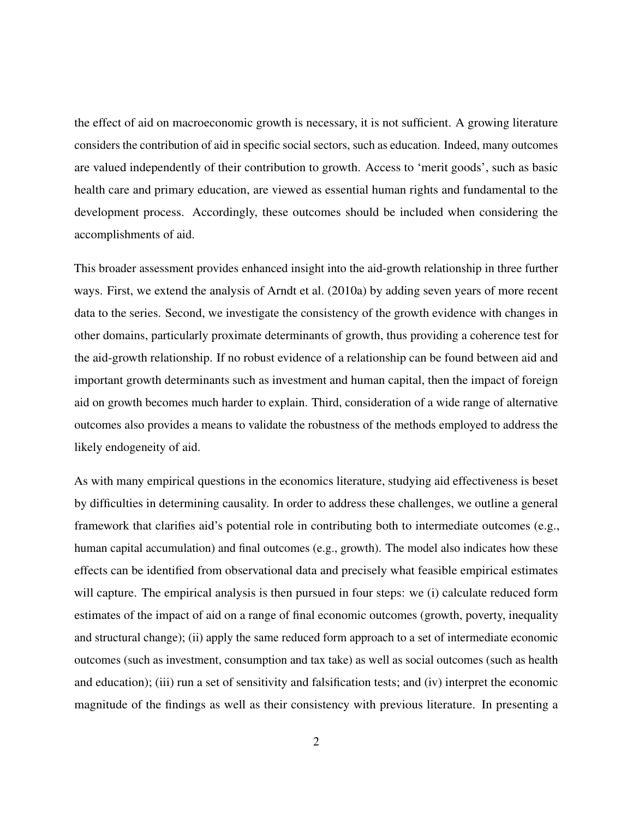the effect of aid on macroeconomic growth is necessary, it is not sufficient. A growing literature considers the contribution of aid in specific social sectors, such as education. Indeed, many outcomes are valued independently of their contribution to growth. Access to 'merit goods', such as basic health care and primary education, are viewed as essential human rights and fundamental to the development process. Accordingly, these outcomes should be included when considering the accomplishments of aid.

This broader assessment provides enhanced insight into the aid-growth relationship in three further ways. First, we extend the analysis of [Arndt et al.](#page-29-0) [\(2010a\)](#page-29-0) by adding seven years of more recent data to the series. Second, we investigate the consistency of the growth evidence with changes in other domains, particularly proximate determinants of growth, thus providing a coherence test for the aid-growth relationship. If no robust evidence of a relationship can be found between aid and important growth determinants such as investment and human capital, then the impact of foreign aid on growth becomes much harder to explain. Third, consideration of a wide range of alternative outcomes also provides a means to validate the robustness of the methods employed to address the likely endogeneity of aid.

As with many empirical questions in the economics literature, studying aid effectiveness is beset by difficulties in determining causality. In order to address these challenges, we outline a general framework that clarifies aid's potential role in contributing both to intermediate outcomes (e.g., human capital accumulation) and final outcomes (e.g., growth). The model also indicates how these effects can be identified from observational data and precisely what feasible empirical estimates will capture. The empirical analysis is then pursued in four steps: we (i) calculate reduced form estimates of the impact of aid on a range of final economic outcomes (growth, poverty, inequality and structural change); (ii) apply the same reduced form approach to a set of intermediate economic outcomes (such as investment, consumption and tax take) as well as social outcomes (such as health and education); (iii) run a set of sensitivity and falsification tests; and (iv) interpret the economic magnitude of the findings as well as their consistency with previous literature. In presenting a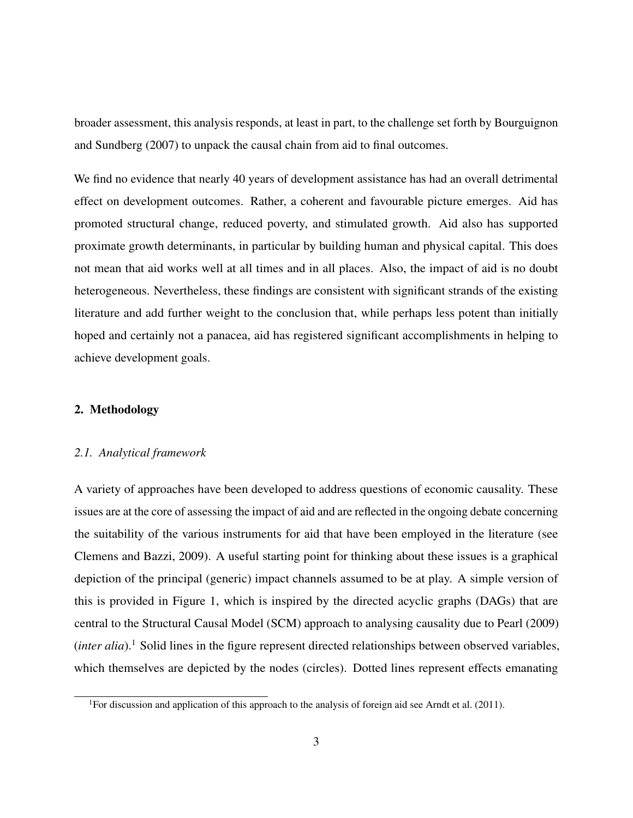broader assessment, this analysis responds, at least in part, to the challenge set forth by [Bourguignon](#page-30-4) [and Sundberg](#page-30-4) [\(2007\)](#page-30-4) to unpack the causal chain from aid to final outcomes.

We find no evidence that nearly 40 years of development assistance has had an overall detrimental effect on development outcomes. Rather, a coherent and favourable picture emerges. Aid has promoted structural change, reduced poverty, and stimulated growth. Aid also has supported proximate growth determinants, in particular by building human and physical capital. This does not mean that aid works well at all times and in all places. Also, the impact of aid is no doubt heterogeneous. Nevertheless, these findings are consistent with significant strands of the existing literature and add further weight to the conclusion that, while perhaps less potent than initially hoped and certainly not a panacea, aid has registered significant accomplishments in helping to achieve development goals.

### <span id="page-4-0"></span>2. Methodology

#### *2.1. Analytical framework*

A variety of approaches have been developed to address questions of economic causality. These issues are at the core of assessing the impact of aid and are reflected in the ongoing debate concerning the suitability of the various instruments for aid that have been employed in the literature (see [Clemens and Bazzi, 2009\)](#page-30-5). A useful starting point for thinking about these issues is a graphical depiction of the principal (generic) impact channels assumed to be at play. A simple version of this is provided in Figure [1,](#page-7-0) which is inspired by the directed acyclic graphs (DAGs) that are central to the Structural Causal Model (SCM) approach to analysing causality due to [Pearl](#page-31-6) [\(2009\)](#page-31-6)  *Solid lines in the figure represent directed relationships between observed variables,* which themselves are depicted by the nodes (circles). Dotted lines represent effects emanating

<sup>&</sup>lt;sup>1</sup>For discussion and application of this approach to the analysis of foreign aid see [Arndt et al.](#page-29-1) [\(2011\)](#page-29-1).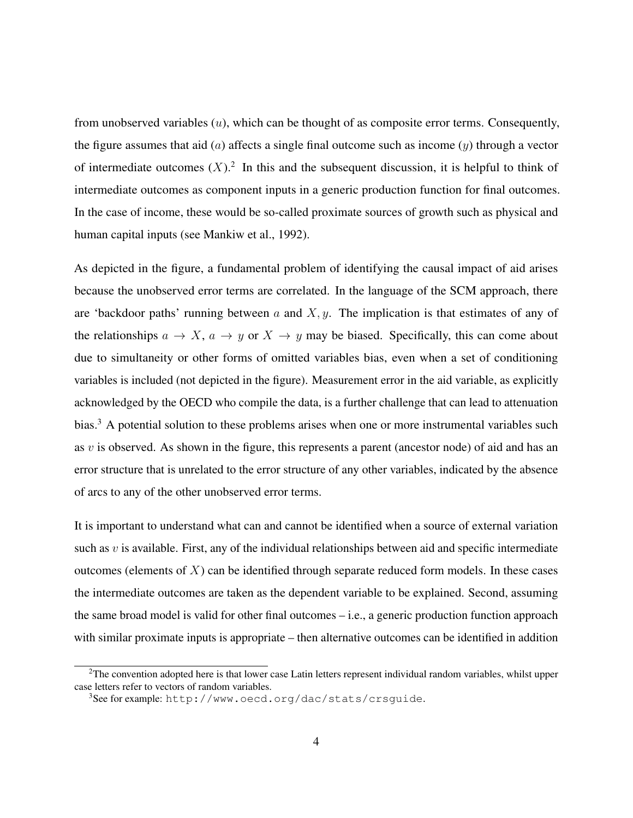from unobserved variables  $(u)$ , which can be thought of as composite error terms. Consequently, the figure assumes that aid  $(a)$  affects a single final outcome such as income  $(y)$  through a vector of intermediate outcomes  $(X)$ .<sup>2</sup> In this and the subsequent discussion, it is helpful to think of intermediate outcomes as component inputs in a generic production function for final outcomes. In the case of income, these would be so-called proximate sources of growth such as physical and human capital inputs (see [Mankiw et al., 1992\)](#page-31-7).

As depicted in the figure, a fundamental problem of identifying the causal impact of aid arises because the unobserved error terms are correlated. In the language of the SCM approach, there are 'backdoor paths' running between a and  $X, y$ . The implication is that estimates of any of the relationships  $a \to X$ ,  $a \to y$  or  $X \to y$  may be biased. Specifically, this can come about due to simultaneity or other forms of omitted variables bias, even when a set of conditioning variables is included (not depicted in the figure). Measurement error in the aid variable, as explicitly acknowledged by the OECD who compile the data, is a further challenge that can lead to attenuation bias.<sup>3</sup> A potential solution to these problems arises when one or more instrumental variables such as  $v$  is observed. As shown in the figure, this represents a parent (ancestor node) of aid and has an error structure that is unrelated to the error structure of any other variables, indicated by the absence of arcs to any of the other unobserved error terms.

It is important to understand what can and cannot be identified when a source of external variation such as  $v$  is available. First, any of the individual relationships between aid and specific intermediate outcomes (elements of  $X$ ) can be identified through separate reduced form models. In these cases the intermediate outcomes are taken as the dependent variable to be explained. Second, assuming the same broad model is valid for other final outcomes – i.e., a generic production function approach with similar proximate inputs is appropriate – then alternative outcomes can be identified in addition

 $2$ The convention adopted here is that lower case Latin letters represent individual random variables, whilst upper case letters refer to vectors of random variables.

<sup>3</sup>See for example: <http://www.oecd.org/dac/stats/crsguide>.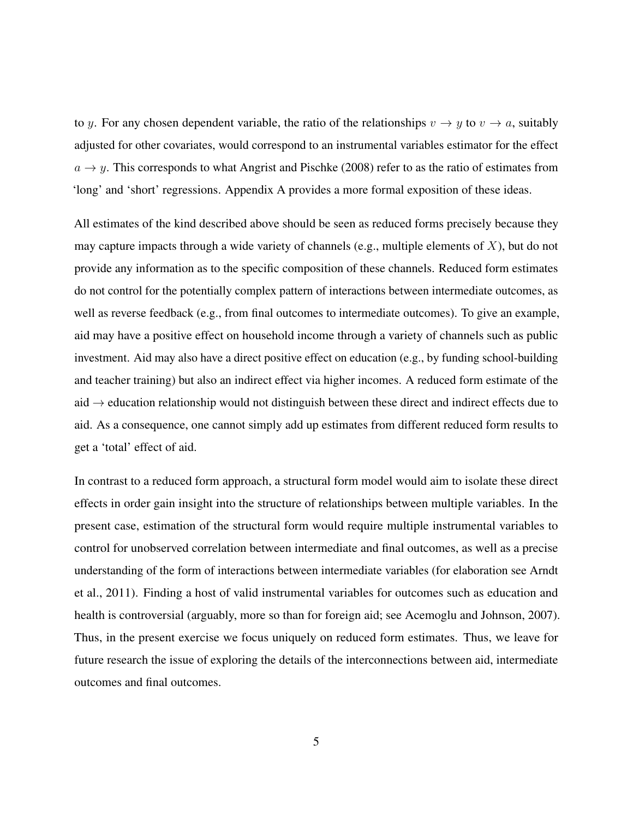to y. For any chosen dependent variable, the ratio of the relationships  $v \to y$  to  $v \to a$ , suitably adjusted for other covariates, would correspond to an instrumental variables estimator for the effect  $a \rightarrow y$ . This corresponds to what [Angrist and Pischke](#page-29-2) [\(2008\)](#page-29-2) refer to as the ratio of estimates from 'long' and 'short' regressions. Appendix A provides a more formal exposition of these ideas.

All estimates of the kind described above should be seen as reduced forms precisely because they may capture impacts through a wide variety of channels (e.g., multiple elements of  $X$ ), but do not provide any information as to the specific composition of these channels. Reduced form estimates do not control for the potentially complex pattern of interactions between intermediate outcomes, as well as reverse feedback (e.g., from final outcomes to intermediate outcomes). To give an example, aid may have a positive effect on household income through a variety of channels such as public investment. Aid may also have a direct positive effect on education (e.g., by funding school-building and teacher training) but also an indirect effect via higher incomes. A reduced form estimate of the aid  $\rightarrow$  education relationship would not distinguish between these direct and indirect effects due to aid. As a consequence, one cannot simply add up estimates from different reduced form results to get a 'total' effect of aid.

In contrast to a reduced form approach, a structural form model would aim to isolate these direct effects in order gain insight into the structure of relationships between multiple variables. In the present case, estimation of the structural form would require multiple instrumental variables to control for unobserved correlation between intermediate and final outcomes, as well as a precise understanding of the form of interactions between intermediate variables (for elaboration see [Arndt](#page-29-1) [et al., 2011\)](#page-29-1). Finding a host of valid instrumental variables for outcomes such as education and health is controversial (arguably, more so than for foreign aid; see [Acemoglu and Johnson, 2007\)](#page-29-3). Thus, in the present exercise we focus uniquely on reduced form estimates. Thus, we leave for future research the issue of exploring the details of the interconnections between aid, intermediate outcomes and final outcomes.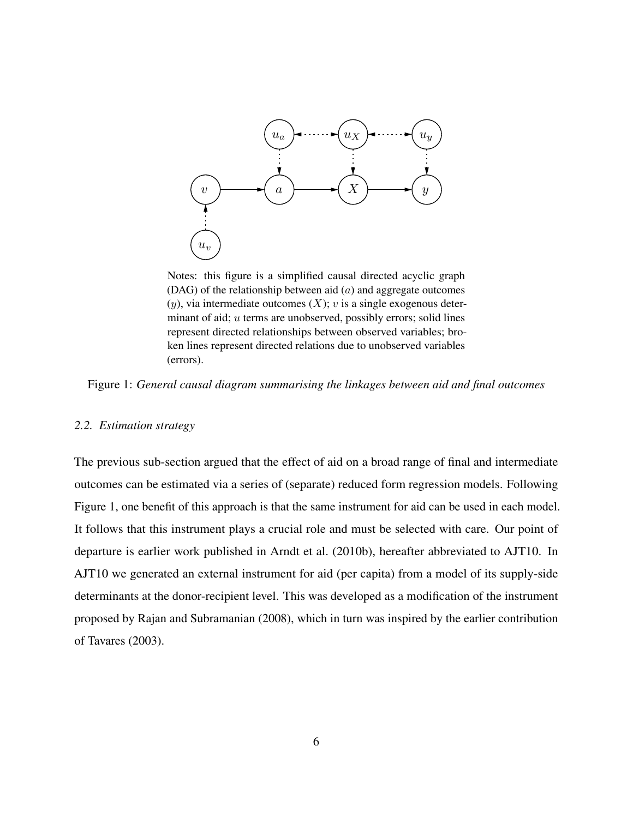<span id="page-7-0"></span>

Notes: this figure is a simplified causal directed acyclic graph (DAG) of the relationship between aid  $(a)$  and aggregate outcomes  $(y)$ , via intermediate outcomes  $(X)$ ; v is a single exogenous determinant of aid; u terms are unobserved, possibly errors; solid lines represent directed relationships between observed variables; broken lines represent directed relations due to unobserved variables (errors).

Figure 1: *General causal diagram summarising the linkages between aid and final outcomes*

#### *2.2. Estimation strategy*

The previous sub-section argued that the effect of aid on a broad range of final and intermediate outcomes can be estimated via a series of (separate) reduced form regression models. Following Figure [1,](#page-7-0) one benefit of this approach is that the same instrument for aid can be used in each model. It follows that this instrument plays a crucial role and must be selected with care. Our point of departure is earlier work published in [Arndt et al.](#page-29-4) [\(2010b\)](#page-29-4), hereafter abbreviated to AJT10. In AJT10 we generated an external instrument for aid (per capita) from a model of its supply-side determinants at the donor-recipient level. This was developed as a modification of the instrument proposed by [Rajan and Subramanian](#page-31-0) [\(2008\)](#page-31-0), which in turn was inspired by the earlier contribution of [Tavares](#page-32-2) [\(2003\)](#page-32-2).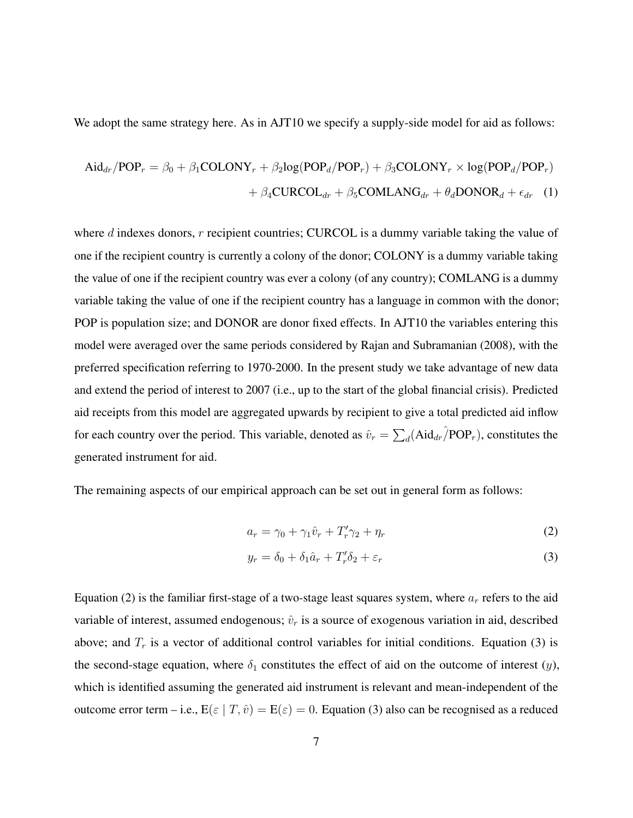We adopt the same strategy here. As in AJT10 we specify a supply-side model for aid as follows:

<span id="page-8-2"></span>
$$
Aid_{dr}/POP_r = \beta_0 + \beta_1 \text{COLONY}_r + \beta_2 \log(\text{POP}_d/\text{POP}_r) + \beta_3 \text{COLONY}_r \times \log(\text{POP}_d/\text{POP}_r) + \beta_4 \text{CURCOL}_{dr} + \beta_5 \text{COMLAND}_{dr} + \theta_d \text{DONOR}_d + \epsilon_{dr} \quad (1)
$$

where  $d$  indexes donors,  $r$  recipient countries; CURCOL is a dummy variable taking the value of one if the recipient country is currently a colony of the donor; COLONY is a dummy variable taking the value of one if the recipient country was ever a colony (of any country); COMLANG is a dummy variable taking the value of one if the recipient country has a language in common with the donor; POP is population size; and DONOR are donor fixed effects. In AJT10 the variables entering this model were averaged over the same periods considered by [Rajan and Subramanian](#page-31-0) [\(2008\)](#page-31-0), with the preferred specification referring to 1970-2000. In the present study we take advantage of new data and extend the period of interest to 2007 (i.e., up to the start of the global financial crisis). Predicted aid receipts from this model are aggregated upwards by recipient to give a total predicted aid inflow for each country over the period. This variable, denoted as  $\hat{v}_r = \sum_d (\text{Aid}_{dr}/POP_r)$ , constitutes the generated instrument for aid.

The remaining aspects of our empirical approach can be set out in general form as follows:

<span id="page-8-1"></span><span id="page-8-0"></span>
$$
a_r = \gamma_0 + \gamma_1 \hat{v}_r + T'_r \gamma_2 + \eta_r \tag{2}
$$

$$
y_r = \delta_0 + \delta_1 \hat{a}_r + T'_r \delta_2 + \varepsilon_r \tag{3}
$$

Equation [\(2\)](#page-8-0) is the familiar first-stage of a two-stage least squares system, where  $a_r$  refers to the aid variable of interest, assumed endogenous;  $\hat{v}_r$  is a source of exogenous variation in aid, described above; and  $T_r$  is a vector of additional control variables for initial conditions. Equation [\(3\)](#page-8-1) is the second-stage equation, where  $\delta_1$  constitutes the effect of aid on the outcome of interest  $(y)$ , which is identified assuming the generated aid instrument is relevant and mean-independent of the outcome error term – i.e.,  $E(\varepsilon | T, \hat{v}) = E(\varepsilon) = 0$ . Equation [\(3\)](#page-8-1) also can be recognised as a reduced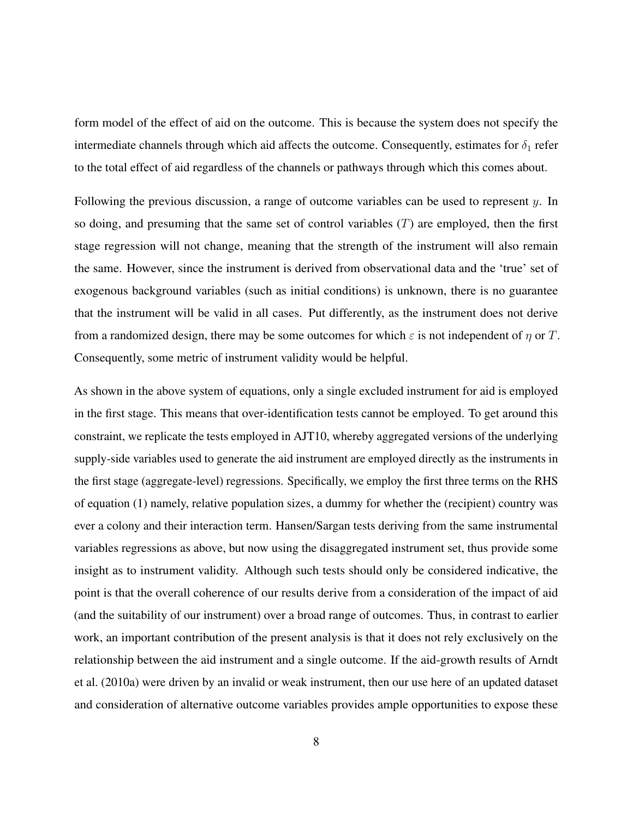form model of the effect of aid on the outcome. This is because the system does not specify the intermediate channels through which aid affects the outcome. Consequently, estimates for  $\delta_1$  refer to the total effect of aid regardless of the channels or pathways through which this comes about.

Following the previous discussion, a range of outcome variables can be used to represent  $y$ . In so doing, and presuming that the same set of control variables  $(T)$  are employed, then the first stage regression will not change, meaning that the strength of the instrument will also remain the same. However, since the instrument is derived from observational data and the 'true' set of exogenous background variables (such as initial conditions) is unknown, there is no guarantee that the instrument will be valid in all cases. Put differently, as the instrument does not derive from a randomized design, there may be some outcomes for which  $\varepsilon$  is not independent of  $\eta$  or T. Consequently, some metric of instrument validity would be helpful.

As shown in the above system of equations, only a single excluded instrument for aid is employed in the first stage. This means that over-identification tests cannot be employed. To get around this constraint, we replicate the tests employed in AJT10, whereby aggregated versions of the underlying supply-side variables used to generate the aid instrument are employed directly as the instruments in the first stage (aggregate-level) regressions. Specifically, we employ the first three terms on the RHS of equation [\(1\)](#page-8-2) namely, relative population sizes, a dummy for whether the (recipient) country was ever a colony and their interaction term. Hansen/Sargan tests deriving from the same instrumental variables regressions as above, but now using the disaggregated instrument set, thus provide some insight as to instrument validity. Although such tests should only be considered indicative, the point is that the overall coherence of our results derive from a consideration of the impact of aid (and the suitability of our instrument) over a broad range of outcomes. Thus, in contrast to earlier work, an important contribution of the present analysis is that it does not rely exclusively on the relationship between the aid instrument and a single outcome. If the aid-growth results of [Arndt](#page-29-0) [et al.](#page-29-0) [\(2010a\)](#page-29-0) were driven by an invalid or weak instrument, then our use here of an updated dataset and consideration of alternative outcome variables provides ample opportunities to expose these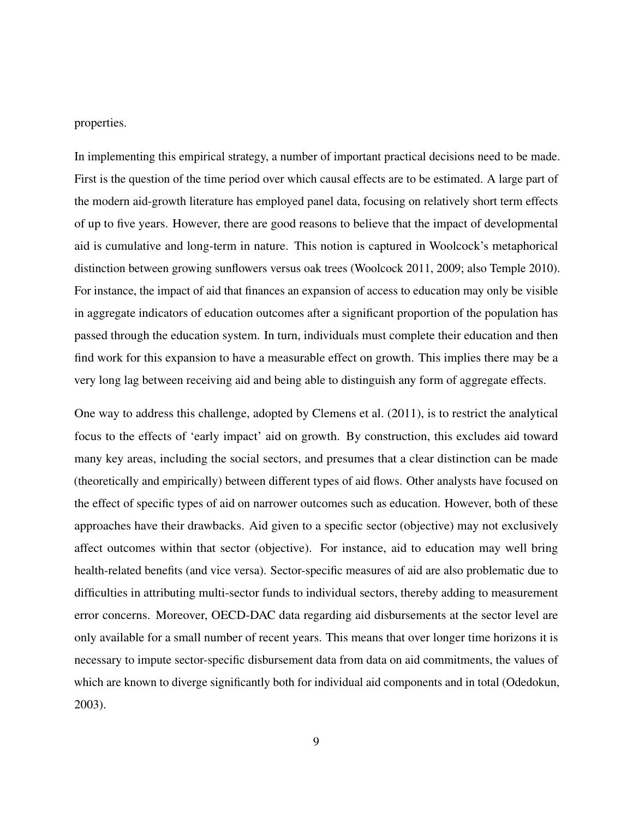#### properties.

In implementing this empirical strategy, a number of important practical decisions need to be made. First is the question of the time period over which causal effects are to be estimated. A large part of the modern aid-growth literature has employed panel data, focusing on relatively short term effects of up to five years. However, there are good reasons to believe that the impact of developmental aid is cumulative and long-term in nature. This notion is captured in Woolcock's metaphorical distinction between growing sunflowers versus oak trees [\(Woolcock 2011,](#page-32-3) [2009;](#page-32-4) also [Temple 2010\)](#page-32-1). For instance, the impact of aid that finances an expansion of access to education may only be visible in aggregate indicators of education outcomes after a significant proportion of the population has passed through the education system. In turn, individuals must complete their education and then find work for this expansion to have a measurable effect on growth. This implies there may be a very long lag between receiving aid and being able to distinguish any form of aggregate effects.

One way to address this challenge, adopted by [Clemens et al.](#page-30-0) [\(2011\)](#page-30-0), is to restrict the analytical focus to the effects of 'early impact' aid on growth. By construction, this excludes aid toward many key areas, including the social sectors, and presumes that a clear distinction can be made (theoretically and empirically) between different types of aid flows. Other analysts have focused on the effect of specific types of aid on narrower outcomes such as education. However, both of these approaches have their drawbacks. Aid given to a specific sector (objective) may not exclusively affect outcomes within that sector (objective). For instance, aid to education may well bring health-related benefits (and vice versa). Sector-specific measures of aid are also problematic due to difficulties in attributing multi-sector funds to individual sectors, thereby adding to measurement error concerns. Moreover, OECD-DAC data regarding aid disbursements at the sector level are only available for a small number of recent years. This means that over longer time horizons it is necessary to impute sector-specific disbursement data from data on aid commitments, the values of which are known to diverge significantly both for individual aid components and in total [\(Odedokun,](#page-31-8) [2003\)](#page-31-8).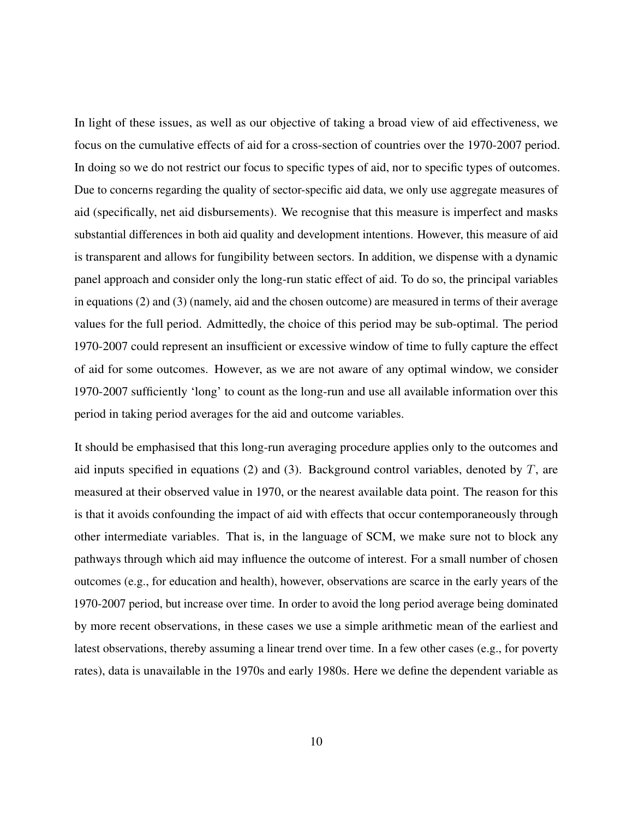In light of these issues, as well as our objective of taking a broad view of aid effectiveness, we focus on the cumulative effects of aid for a cross-section of countries over the 1970-2007 period. In doing so we do not restrict our focus to specific types of aid, nor to specific types of outcomes. Due to concerns regarding the quality of sector-specific aid data, we only use aggregate measures of aid (specifically, net aid disbursements). We recognise that this measure is imperfect and masks substantial differences in both aid quality and development intentions. However, this measure of aid is transparent and allows for fungibility between sectors. In addition, we dispense with a dynamic panel approach and consider only the long-run static effect of aid. To do so, the principal variables in equations [\(2\)](#page-8-0) and [\(3\)](#page-8-1) (namely, aid and the chosen outcome) are measured in terms of their average values for the full period. Admittedly, the choice of this period may be sub-optimal. The period 1970-2007 could represent an insufficient or excessive window of time to fully capture the effect of aid for some outcomes. However, as we are not aware of any optimal window, we consider 1970-2007 sufficiently 'long' to count as the long-run and use all available information over this period in taking period averages for the aid and outcome variables.

It should be emphasised that this long-run averaging procedure applies only to the outcomes and aid inputs specified in equations [\(2\)](#page-8-0) and [\(3\)](#page-8-1). Background control variables, denoted by  $T$ , are measured at their observed value in 1970, or the nearest available data point. The reason for this is that it avoids confounding the impact of aid with effects that occur contemporaneously through other intermediate variables. That is, in the language of SCM, we make sure not to block any pathways through which aid may influence the outcome of interest. For a small number of chosen outcomes (e.g., for education and health), however, observations are scarce in the early years of the 1970-2007 period, but increase over time. In order to avoid the long period average being dominated by more recent observations, in these cases we use a simple arithmetic mean of the earliest and latest observations, thereby assuming a linear trend over time. In a few other cases (e.g., for poverty rates), data is unavailable in the 1970s and early 1980s. Here we define the dependent variable as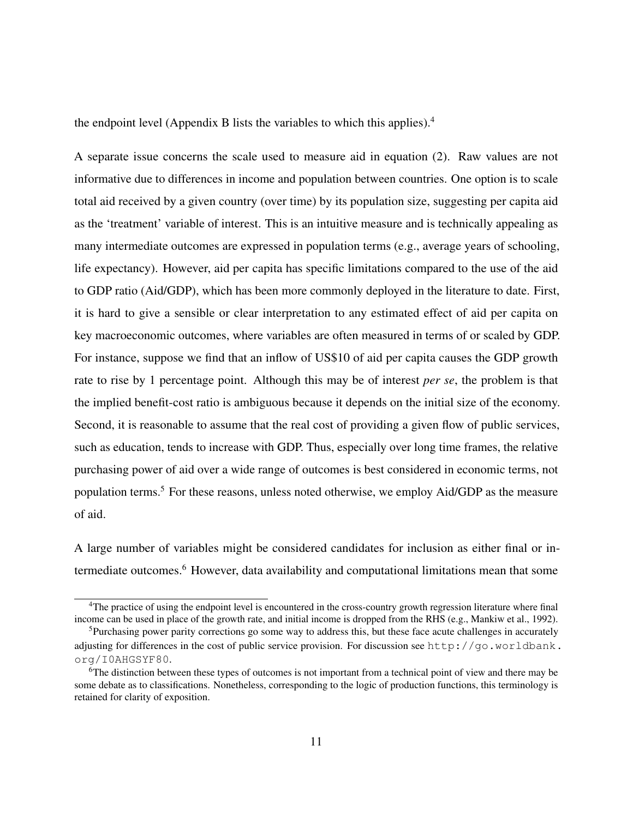the endpoint level (Appendix B lists the variables to which this applies).<sup>4</sup>

A separate issue concerns the scale used to measure aid in equation [\(2\)](#page-8-0). Raw values are not informative due to differences in income and population between countries. One option is to scale total aid received by a given country (over time) by its population size, suggesting per capita aid as the 'treatment' variable of interest. This is an intuitive measure and is technically appealing as many intermediate outcomes are expressed in population terms (e.g., average years of schooling, life expectancy). However, aid per capita has specific limitations compared to the use of the aid to GDP ratio (Aid/GDP), which has been more commonly deployed in the literature to date. First, it is hard to give a sensible or clear interpretation to any estimated effect of aid per capita on key macroeconomic outcomes, where variables are often measured in terms of or scaled by GDP. For instance, suppose we find that an inflow of US\$10 of aid per capita causes the GDP growth rate to rise by 1 percentage point. Although this may be of interest *per se*, the problem is that the implied benefit-cost ratio is ambiguous because it depends on the initial size of the economy. Second, it is reasonable to assume that the real cost of providing a given flow of public services, such as education, tends to increase with GDP. Thus, especially over long time frames, the relative purchasing power of aid over a wide range of outcomes is best considered in economic terms, not population terms.<sup>5</sup> For these reasons, unless noted otherwise, we employ Aid/GDP as the measure of aid.

A large number of variables might be considered candidates for inclusion as either final or intermediate outcomes.<sup>6</sup> However, data availability and computational limitations mean that some

<sup>&</sup>lt;sup>4</sup>The practice of using the endpoint level is encountered in the cross-country growth regression literature where final income can be used in place of the growth rate, and initial income is dropped from the RHS (e.g., [Mankiw et al., 1992\)](#page-31-7).

 $<sup>5</sup>$ Purchasing power parity corrections go some way to address this, but these face acute challenges in accurately</sup> adjusting for differences in the cost of public service provision. For discussion see [http://go.worldbank.](http://go.worldbank.org/I0AHGSYF80) [org/I0AHGSYF80](http://go.worldbank.org/I0AHGSYF80).

<sup>&</sup>lt;sup>6</sup>The distinction between these types of outcomes is not important from a technical point of view and there may be some debate as to classifications. Nonetheless, corresponding to the logic of production functions, this terminology is retained for clarity of exposition.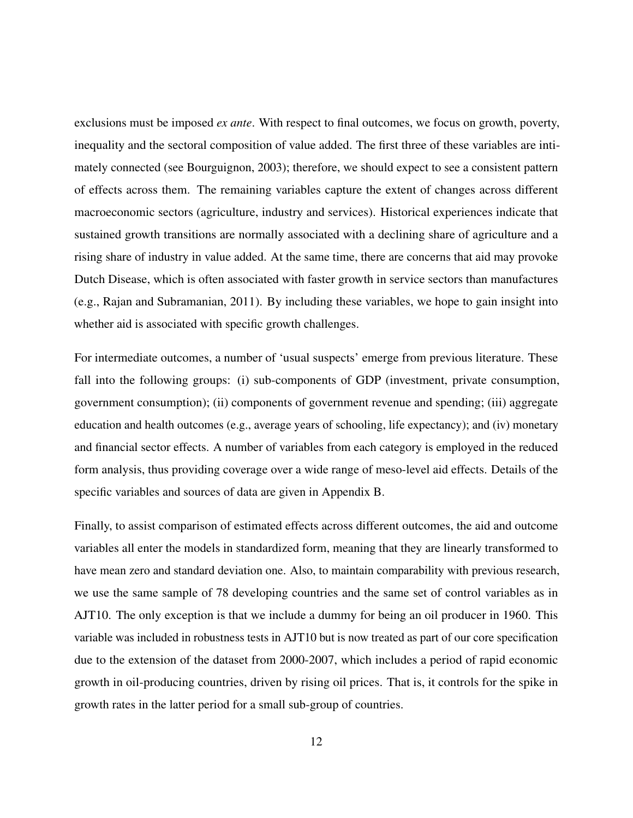exclusions must be imposed *ex ante*. With respect to final outcomes, we focus on growth, poverty, inequality and the sectoral composition of value added. The first three of these variables are intimately connected (see [Bourguignon, 2003\)](#page-30-6); therefore, we should expect to see a consistent pattern of effects across them. The remaining variables capture the extent of changes across different macroeconomic sectors (agriculture, industry and services). Historical experiences indicate that sustained growth transitions are normally associated with a declining share of agriculture and a rising share of industry in value added. At the same time, there are concerns that aid may provoke Dutch Disease, which is often associated with faster growth in service sectors than manufactures (e.g., [Rajan and Subramanian, 2011\)](#page-31-9). By including these variables, we hope to gain insight into whether aid is associated with specific growth challenges.

For intermediate outcomes, a number of 'usual suspects' emerge from previous literature. These fall into the following groups: (i) sub-components of GDP (investment, private consumption, government consumption); (ii) components of government revenue and spending; (iii) aggregate education and health outcomes (e.g., average years of schooling, life expectancy); and (iv) monetary and financial sector effects. A number of variables from each category is employed in the reduced form analysis, thus providing coverage over a wide range of meso-level aid effects. Details of the specific variables and sources of data are given in Appendix B.

Finally, to assist comparison of estimated effects across different outcomes, the aid and outcome variables all enter the models in standardized form, meaning that they are linearly transformed to have mean zero and standard deviation one. Also, to maintain comparability with previous research, we use the same sample of 78 developing countries and the same set of control variables as in AJT10. The only exception is that we include a dummy for being an oil producer in 1960. This variable was included in robustness tests in AJT10 but is now treated as part of our core specification due to the extension of the dataset from 2000-2007, which includes a period of rapid economic growth in oil-producing countries, driven by rising oil prices. That is, it controls for the spike in growth rates in the latter period for a small sub-group of countries.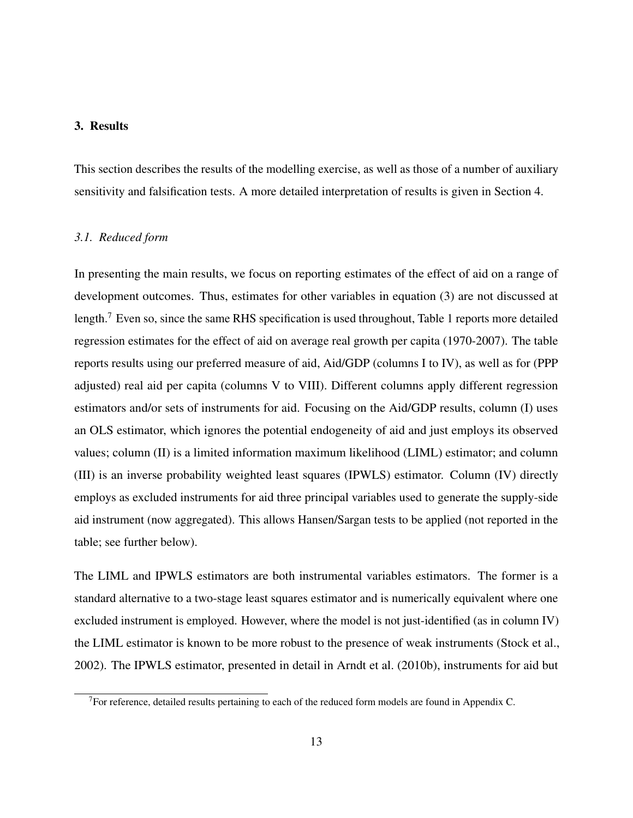#### 3. Results

This section describes the results of the modelling exercise, as well as those of a number of auxiliary sensitivity and falsification tests. A more detailed interpretation of results is given in Section [4.](#page-24-0)

#### *3.1. Reduced form*

In presenting the main results, we focus on reporting estimates of the effect of aid on a range of development outcomes. Thus, estimates for other variables in equation [\(3\)](#page-8-1) are not discussed at length.<sup>7</sup> Even so, since the same RHS specification is used throughout, Table [1](#page-16-0) reports more detailed regression estimates for the effect of aid on average real growth per capita (1970-2007). The table reports results using our preferred measure of aid, Aid/GDP (columns I to IV), as well as for (PPP adjusted) real aid per capita (columns V to VIII). Different columns apply different regression estimators and/or sets of instruments for aid. Focusing on the Aid/GDP results, column (I) uses an OLS estimator, which ignores the potential endogeneity of aid and just employs its observed values; column (II) is a limited information maximum likelihood (LIML) estimator; and column (III) is an inverse probability weighted least squares (IPWLS) estimator. Column (IV) directly employs as excluded instruments for aid three principal variables used to generate the supply-side aid instrument (now aggregated). This allows Hansen/Sargan tests to be applied (not reported in the table; see further below).

The LIML and IPWLS estimators are both instrumental variables estimators. The former is a standard alternative to a two-stage least squares estimator and is numerically equivalent where one excluded instrument is employed. However, where the model is not just-identified (as in column IV) the LIML estimator is known to be more robust to the presence of weak instruments [\(Stock et al.,](#page-32-5) [2002\)](#page-32-5). The IPWLS estimator, presented in detail in [Arndt et al.](#page-29-4) [\(2010b\)](#page-29-4), instruments for aid but

<sup>&</sup>lt;sup>7</sup>For reference, detailed results pertaining to each of the reduced form models are found in Appendix C.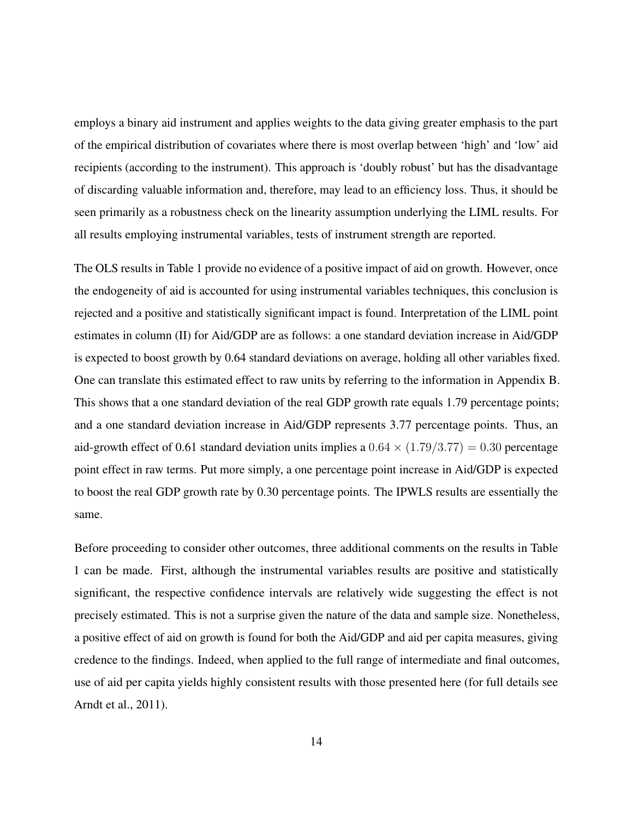employs a binary aid instrument and applies weights to the data giving greater emphasis to the part of the empirical distribution of covariates where there is most overlap between 'high' and 'low' aid recipients (according to the instrument). This approach is 'doubly robust' but has the disadvantage of discarding valuable information and, therefore, may lead to an efficiency loss. Thus, it should be seen primarily as a robustness check on the linearity assumption underlying the LIML results. For all results employing instrumental variables, tests of instrument strength are reported.

The OLS results in Table [1](#page-16-0) provide no evidence of a positive impact of aid on growth. However, once the endogeneity of aid is accounted for using instrumental variables techniques, this conclusion is rejected and a positive and statistically significant impact is found. Interpretation of the LIML point estimates in column (II) for Aid/GDP are as follows: a one standard deviation increase in Aid/GDP is expected to boost growth by 0.64 standard deviations on average, holding all other variables fixed. One can translate this estimated effect to raw units by referring to the information in Appendix B. This shows that a one standard deviation of the real GDP growth rate equals 1.79 percentage points; and a one standard deviation increase in Aid/GDP represents 3.77 percentage points. Thus, an aid-growth effect of 0.61 standard deviation units implies a  $0.64 \times (1.79/3.77) = 0.30$  percentage point effect in raw terms. Put more simply, a one percentage point increase in Aid/GDP is expected to boost the real GDP growth rate by 0.30 percentage points. The IPWLS results are essentially the same.

Before proceeding to consider other outcomes, three additional comments on the results in Table [1](#page-16-0) can be made. First, although the instrumental variables results are positive and statistically significant, the respective confidence intervals are relatively wide suggesting the effect is not precisely estimated. This is not a surprise given the nature of the data and sample size. Nonetheless, a positive effect of aid on growth is found for both the Aid/GDP and aid per capita measures, giving credence to the findings. Indeed, when applied to the full range of intermediate and final outcomes, use of aid per capita yields highly consistent results with those presented here (for full details see [Arndt et al., 2011\)](#page-29-1).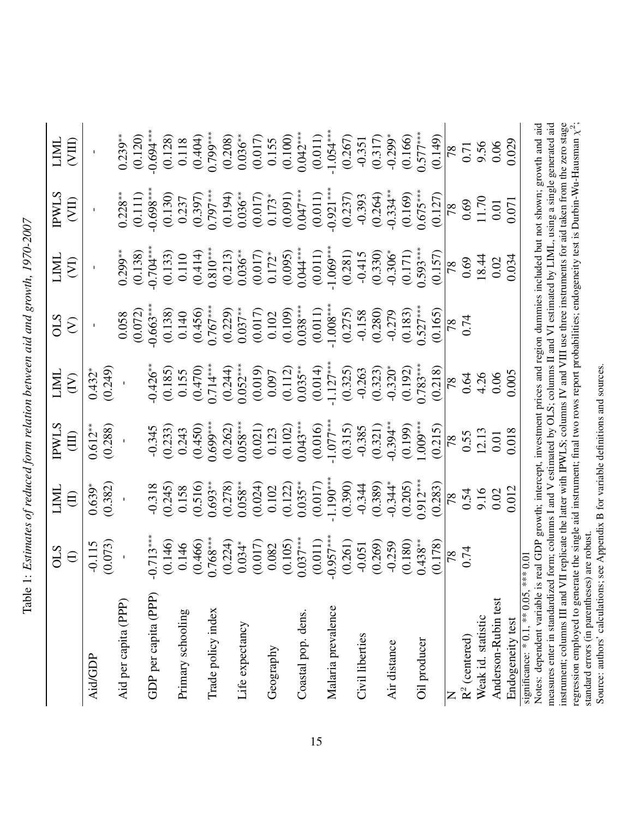<span id="page-16-0"></span>

|                                                                                                                                                                                                                                                                                                  | $\frac{1}{10}$                                                                                                                                                                | $\frac{1}{2}$                                                                                                                      | PWLS<br>(III)                                                                                                                                                                                                                                                                                       | $\frac{1}{2}$                     | $ \Im S $                                                                                                                                                                                                                                                                 | $\frac{1}{2}$ | PWLS<br>(VII)                                                                                                                                                                                                                                                                                                    | LIML<br>(VIII)                                                                                                                                                                                                                                                                                                          |
|--------------------------------------------------------------------------------------------------------------------------------------------------------------------------------------------------------------------------------------------------------------------------------------------------|-------------------------------------------------------------------------------------------------------------------------------------------------------------------------------|------------------------------------------------------------------------------------------------------------------------------------|-----------------------------------------------------------------------------------------------------------------------------------------------------------------------------------------------------------------------------------------------------------------------------------------------------|-----------------------------------|---------------------------------------------------------------------------------------------------------------------------------------------------------------------------------------------------------------------------------------------------------------------------|---------------|------------------------------------------------------------------------------------------------------------------------------------------------------------------------------------------------------------------------------------------------------------------------------------------------------------------|-------------------------------------------------------------------------------------------------------------------------------------------------------------------------------------------------------------------------------------------------------------------------------------------------------------------------|
| Aid/GDP                                                                                                                                                                                                                                                                                          | $-0.115$<br>$(0.073)$                                                                                                                                                         | $0.639*$<br>$(0.382)$                                                                                                              | $\frac{0.612}{0.288}$                                                                                                                                                                                                                                                                               | $\overline{0.432}^{*}$<br>(0.249) |                                                                                                                                                                                                                                                                           |               |                                                                                                                                                                                                                                                                                                                  |                                                                                                                                                                                                                                                                                                                         |
| Aid per capita (PPP)                                                                                                                                                                                                                                                                             |                                                                                                                                                                               |                                                                                                                                    |                                                                                                                                                                                                                                                                                                     |                                   | 0.058                                                                                                                                                                                                                                                                     |               |                                                                                                                                                                                                                                                                                                                  |                                                                                                                                                                                                                                                                                                                         |
| GDP per capita (PPP)                                                                                                                                                                                                                                                                             |                                                                                                                                                                               |                                                                                                                                    |                                                                                                                                                                                                                                                                                                     |                                   |                                                                                                                                                                                                                                                                           |               |                                                                                                                                                                                                                                                                                                                  |                                                                                                                                                                                                                                                                                                                         |
| Primary schooling                                                                                                                                                                                                                                                                                | $-0.713**$<br>$-0.146$<br>$0.146$<br>$0.146$<br>$0.034*$<br>$0.034*$<br>$0.037**$<br>$0.037**$<br>$0.037**$<br>$0.051$<br>$0.051$<br>$0.050$<br>$0.050$<br>$0.050$<br>$0.050$ | $-0.318$<br>$(0.245)$<br>$0.158$<br>$(0.516)$<br>$0.693**$<br>$(0.278)$<br>$(0.024)$<br>$(0.024)$<br>$(0.102)$<br>$(0.102)$        | $\begin{array}{l} 345 \\ 0.233 \\ 0.699^{**} \\ 0.699^{**} \\ 0.058^{**} \\ 0.0123 \\ 0.0123 \\ 0.0123 \\ 0.0123 \\ 0.0101 \\ 0.0101 \\ 0.0101 \\ 0.0101 \\ 0.0101 \\ 0.0101 \\ 0.0101 \\ 0.0101 \\ 0.0100 \\ 0.0101 \\ 0.0001 \\ 0.011 \\ 0.0001 \\ 0.011 \\ 0.011 \\ 0.011 \\ 0.011 \\ 0.011 \\ $ |                                   | $\begin{array}{c c} 0.072\\ 0.663^{**} & 0.140\\ 0.1400\\ 0.037^{**} & 0.037^{**} \\ 0.037^{**} & 0.017\\ 0.0000\\ 0.0000\\ 0.0000\\ 0.0000\\ 0.0000\\ 0.0000\\ 0.0000\\ 0.0000\\ 0.0000\\ 0.0000\\ 0.0000\\ 0.0000\\ 0.0000\\ 0.0000\\ 0.0000\\ 0.0000\\ 0.0000\\ 0.000$ |               | $\begin{array}{l} 0.228^{**} \\ 0.111) \\ -0.698^{***} \\ 0.397) \\ 0.397) \\ 0.039^{**} \\ 0.194) \\ 0.036^{**} \\ 0.017^{**} \\ 0.036^{**} \\ 0.017^{**} \\ 0.0011) \\ 0.0017^{**} \\ 0.0011^{**} \\ 0.0011 \\ 0.0011^{**} \\ 0.0334^{**} \\ 0.057^{***} \\ 0.0001 \\ 0.0001 \\ 0.0001 \\ 0.0001 \\ 0.0001 \\$ | $\begin{array}{l} \left( \begin{array}{c} 239^{**} \\ 0.120 \\ 0.694^{**} \\ 0.120 \\ 0.120 \\ 0.18 \\ 0.036^{**} \\ 0.036^{**} \\ 0.036^{**} \\ 0.036^{**} \\ 0.036^{**} \\ 0.036^{**} \\ 0.036^{**} \\ 0.0000 \\ 0.0000 \\ 0.0000 \\ 0.0000 \\ 0.0000 \\ 0.0000 \\ 0.0000 \\ 0.0000 \\ 0.0000 \\ 0.0000 \\ 0.0000 \\$ |
| Trade policy index                                                                                                                                                                                                                                                                               |                                                                                                                                                                               |                                                                                                                                    |                                                                                                                                                                                                                                                                                                     |                                   |                                                                                                                                                                                                                                                                           |               |                                                                                                                                                                                                                                                                                                                  |                                                                                                                                                                                                                                                                                                                         |
| Life expectancy                                                                                                                                                                                                                                                                                  |                                                                                                                                                                               |                                                                                                                                    |                                                                                                                                                                                                                                                                                                     |                                   |                                                                                                                                                                                                                                                                           |               |                                                                                                                                                                                                                                                                                                                  |                                                                                                                                                                                                                                                                                                                         |
|                                                                                                                                                                                                                                                                                                  |                                                                                                                                                                               |                                                                                                                                    |                                                                                                                                                                                                                                                                                                     |                                   |                                                                                                                                                                                                                                                                           |               |                                                                                                                                                                                                                                                                                                                  |                                                                                                                                                                                                                                                                                                                         |
| Geography                                                                                                                                                                                                                                                                                        |                                                                                                                                                                               |                                                                                                                                    |                                                                                                                                                                                                                                                                                                     |                                   |                                                                                                                                                                                                                                                                           |               |                                                                                                                                                                                                                                                                                                                  |                                                                                                                                                                                                                                                                                                                         |
| Coastal pop. dens.                                                                                                                                                                                                                                                                               |                                                                                                                                                                               |                                                                                                                                    |                                                                                                                                                                                                                                                                                                     |                                   |                                                                                                                                                                                                                                                                           |               |                                                                                                                                                                                                                                                                                                                  |                                                                                                                                                                                                                                                                                                                         |
| Malaria prevalence                                                                                                                                                                                                                                                                               |                                                                                                                                                                               | (0.017)                                                                                                                            |                                                                                                                                                                                                                                                                                                     |                                   |                                                                                                                                                                                                                                                                           |               |                                                                                                                                                                                                                                                                                                                  |                                                                                                                                                                                                                                                                                                                         |
|                                                                                                                                                                                                                                                                                                  |                                                                                                                                                                               |                                                                                                                                    |                                                                                                                                                                                                                                                                                                     |                                   |                                                                                                                                                                                                                                                                           |               |                                                                                                                                                                                                                                                                                                                  |                                                                                                                                                                                                                                                                                                                         |
| Civil liberties                                                                                                                                                                                                                                                                                  |                                                                                                                                                                               |                                                                                                                                    |                                                                                                                                                                                                                                                                                                     |                                   |                                                                                                                                                                                                                                                                           |               |                                                                                                                                                                                                                                                                                                                  |                                                                                                                                                                                                                                                                                                                         |
| Air distance                                                                                                                                                                                                                                                                                     |                                                                                                                                                                               |                                                                                                                                    |                                                                                                                                                                                                                                                                                                     |                                   |                                                                                                                                                                                                                                                                           |               |                                                                                                                                                                                                                                                                                                                  |                                                                                                                                                                                                                                                                                                                         |
| Oil producer                                                                                                                                                                                                                                                                                     | $\begin{array}{c} (0.180) \ (0.138^{**} \ 0.438^{**} \ \hline 0.0178) \ \hline 78 \end{array}$                                                                                | $1.190***$<br>$(0.390)$<br>$-0.344$<br>$-0.389$<br>$-0.344*$<br>$(0.205)$<br>$(0.205)$<br>$(0.283)$<br>$-0.54$<br>$0.54$<br>$0.02$ |                                                                                                                                                                                                                                                                                                     |                                   |                                                                                                                                                                                                                                                                           |               |                                                                                                                                                                                                                                                                                                                  |                                                                                                                                                                                                                                                                                                                         |
|                                                                                                                                                                                                                                                                                                  |                                                                                                                                                                               |                                                                                                                                    |                                                                                                                                                                                                                                                                                                     |                                   |                                                                                                                                                                                                                                                                           |               |                                                                                                                                                                                                                                                                                                                  |                                                                                                                                                                                                                                                                                                                         |
|                                                                                                                                                                                                                                                                                                  |                                                                                                                                                                               |                                                                                                                                    |                                                                                                                                                                                                                                                                                                     |                                   |                                                                                                                                                                                                                                                                           |               |                                                                                                                                                                                                                                                                                                                  |                                                                                                                                                                                                                                                                                                                         |
| $R^2$ (centered)                                                                                                                                                                                                                                                                                 |                                                                                                                                                                               |                                                                                                                                    |                                                                                                                                                                                                                                                                                                     |                                   |                                                                                                                                                                                                                                                                           |               |                                                                                                                                                                                                                                                                                                                  |                                                                                                                                                                                                                                                                                                                         |
| Weak id. statistic                                                                                                                                                                                                                                                                               |                                                                                                                                                                               |                                                                                                                                    |                                                                                                                                                                                                                                                                                                     |                                   |                                                                                                                                                                                                                                                                           |               |                                                                                                                                                                                                                                                                                                                  |                                                                                                                                                                                                                                                                                                                         |
| Anderson-Rubin test                                                                                                                                                                                                                                                                              |                                                                                                                                                                               |                                                                                                                                    |                                                                                                                                                                                                                                                                                                     |                                   |                                                                                                                                                                                                                                                                           |               |                                                                                                                                                                                                                                                                                                                  |                                                                                                                                                                                                                                                                                                                         |
| Endogeneity test                                                                                                                                                                                                                                                                                 |                                                                                                                                                                               |                                                                                                                                    |                                                                                                                                                                                                                                                                                                     |                                   |                                                                                                                                                                                                                                                                           |               |                                                                                                                                                                                                                                                                                                                  |                                                                                                                                                                                                                                                                                                                         |
| Notes: dependent variable is real GDP growth; intercept, investment prices and region dummies included but not shown; growth and aid<br>significance: * 0.1, ** 0.05, *** 0.0                                                                                                                    |                                                                                                                                                                               |                                                                                                                                    |                                                                                                                                                                                                                                                                                                     |                                   |                                                                                                                                                                                                                                                                           |               |                                                                                                                                                                                                                                                                                                                  |                                                                                                                                                                                                                                                                                                                         |
| measures enter in standardized form; columns I and V estimated by OLS; columns II and VI estimated by LIML, using a single generated aid                                                                                                                                                         |                                                                                                                                                                               |                                                                                                                                    |                                                                                                                                                                                                                                                                                                     |                                   |                                                                                                                                                                                                                                                                           |               |                                                                                                                                                                                                                                                                                                                  |                                                                                                                                                                                                                                                                                                                         |
| instrument; columns III and VII replicate the latter with IPWLS; columns IV and VIII use three instruments for aid taken from the zero stage<br>regression employed to generate the single aid instrument; final two rows report probabilities; endogeneity test is Durbin-Wu-Hausman $\chi^2$ . |                                                                                                                                                                               |                                                                                                                                    |                                                                                                                                                                                                                                                                                                     |                                   |                                                                                                                                                                                                                                                                           |               |                                                                                                                                                                                                                                                                                                                  |                                                                                                                                                                                                                                                                                                                         |

standard errors (in parentheses) are robust.

standard errors (in parentheses) are robust.

Source: authors' calculations; see Appendix B for variable definitions and sources.

Source: authors' calculations; see Appendix B for variable definitions and sources.

Table 1: Estimates of reduced form relation between aid and growth, 1970-2007 Table 1: *Estimates of reduced form relation between aid and growth, 1970-2007*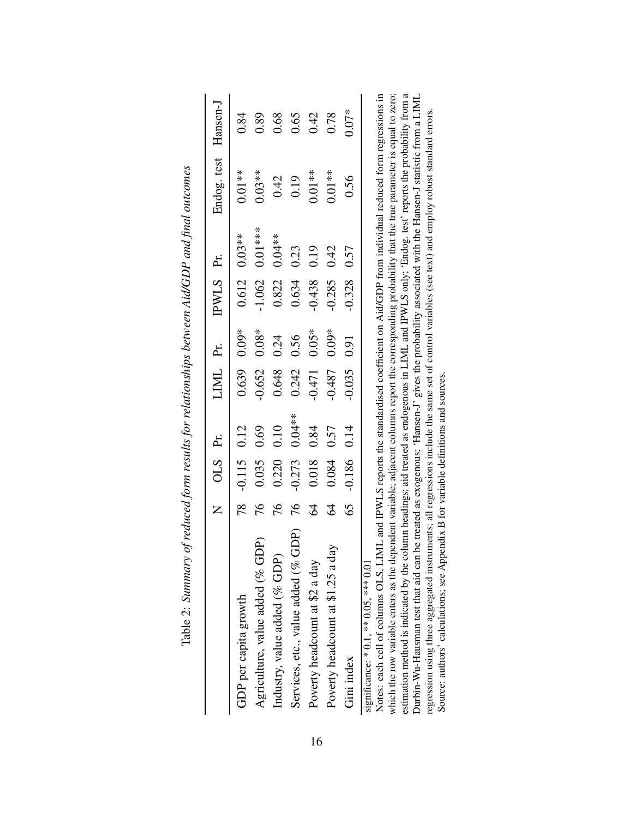|                                                                                                                                                                                       | $\mathsf{z}$             | OLS Pr.       |          | LIML Pr. |         | IPWLS Pr. |           | Endog. test Hansen-J |         |
|---------------------------------------------------------------------------------------------------------------------------------------------------------------------------------------|--------------------------|---------------|----------|----------|---------|-----------|-----------|----------------------|---------|
| GDP per capita growth                                                                                                                                                                 | 78                       | $-0.115$ 0.12 |          | 0.639    | $0.09*$ | 0.612     | $0.03**$  | $0.01**$             | 0.84    |
| Agriculture, value added (% GDP)                                                                                                                                                      | 76                       | 0.035         | 0.69     | $-0.652$ | $0.08*$ | $-1.062$  | $0.01***$ | $0.03**$             | 0.89    |
| Industry, value added (% GDP)                                                                                                                                                         | 76                       | 0.220         | 0.10     | 0.648    | 0.24    | 0.822     | $0.04**$  | 0.42                 | 0.68    |
| GDP)<br>Services, etc., value added (%                                                                                                                                                | 76                       | $-0.273$      | $0.04**$ | 0.242    | 0.56    | 0.634     | 0.23      | 0.19                 | 0.65    |
| Poverty headcount at \$2 a day                                                                                                                                                        | $\overline{\mathcal{A}}$ | 0.018         | 0.84     | $-0.471$ | $0.05*$ | $-0.438$  | 0.19      | $0.01**$             | 0.42    |
| Poverty headcount at \$1.25 a day                                                                                                                                                     | 2                        | 0.084         | 0.57     | $-0.487$ | $0.09*$ | $-0.285$  | 0.42      | $0.01**$             | 0.78    |
| Gini index                                                                                                                                                                            | 65                       | $-0.186$      | 0.14     | $-0.035$ | 0.91    | $-0.328$  | 0.57      | 0.56                 | $0.07*$ |
| Notes: each cell of columns OLS, LIML and IPWLS reports the standardised coefficient on Aid/GDP from individual reduced form regressions in<br>significance: * 0.1, ** 0.05, *** 0.01 |                          |               |          |          |         |           |           |                      |         |

<span id="page-17-0"></span>

| $\overline{\phantom{a}}$ |
|--------------------------|
|                          |
|                          |
|                          |
|                          |
|                          |
|                          |
|                          |
|                          |
| ֚                        |
|                          |
|                          |
|                          |
|                          |
|                          |
|                          |
|                          |
|                          |
|                          |
|                          |
|                          |
|                          |
|                          |
|                          |
|                          |
| ;<br>;<br>;              |
|                          |
|                          |
|                          |
|                          |
| 1                        |
|                          |
|                          |
|                          |
| l                        |
| ļ                        |
|                          |
|                          |
|                          |
| I                        |
|                          |
| ı                        |
|                          |
|                          |
| ĺ<br>֚֕                  |
|                          |

Durbin-Wu-Hausman test that aid can be treated as exogenous; 'Hansen-J' gives the probability associated with the Hansen-J statistic from a LIML<br>regression using three aggregated instruments; all regressions include the sa estimation method is indicated by the column headings; aid treated as endogenous in LIML and IPWLS only; 'Endog. test' reports the probability from a estimation method is indicated by the column headings; aid treated as endogenous in LIML and IPWLS only; 'Endog. test' reports the probability from a which the row variable enters as the dependent variable; adjacent columns report the corresponding probability that the true parameter is equal to zero; Durbin-Wu-Hausman test that aid can be treated as exogenous; 'Hansen-J' gives the probability associated with the Hansen-J statistic from a LIML regression using three aggregated instruments; all regressions include the same set of control variables (see text) and employ robust standard errors. Source: authors' calculations; see Appendix B for variable definitions and sources.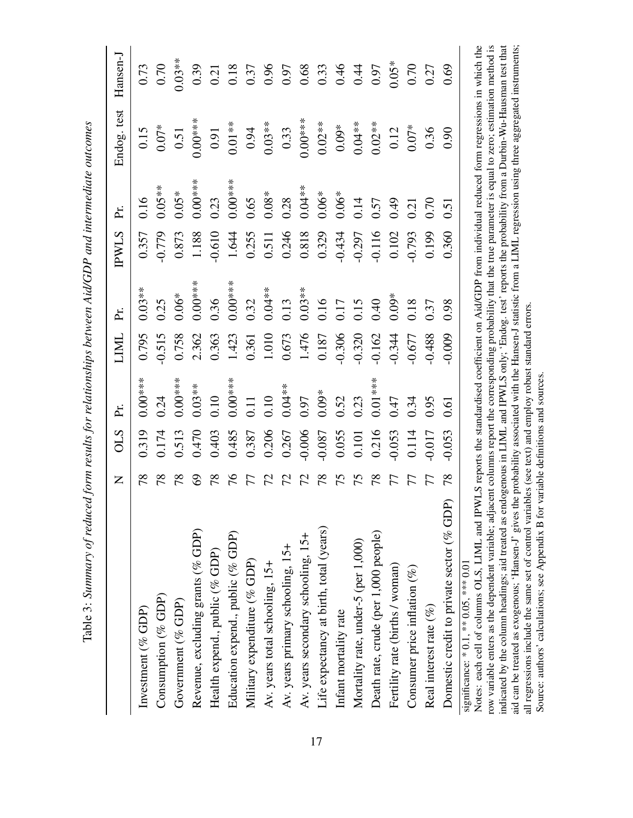<span id="page-18-0"></span>

| )                              |  |
|--------------------------------|--|
|                                |  |
|                                |  |
|                                |  |
|                                |  |
|                                |  |
|                                |  |
|                                |  |
|                                |  |
|                                |  |
|                                |  |
|                                |  |
|                                |  |
|                                |  |
|                                |  |
|                                |  |
|                                |  |
|                                |  |
|                                |  |
|                                |  |
|                                |  |
|                                |  |
|                                |  |
|                                |  |
| ؘؚ                             |  |
|                                |  |
|                                |  |
| ;<br>;                         |  |
|                                |  |
|                                |  |
|                                |  |
|                                |  |
|                                |  |
|                                |  |
|                                |  |
|                                |  |
|                                |  |
|                                |  |
|                                |  |
|                                |  |
|                                |  |
|                                |  |
| -<br>-<br>-                    |  |
|                                |  |
|                                |  |
|                                |  |
|                                |  |
|                                |  |
|                                |  |
|                                |  |
|                                |  |
|                                |  |
|                                |  |
| i                              |  |
|                                |  |
|                                |  |
|                                |  |
|                                |  |
|                                |  |
|                                |  |
|                                |  |
|                                |  |
|                                |  |
|                                |  |
|                                |  |
| <b>Professional Profession</b> |  |
|                                |  |
| ļ                              |  |
|                                |  |
|                                |  |
|                                |  |
| $\overline{\phantom{a}}$       |  |
|                                |  |
|                                |  |
|                                |  |
|                                |  |
| j                              |  |
| ľ                              |  |

|                                           | Z              | STO                |              | <b>LIMIL</b> |          | <b>LAMT'S</b>           |           | Endog. test                               | Hansen-J             |
|-------------------------------------------|----------------|--------------------|--------------|--------------|----------|-------------------------|-----------|-------------------------------------------|----------------------|
| Investment (% $GDP$ )                     | $\frac{8}{1}$  | 0.319              | $0.00^{***}$ | 0.795        | $0.03**$ | 0.357                   | 0.16      | 0.15                                      | 0.73                 |
| $\text{Cousumption}$ (% GDP)              | $\frac{8}{2}$  | 0.174              | 0.24         | 0.515        | 0.25     | 0.779                   | $0.05**$  | $0.07*$                                   | 0.70                 |
| Government (% GDP)                        | $\frac{8}{10}$ | 0.513              | $0.00***$    | 0.758        | $0.06*$  | 0.873                   | $0.05*$   | 0.51                                      | $0.03**$             |
| Revenue, excluding grants (% GDP)         | 69             | 0.470              | $0.03**$     | 2.362        | $0.00**$ | 1.188                   | $0.00**$  | $0.00***$                                 |                      |
| Health expend., public (% GDP)            | 78             | 0.403              | 0.10         | 0.363        | 0.36     | $-0.610$                | 0.23      | 0.91                                      |                      |
| Education expend., public (% GDP)         | 76             | 0.485              | $0.00**$     | 1.423        | $0.00**$ | 1.644                   | $0.00***$ | $0.01**$                                  |                      |
| Military expenditure (% GDP)              |                | 0.387              | 0.11         | 0.361        | 0.32     |                         | 0.65      | $0.94$<br>$0.03**$<br>$0.33$<br>$0.00***$ |                      |
| Av. years total schooling, 15+            | 52             | 0.206              | 0.10         | 1.010        | $0.04**$ | 0.255<br>0.511<br>0.246 | $0.08*$   |                                           |                      |
| Av. years primary schooling, 15+          | 52             | 0.267              | $0.04***$    | 0.673        | 0.13     |                         | 0.28      |                                           |                      |
| Av. years secondary schooling, 15+        | 72             | $-0.006$           | 0.97         | 1.476        | $0.03**$ | 0.818                   | $0.04***$ |                                           |                      |
| Life expectancy at birth, total (years)   | 78             | 0.087              | $0.09*$      | 0.187        | 0.16     | 0.329                   | $0.06*$   | $0.02**$                                  |                      |
| Infant mortality rate                     | 75             |                    | 0.52         | 0.306        | 0.17     |                         | $0.06*$   | $0.09*$                                   |                      |
| Mortality rate, under-5 (per 1,000)       | 75             | $0.055$<br>$0.101$ | 0.23         | 0.320        | 0.15     | $-0.434$<br>$-0.297$    | 0.14      | $0.04**$                                  |                      |
| Death rate, crude (per 1,000 people)      | 78             | 0.216              | $0.01***$    | 0.162        | 0.40     | $-0.116$<br>0.102       | 0.57      | $0.02**$                                  |                      |
| Fertility rate (births / woman)           | 77             | 0.053              | 0.47         | 0.344        | $0.09*$  |                         | 0.49      | 0.12                                      | $0.05*$              |
| Consumer price inflation $(\%)$           |                | 0.114              | 0.34         | 0.677        | 0.18     | 0.793                   | 0.21      | $0.07*$                                   |                      |
| Real interest rate (%)                    |                | 0.017              | 0.95         | 0.488        | 0.37     | 0.199                   | 0.70      | 0.36                                      | 0.70<br>0.27<br>0.69 |
| Domestic credit to private sector (% GDP) | 78             | 0.053              | 0.61         | 0.009        | 0.98     | 0.360                   |           | 0.90                                      |                      |
| significance: * 0.1, ** 0.05, *** 0.01    |                |                    |              |              |          |                         |           |                                           |                      |

significance: \* 0.1, \*\* 0.05, \*\*\* 0.01

row variable enters as the dependent variable; adjacent columns report the corresponding probability that the true parameter is equal to zero; estimation method is indicated by the column headings; aid treated as endogenous in LIML and IPWLS only; 'Endog. test' reports the probability from a Durbin-Wu-Hausman test that<br>aid can be treated as exogenous; 'Hansen-J' gives the probability Notes: each cell of columns OLS, LIML and IPWLS reports the standardised coefficient on Aid/GDP from individual reduced form regressions in which the Notes: each cell of columns OLS, LIML and IPWLS reports the standardised coefficient on Aid/GDP from individual reduced form regressions in which the row variable enters as the dependent variable; adjacent columns report the corresponding probability that the true parameter is equal to zero; estimation method is indicated by the column headings; aid treated as endogenous in LIML and IPWLS only; 'Endog. test' reports the probability from a Durbin-Wu-Hausman test that aid can be treated as exogenous; 'Hansen-J' gives the probability associated with the Hansen-J statistic from a LIML regression using three aggregated instruments; all regressions include the same set of control variables (see text) and employ robust standard errors. all regressions include the same set of control variables (see text) and employ robust standard errors. Source: authors' calculations; see Appendix B for variable definitions and sources. Source: authors' calculations; see Appendix B for variable definitions and sources.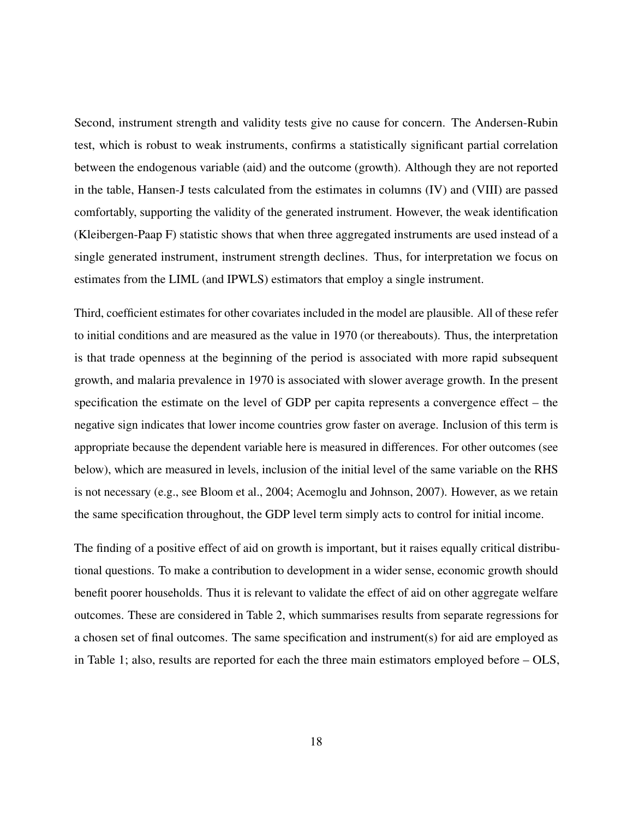Second, instrument strength and validity tests give no cause for concern. The Andersen-Rubin test, which is robust to weak instruments, confirms a statistically significant partial correlation between the endogenous variable (aid) and the outcome (growth). Although they are not reported in the table, Hansen-J tests calculated from the estimates in columns (IV) and (VIII) are passed comfortably, supporting the validity of the generated instrument. However, the weak identification (Kleibergen-Paap F) statistic shows that when three aggregated instruments are used instead of a single generated instrument, instrument strength declines. Thus, for interpretation we focus on estimates from the LIML (and IPWLS) estimators that employ a single instrument.

Third, coefficient estimates for other covariates included in the model are plausible. All of these refer to initial conditions and are measured as the value in 1970 (or thereabouts). Thus, the interpretation is that trade openness at the beginning of the period is associated with more rapid subsequent growth, and malaria prevalence in 1970 is associated with slower average growth. In the present specification the estimate on the level of GDP per capita represents a convergence effect – the negative sign indicates that lower income countries grow faster on average. Inclusion of this term is appropriate because the dependent variable here is measured in differences. For other outcomes (see below), which are measured in levels, inclusion of the initial level of the same variable on the RHS is not necessary (e.g., see [Bloom et al., 2004;](#page-30-7) [Acemoglu and Johnson, 2007\)](#page-29-3). However, as we retain the same specification throughout, the GDP level term simply acts to control for initial income.

The finding of a positive effect of aid on growth is important, but it raises equally critical distributional questions. To make a contribution to development in a wider sense, economic growth should benefit poorer households. Thus it is relevant to validate the effect of aid on other aggregate welfare outcomes. These are considered in Table [2,](#page-17-0) which summarises results from separate regressions for a chosen set of final outcomes. The same specification and instrument(s) for aid are employed as in Table [1;](#page-16-0) also, results are reported for each the three main estimators employed before – OLS,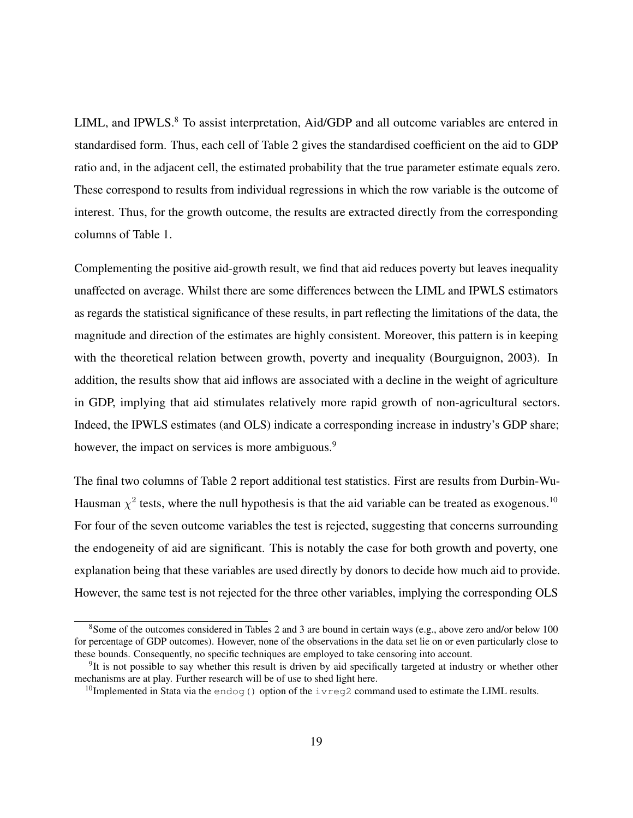LIML, and IPWLS.<sup>8</sup> To assist interpretation, Aid/GDP and all outcome variables are entered in standardised form. Thus, each cell of Table [2](#page-17-0) gives the standardised coefficient on the aid to GDP ratio and, in the adjacent cell, the estimated probability that the true parameter estimate equals zero. These correspond to results from individual regressions in which the row variable is the outcome of interest. Thus, for the growth outcome, the results are extracted directly from the corresponding columns of Table [1.](#page-16-0)

Complementing the positive aid-growth result, we find that aid reduces poverty but leaves inequality unaffected on average. Whilst there are some differences between the LIML and IPWLS estimators as regards the statistical significance of these results, in part reflecting the limitations of the data, the magnitude and direction of the estimates are highly consistent. Moreover, this pattern is in keeping with the theoretical relation between growth, poverty and inequality [\(Bourguignon, 2003\)](#page-30-6). In addition, the results show that aid inflows are associated with a decline in the weight of agriculture in GDP, implying that aid stimulates relatively more rapid growth of non-agricultural sectors. Indeed, the IPWLS estimates (and OLS) indicate a corresponding increase in industry's GDP share; however, the impact on services is more ambiguous.<sup>9</sup>

The final two columns of Table [2](#page-17-0) report additional test statistics. First are results from Durbin-Wu-Hausman  $\chi^2$  tests, where the null hypothesis is that the aid variable can be treated as exogenous.<sup>10</sup> For four of the seven outcome variables the test is rejected, suggesting that concerns surrounding the endogeneity of aid are significant. This is notably the case for both growth and poverty, one explanation being that these variables are used directly by donors to decide how much aid to provide. However, the same test is not rejected for the three other variables, implying the corresponding OLS

<sup>&</sup>lt;sup>8</sup>Some of the outcomes considered in Tables [2](#page-17-0) and [3](#page-18-0) are bound in certain ways (e.g., above zero and/or below 100 for percentage of GDP outcomes). However, none of the observations in the data set lie on or even particularly close to these bounds. Consequently, no specific techniques are employed to take censoring into account.

<sup>&</sup>lt;sup>9</sup>It is not possible to say whether this result is driven by aid specifically targeted at industry or whether other mechanisms are at play. Further research will be of use to shed light here.

<sup>&</sup>lt;sup>10</sup>Implemented in Stata via the endog() option of the  $\text{invreg2}$  command used to estimate the LIML results.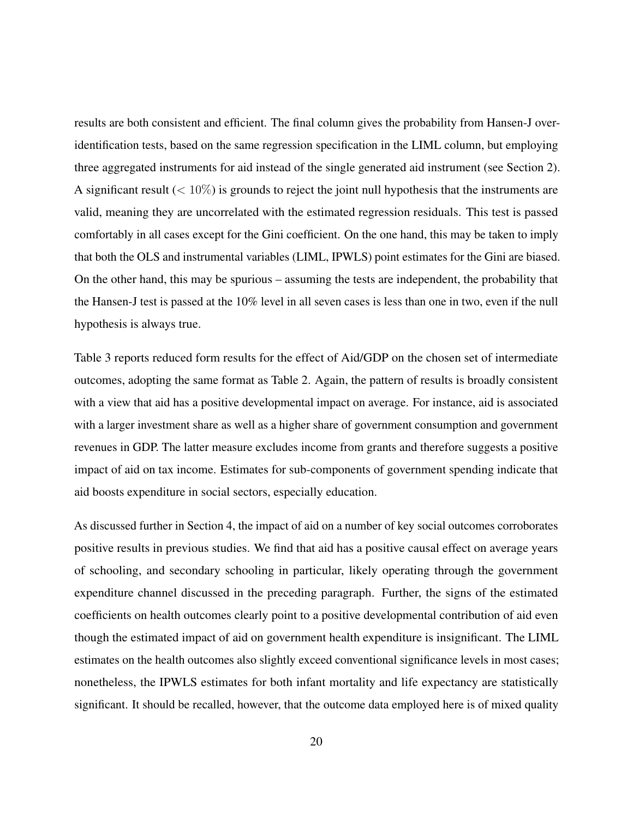results are both consistent and efficient. The final column gives the probability from Hansen-J overidentification tests, based on the same regression specification in the LIML column, but employing three aggregated instruments for aid instead of the single generated aid instrument (see Section [2\)](#page-4-0). A significant result  $(< 10\%)$  is grounds to reject the joint null hypothesis that the instruments are valid, meaning they are uncorrelated with the estimated regression residuals. This test is passed comfortably in all cases except for the Gini coefficient. On the one hand, this may be taken to imply that both the OLS and instrumental variables (LIML, IPWLS) point estimates for the Gini are biased. On the other hand, this may be spurious – assuming the tests are independent, the probability that the Hansen-J test is passed at the 10% level in all seven cases is less than one in two, even if the null hypothesis is always true.

Table [3](#page-18-0) reports reduced form results for the effect of Aid/GDP on the chosen set of intermediate outcomes, adopting the same format as Table [2.](#page-17-0) Again, the pattern of results is broadly consistent with a view that aid has a positive developmental impact on average. For instance, aid is associated with a larger investment share as well as a higher share of government consumption and government revenues in GDP. The latter measure excludes income from grants and therefore suggests a positive impact of aid on tax income. Estimates for sub-components of government spending indicate that aid boosts expenditure in social sectors, especially education.

As discussed further in Section [4,](#page-24-0) the impact of aid on a number of key social outcomes corroborates positive results in previous studies. We find that aid has a positive causal effect on average years of schooling, and secondary schooling in particular, likely operating through the government expenditure channel discussed in the preceding paragraph. Further, the signs of the estimated coefficients on health outcomes clearly point to a positive developmental contribution of aid even though the estimated impact of aid on government health expenditure is insignificant. The LIML estimates on the health outcomes also slightly exceed conventional significance levels in most cases; nonetheless, the IPWLS estimates for both infant mortality and life expectancy are statistically significant. It should be recalled, however, that the outcome data employed here is of mixed quality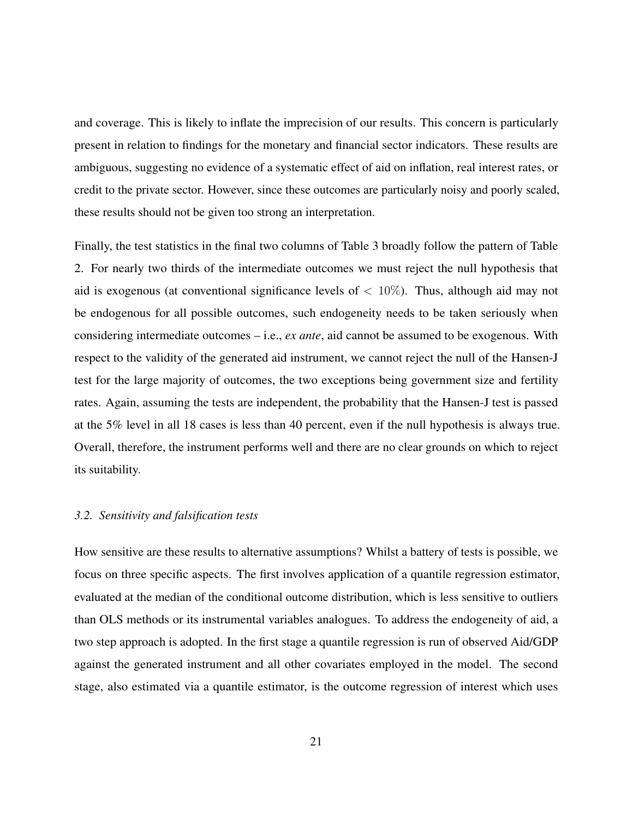and coverage. This is likely to inflate the imprecision of our results. This concern is particularly present in relation to findings for the monetary and financial sector indicators. These results are ambiguous, suggesting no evidence of a systematic effect of aid on inflation, real interest rates, or credit to the private sector. However, since these outcomes are particularly noisy and poorly scaled, these results should not be given too strong an interpretation.

Finally, the test statistics in the final two columns of Table [3](#page-18-0) broadly follow the pattern of Table [2.](#page-17-0) For nearly two thirds of the intermediate outcomes we must reject the null hypothesis that aid is exogenous (at conventional significance levels of  $\langle 10\% \rangle$ ). Thus, although aid may not be endogenous for all possible outcomes, such endogeneity needs to be taken seriously when considering intermediate outcomes – i.e., *ex ante*, aid cannot be assumed to be exogenous. With respect to the validity of the generated aid instrument, we cannot reject the null of the Hansen-J test for the large majority of outcomes, the two exceptions being government size and fertility rates. Again, assuming the tests are independent, the probability that the Hansen-J test is passed at the 5% level in all 18 cases is less than 40 percent, even if the null hypothesis is always true. Overall, therefore, the instrument performs well and there are no clear grounds on which to reject its suitability.

#### *3.2. Sensitivity and falsification tests*

How sensitive are these results to alternative assumptions? Whilst a battery of tests is possible, we focus on three specific aspects. The first involves application of a quantile regression estimator, evaluated at the median of the conditional outcome distribution, which is less sensitive to outliers than OLS methods or its instrumental variables analogues. To address the endogeneity of aid, a two step approach is adopted. In the first stage a quantile regression is run of observed Aid/GDP against the generated instrument and all other covariates employed in the model. The second stage, also estimated via a quantile estimator, is the outcome regression of interest which uses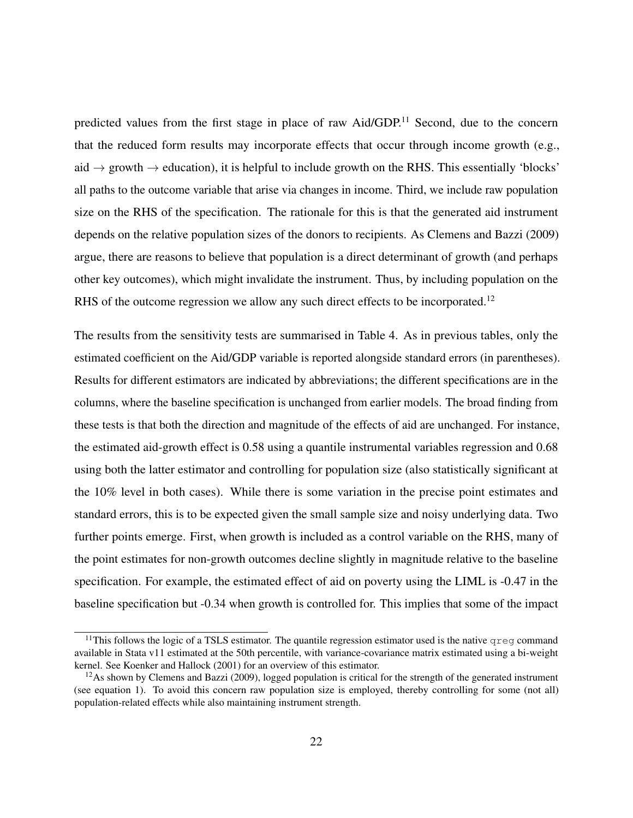predicted values from the first stage in place of raw Aid/GDP.<sup>11</sup> Second, due to the concern that the reduced form results may incorporate effects that occur through income growth (e.g., aid  $\rightarrow$  growth  $\rightarrow$  education), it is helpful to include growth on the RHS. This essentially 'blocks' all paths to the outcome variable that arise via changes in income. Third, we include raw population size on the RHS of the specification. The rationale for this is that the generated aid instrument depends on the relative population sizes of the donors to recipients. As [Clemens and Bazzi](#page-30-5) [\(2009\)](#page-30-5) argue, there are reasons to believe that population is a direct determinant of growth (and perhaps other key outcomes), which might invalidate the instrument. Thus, by including population on the RHS of the outcome regression we allow any such direct effects to be incorporated.<sup>12</sup>

The results from the sensitivity tests are summarised in Table [4.](#page-25-0) As in previous tables, only the estimated coefficient on the Aid/GDP variable is reported alongside standard errors (in parentheses). Results for different estimators are indicated by abbreviations; the different specifications are in the columns, where the baseline specification is unchanged from earlier models. The broad finding from these tests is that both the direction and magnitude of the effects of aid are unchanged. For instance, the estimated aid-growth effect is 0.58 using a quantile instrumental variables regression and 0.68 using both the latter estimator and controlling for population size (also statistically significant at the 10% level in both cases). While there is some variation in the precise point estimates and standard errors, this is to be expected given the small sample size and noisy underlying data. Two further points emerge. First, when growth is included as a control variable on the RHS, many of the point estimates for non-growth outcomes decline slightly in magnitude relative to the baseline specification. For example, the estimated effect of aid on poverty using the LIML is -0.47 in the baseline specification but -0.34 when growth is controlled for. This implies that some of the impact

<sup>&</sup>lt;sup>11</sup>This follows the logic of a TSLS estimator. The quantile regression estimator used is the native  $\alpha$  reg command available in Stata v11 estimated at the 50th percentile, with variance-covariance matrix estimated using a bi-weight kernel. See [Koenker and Hallock](#page-31-10) [\(2001\)](#page-31-10) for an overview of this estimator.

 $12$ As shown by [Clemens and Bazzi](#page-30-5) [\(2009\)](#page-30-5), logged population is critical for the strength of the generated instrument (see equation [1\)](#page-8-2). To avoid this concern raw population size is employed, thereby controlling for some (not all) population-related effects while also maintaining instrument strength.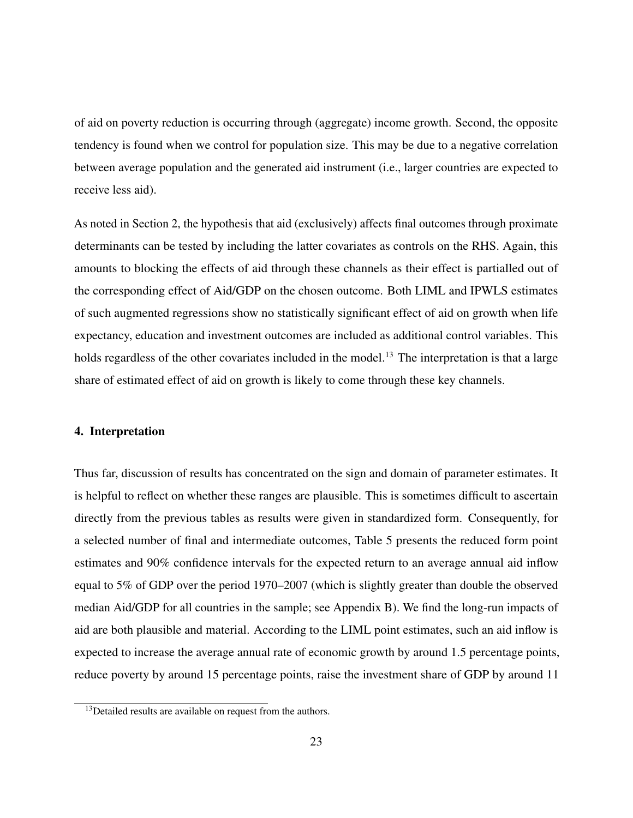of aid on poverty reduction is occurring through (aggregate) income growth. Second, the opposite tendency is found when we control for population size. This may be due to a negative correlation between average population and the generated aid instrument (i.e., larger countries are expected to receive less aid).

As noted in Section [2,](#page-4-0) the hypothesis that aid (exclusively) affects final outcomes through proximate determinants can be tested by including the latter covariates as controls on the RHS. Again, this amounts to blocking the effects of aid through these channels as their effect is partialled out of the corresponding effect of Aid/GDP on the chosen outcome. Both LIML and IPWLS estimates of such augmented regressions show no statistically significant effect of aid on growth when life expectancy, education and investment outcomes are included as additional control variables. This holds regardless of the other covariates included in the model.<sup>13</sup> The interpretation is that a large share of estimated effect of aid on growth is likely to come through these key channels.

#### <span id="page-24-0"></span>4. Interpretation

Thus far, discussion of results has concentrated on the sign and domain of parameter estimates. It is helpful to reflect on whether these ranges are plausible. This is sometimes difficult to ascertain directly from the previous tables as results were given in standardized form. Consequently, for a selected number of final and intermediate outcomes, Table [5](#page-26-0) presents the reduced form point estimates and 90% confidence intervals for the expected return to an average annual aid inflow equal to 5% of GDP over the period 1970–2007 (which is slightly greater than double the observed median Aid/GDP for all countries in the sample; see Appendix B). We find the long-run impacts of aid are both plausible and material. According to the LIML point estimates, such an aid inflow is expected to increase the average annual rate of economic growth by around 1.5 percentage points, reduce poverty by around 15 percentage points, raise the investment share of GDP by around 11

<sup>&</sup>lt;sup>13</sup>Detailed results are available on request from the authors.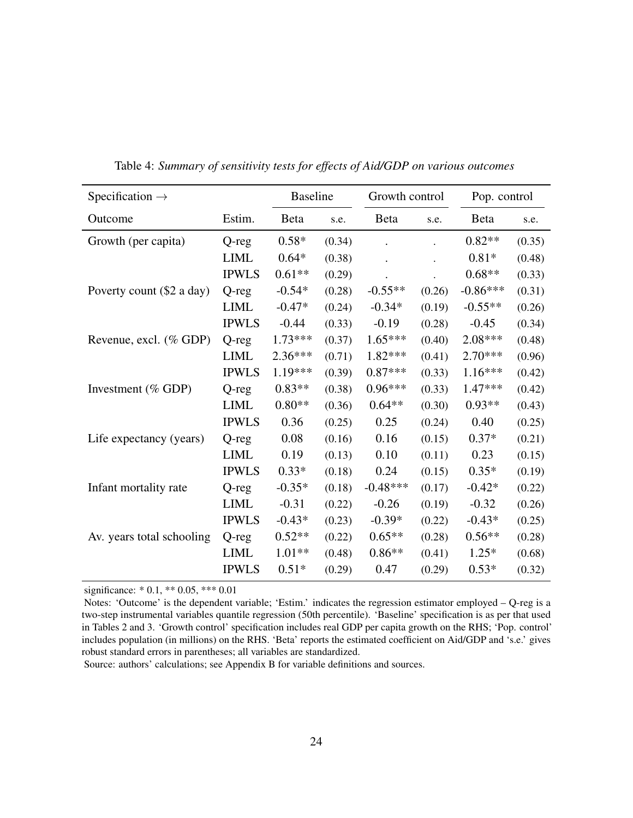| Specification $\rightarrow$ |              | <b>Baseline</b> |        | Growth control |        | Pop. control |        |
|-----------------------------|--------------|-----------------|--------|----------------|--------|--------------|--------|
| Outcome                     | Estim.       | Beta            | s.e.   | <b>Beta</b>    | s.e.   | <b>B</b> eta | s.e.   |
| Growth (per capita)         | Q-reg        | $0.58*$         | (0.34) |                |        | $0.82**$     | (0.35) |
|                             | <b>LIML</b>  | $0.64*$         | (0.38) |                |        | $0.81*$      | (0.48) |
|                             | <b>IPWLS</b> | $0.61**$        | (0.29) |                |        | $0.68**$     | (0.33) |
| Poverty count (\$2 a day)   | $Q$ -reg     | $-0.54*$        | (0.28) | $-0.55**$      | (0.26) | $-0.86***$   | (0.31) |
|                             | <b>LIML</b>  | $-0.47*$        | (0.24) | $-0.34*$       | (0.19) | $-0.55**$    | (0.26) |
|                             | <b>IPWLS</b> | $-0.44$         | (0.33) | $-0.19$        | (0.28) | $-0.45$      | (0.34) |
| Revenue, excl. (% GDP)      | $Q$ -reg     | $1.73***$       | (0.37) | $1.65***$      | (0.40) | 2.08***      | (0.48) |
|                             | <b>LIML</b>  | $2.36***$       | (0.71) | $1.82***$      | (0.41) | $2.70***$    | (0.96) |
|                             | <b>IPWLS</b> | 1.19***         | (0.39) | $0.87***$      | (0.33) | $1.16***$    | (0.42) |
| Investment (% GDP)          | $Q$ -reg     | $0.83**$        | (0.38) | $0.96***$      | (0.33) | $1.47***$    | (0.42) |
|                             | <b>LIML</b>  | $0.80**$        | (0.36) | $0.64**$       | (0.30) | $0.93**$     | (0.43) |
|                             | <b>IPWLS</b> | 0.36            | (0.25) | 0.25           | (0.24) | 0.40         | (0.25) |
| Life expectancy (years)     | Q-reg        | 0.08            | (0.16) | 0.16           | (0.15) | $0.37*$      | (0.21) |
|                             | <b>LIML</b>  | 0.19            | (0.13) | 0.10           | (0.11) | 0.23         | (0.15) |
|                             | <b>IPWLS</b> | $0.33*$         | (0.18) | 0.24           | (0.15) | $0.35*$      | (0.19) |
| Infant mortality rate       | $Q$ -reg     | $-0.35*$        | (0.18) | $-0.48***$     | (0.17) | $-0.42*$     | (0.22) |
|                             | <b>LIML</b>  | $-0.31$         | (0.22) | $-0.26$        | (0.19) | $-0.32$      | (0.26) |
|                             | <b>IPWLS</b> | $-0.43*$        | (0.23) | $-0.39*$       | (0.22) | $-0.43*$     | (0.25) |
| Av. years total schooling   | Q-reg        | $0.52**$        | (0.22) | $0.65**$       | (0.28) | $0.56**$     | (0.28) |
|                             | <b>LIML</b>  | $1.01**$        | (0.48) | $0.86**$       | (0.41) | $1.25*$      | (0.68) |
|                             | <b>IPWLS</b> | $0.51*$         | (0.29) | 0.47           | (0.29) | $0.53*$      | (0.32) |
|                             |              |                 |        |                |        |              |        |

Table 4: *Summary of sensitivity tests for effects of Aid/GDP on various outcomes*

significance: \* 0.1, \*\* 0.05, \*\*\* 0.01

<span id="page-25-0"></span>l.

Notes: 'Outcome' is the dependent variable; 'Estim.' indicates the regression estimator employed – Q-reg is a two-step instrumental variables quantile regression (50th percentile). 'Baseline' specification is as per that used in Tables [2](#page-17-0) and [3.](#page-18-0) 'Growth control' specification includes real GDP per capita growth on the RHS; 'Pop. control' includes population (in millions) on the RHS. 'Beta' reports the estimated coefficient on Aid/GDP and 's.e.' gives robust standard errors in parentheses; all variables are standardized.

Source: authors' calculations; see Appendix B for variable definitions and sources.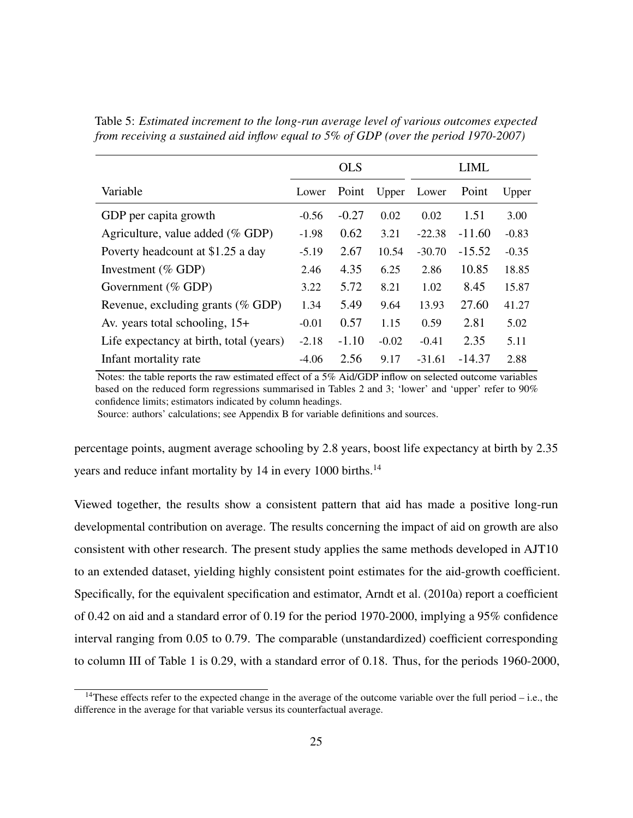<span id="page-26-0"></span>Table 5: *Estimated increment to the long-run average level of various outcomes expected from receiving a sustained aid inflow equal to 5% of GDP (over the period 1970-2007)*

|                                         |         | <b>OLS</b> |         |          | LIML     |         |
|-----------------------------------------|---------|------------|---------|----------|----------|---------|
| Variable                                | Lower   | Point      | Upper   | Lower    | Point    | Upper   |
| GDP per capita growth                   | $-0.56$ | $-0.27$    | 0.02    | 0.02     | 1.51     | 3.00    |
| Agriculture, value added ( $%$ GDP)     | $-1.98$ | 0.62       | 3.21    | $-22.38$ | $-11.60$ | $-0.83$ |
| Poverty headcount at \$1.25 a day       | $-5.19$ | 2.67       | 10.54   | $-30.70$ | $-15.52$ | $-0.35$ |
| Investment ( $%$ GDP)                   | 2.46    | 4.35       | 6.25    | 2.86     | 10.85    | 18.85   |
| Government ( $%$ GDP)                   | 3.22    | 5.72       | 8.21    | 1.02     | 8.45     | 15.87   |
| Revenue, excluding grants (% GDP)       | 1.34    | 5.49       | 9.64    | 13.93    | 27.60    | 41.27   |
| Av. years total schooling, $15+$        | $-0.01$ | 0.57       | 1.15    | 0.59     | 2.81     | 5.02    |
| Life expectancy at birth, total (years) | $-2.18$ | $-1.10$    | $-0.02$ | $-0.41$  | 2.35     | 5.11    |
| Infant mortality rate                   | $-4.06$ | 2.56       | 9.17    | $-31.61$ | $-14.37$ | 2.88    |

Notes: the table reports the raw estimated effect of a 5% Aid/GDP inflow on selected outcome variables based on the reduced form regressions summarised in Tables [2](#page-17-0) and [3;](#page-18-0) 'lower' and 'upper' refer to 90% confidence limits; estimators indicated by column headings.

Source: authors' calculations; see Appendix B for variable definitions and sources.

percentage points, augment average schooling by 2.8 years, boost life expectancy at birth by 2.35 years and reduce infant mortality by 14 in every 1000 births.<sup>14</sup>

Viewed together, the results show a consistent pattern that aid has made a positive long-run developmental contribution on average. The results concerning the impact of aid on growth are also consistent with other research. The present study applies the same methods developed in AJT10 to an extended dataset, yielding highly consistent point estimates for the aid-growth coefficient. Specifically, for the equivalent specification and estimator, [Arndt et al.](#page-29-0) [\(2010a\)](#page-29-0) report a coefficient of 0.42 on aid and a standard error of 0.19 for the period 1970-2000, implying a 95% confidence interval ranging from 0.05 to 0.79. The comparable (unstandardized) coefficient corresponding to column III of Table [1](#page-16-0) is 0.29, with a standard error of 0.18. Thus, for the periods 1960-2000,

<sup>&</sup>lt;sup>14</sup>These effects refer to the expected change in the average of the outcome variable over the full period – i.e., the difference in the average for that variable versus its counterfactual average.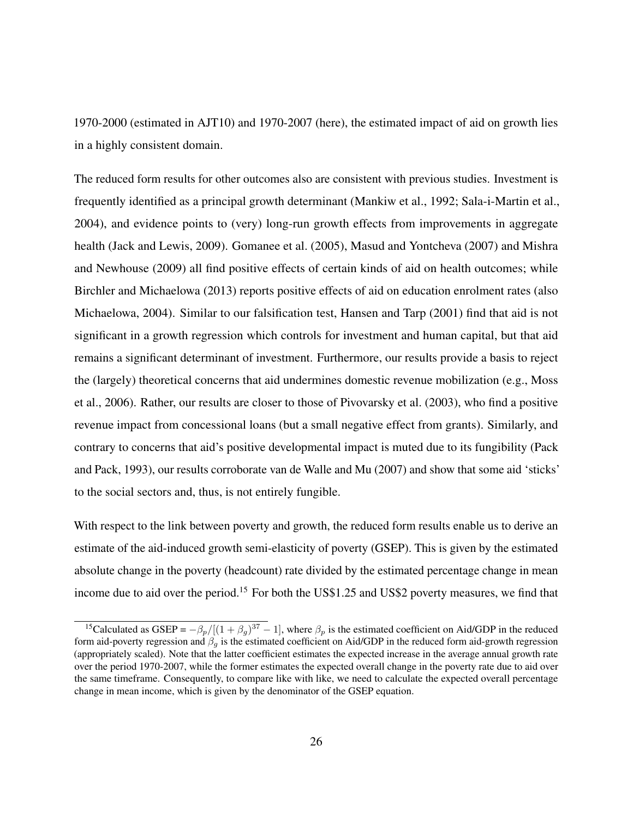1970-2000 (estimated in AJT10) and 1970-2007 (here), the estimated impact of aid on growth lies in a highly consistent domain.

The reduced form results for other outcomes also are consistent with previous studies. Investment is frequently identified as a principal growth determinant [\(Mankiw et al., 1992;](#page-31-7) [Sala-i-Martin et al.,](#page-31-11) [2004\)](#page-31-11), and evidence points to (very) long-run growth effects from improvements in aggregate health [\(Jack and Lewis, 2009\)](#page-30-8). [Gomanee et al.](#page-30-9) [\(2005\)](#page-30-9), [Masud and Yontcheva](#page-31-12) [\(2007\)](#page-31-12) and [Mishra](#page-31-4) [and Newhouse](#page-31-4) [\(2009\)](#page-31-4) all find positive effects of certain kinds of aid on health outcomes; while [Birchler and Michaelowa](#page-30-10) [\(2013\)](#page-30-10) reports positive effects of aid on education enrolment rates (also [Michaelowa, 2004\)](#page-31-13). Similar to our falsification test, [Hansen and Tarp](#page-30-11) [\(2001\)](#page-30-11) find that aid is not significant in a growth regression which controls for investment and human capital, but that aid remains a significant determinant of investment. Furthermore, our results provide a basis to reject the (largely) theoretical concerns that aid undermines domestic revenue mobilization (e.g., [Moss](#page-31-14) [et al., 2006\)](#page-31-14). Rather, our results are closer to those of [Pivovarsky et al.](#page-31-15) [\(2003\)](#page-31-15), who find a positive revenue impact from concessional loans (but a small negative effect from grants). Similarly, and contrary to concerns that aid's positive developmental impact is muted due to its fungibility [\(Pack](#page-31-16) [and Pack, 1993\)](#page-31-16), our results corroborate [van de Walle and Mu](#page-32-6) [\(2007\)](#page-32-6) and show that some aid 'sticks' to the social sectors and, thus, is not entirely fungible.

With respect to the link between poverty and growth, the reduced form results enable us to derive an estimate of the aid-induced growth semi-elasticity of poverty (GSEP). This is given by the estimated absolute change in the poverty (headcount) rate divided by the estimated percentage change in mean income due to aid over the period.<sup>15</sup> For both the US\$1.25 and US\$2 poverty measures, we find that

<sup>&</sup>lt;sup>15</sup>Calculated as GSEP =  $-\beta_p/[(1+\beta_g)^{37}-1]$ , where  $\beta_p$  is the estimated coefficient on Aid/GDP in the reduced form aid-poverty regression and  $\beta_g$  is the estimated coefficient on Aid/GDP in the reduced form aid-growth regression (appropriately scaled). Note that the latter coefficient estimates the expected increase in the average annual growth rate over the period 1970-2007, while the former estimates the expected overall change in the poverty rate due to aid over the same timeframe. Consequently, to compare like with like, we need to calculate the expected overall percentage change in mean income, which is given by the denominator of the GSEP equation.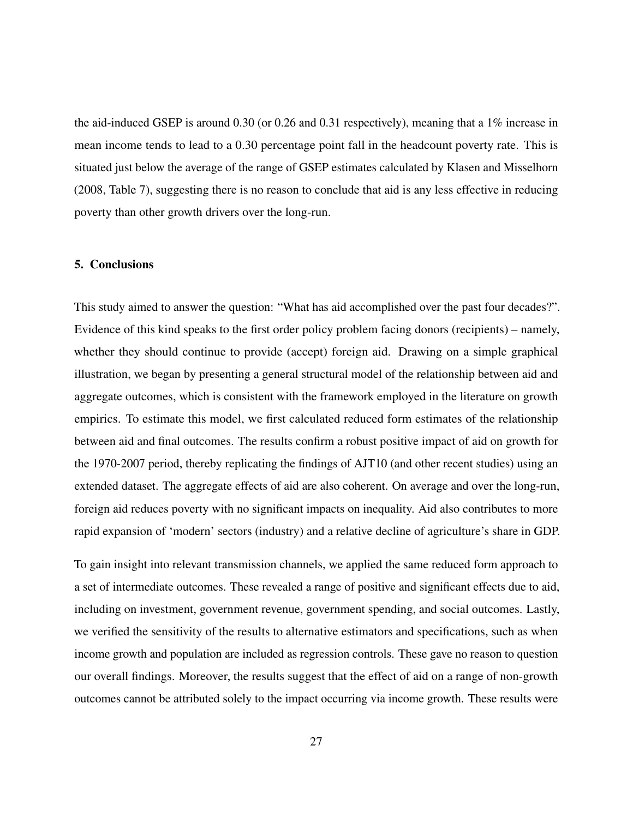the aid-induced GSEP is around 0.30 (or 0.26 and 0.31 respectively), meaning that a 1% increase in mean income tends to lead to a 0.30 percentage point fall in the headcount poverty rate. This is situated just below the average of the range of GSEP estimates calculated by [Klasen and Misselhorn](#page-30-12) [\(2008,](#page-30-12) Table 7), suggesting there is no reason to conclude that aid is any less effective in reducing poverty than other growth drivers over the long-run.

## 5. Conclusions

This study aimed to answer the question: "What has aid accomplished over the past four decades?". Evidence of this kind speaks to the first order policy problem facing donors (recipients) – namely, whether they should continue to provide (accept) foreign aid. Drawing on a simple graphical illustration, we began by presenting a general structural model of the relationship between aid and aggregate outcomes, which is consistent with the framework employed in the literature on growth empirics. To estimate this model, we first calculated reduced form estimates of the relationship between aid and final outcomes. The results confirm a robust positive impact of aid on growth for the 1970-2007 period, thereby replicating the findings of AJT10 (and other recent studies) using an extended dataset. The aggregate effects of aid are also coherent. On average and over the long-run, foreign aid reduces poverty with no significant impacts on inequality. Aid also contributes to more rapid expansion of 'modern' sectors (industry) and a relative decline of agriculture's share in GDP.

To gain insight into relevant transmission channels, we applied the same reduced form approach to a set of intermediate outcomes. These revealed a range of positive and significant effects due to aid, including on investment, government revenue, government spending, and social outcomes. Lastly, we verified the sensitivity of the results to alternative estimators and specifications, such as when income growth and population are included as regression controls. These gave no reason to question our overall findings. Moreover, the results suggest that the effect of aid on a range of non-growth outcomes cannot be attributed solely to the impact occurring via income growth. These results were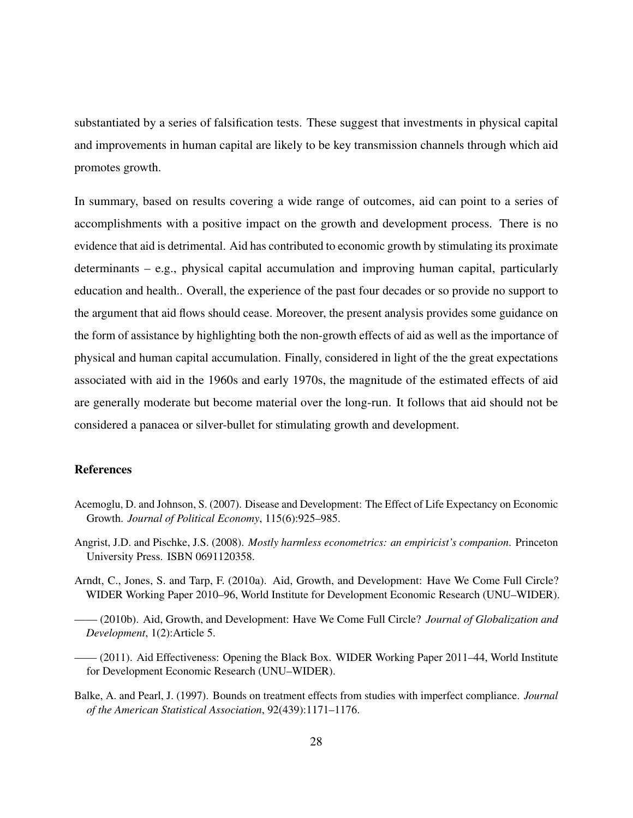substantiated by a series of falsification tests. These suggest that investments in physical capital and improvements in human capital are likely to be key transmission channels through which aid promotes growth.

In summary, based on results covering a wide range of outcomes, aid can point to a series of accomplishments with a positive impact on the growth and development process. There is no evidence that aid is detrimental. Aid has contributed to economic growth by stimulating its proximate determinants – e.g., physical capital accumulation and improving human capital, particularly education and health.. Overall, the experience of the past four decades or so provide no support to the argument that aid flows should cease. Moreover, the present analysis provides some guidance on the form of assistance by highlighting both the non-growth effects of aid as well as the importance of physical and human capital accumulation. Finally, considered in light of the the great expectations associated with aid in the 1960s and early 1970s, the magnitude of the estimated effects of aid are generally moderate but become material over the long-run. It follows that aid should not be considered a panacea or silver-bullet for stimulating growth and development.

#### References

- <span id="page-29-3"></span>Acemoglu, D. and Johnson, S. (2007). Disease and Development: The Effect of Life Expectancy on Economic Growth. *Journal of Political Economy*, 115(6):925–985.
- <span id="page-29-2"></span>Angrist, J.D. and Pischke, J.S. (2008). *Mostly harmless econometrics: an empiricist's companion*. Princeton University Press. ISBN 0691120358.
- <span id="page-29-0"></span>Arndt, C., Jones, S. and Tarp, F. (2010a). Aid, Growth, and Development: Have We Come Full Circle? WIDER Working Paper 2010–96, World Institute for Development Economic Research (UNU–WIDER).
- <span id="page-29-4"></span>—— (2010b). Aid, Growth, and Development: Have We Come Full Circle? *Journal of Globalization and Development*, 1(2):Article 5.
- <span id="page-29-1"></span>—— (2011). Aid Effectiveness: Opening the Black Box. WIDER Working Paper 2011–44, World Institute for Development Economic Research (UNU–WIDER).
- <span id="page-29-5"></span>Balke, A. and Pearl, J. (1997). Bounds on treatment effects from studies with imperfect compliance. *Journal of the American Statistical Association*, 92(439):1171–1176.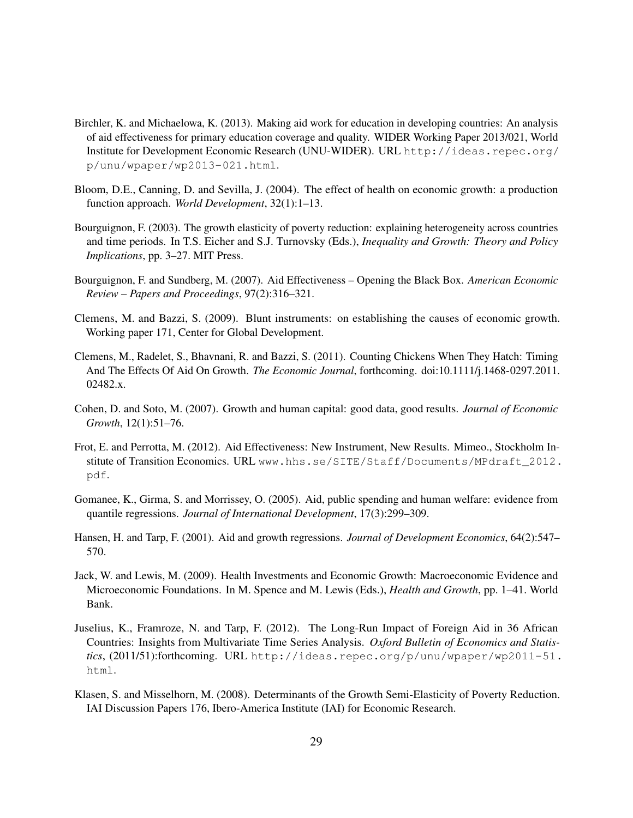- <span id="page-30-10"></span>Birchler, K. and Michaelowa, K. (2013). Making aid work for education in developing countries: An analysis of aid effectiveness for primary education coverage and quality. WIDER Working Paper 2013/021, World Institute for Development Economic Research (UNU-WIDER). URL [http://ideas.repec.org/](http://ideas.repec.org/p/unu/wpaper/wp2013-021.html) [p/unu/wpaper/wp2013-021.html](http://ideas.repec.org/p/unu/wpaper/wp2013-021.html).
- <span id="page-30-7"></span>Bloom, D.E., Canning, D. and Sevilla, J. (2004). The effect of health on economic growth: a production function approach. *World Development*, 32(1):1–13.
- <span id="page-30-6"></span>Bourguignon, F. (2003). The growth elasticity of poverty reduction: explaining heterogeneity across countries and time periods. In T.S. Eicher and S.J. Turnovsky (Eds.), *Inequality and Growth: Theory and Policy Implications*, pp. 3–27. MIT Press.
- <span id="page-30-4"></span>Bourguignon, F. and Sundberg, M. (2007). Aid Effectiveness – Opening the Black Box. *American Economic Review – Papers and Proceedings*, 97(2):316–321.
- <span id="page-30-5"></span>Clemens, M. and Bazzi, S. (2009). Blunt instruments: on establishing the causes of economic growth. Working paper 171, Center for Global Development.
- <span id="page-30-0"></span>Clemens, M., Radelet, S., Bhavnani, R. and Bazzi, S. (2011). Counting Chickens When They Hatch: Timing And The Effects Of Aid On Growth. *The Economic Journal*, forthcoming. doi:10.1111/j.1468-0297.2011. 02482.x.
- <span id="page-30-3"></span>Cohen, D. and Soto, M. (2007). Growth and human capital: good data, good results. *Journal of Economic Growth*, 12(1):51–76.
- <span id="page-30-1"></span>Frot, E. and Perrotta, M. (2012). Aid Effectiveness: New Instrument, New Results. Mimeo., Stockholm Institute of Transition Economics. URL [www.hhs.se/SITE/Staff/Documents/MPdraft\\_2012.](www.hhs.se/SITE/Staff/Documents/MPdraft_2012.pdf) [pdf](www.hhs.se/SITE/Staff/Documents/MPdraft_2012.pdf).
- <span id="page-30-9"></span>Gomanee, K., Girma, S. and Morrissey, O. (2005). Aid, public spending and human welfare: evidence from quantile regressions. *Journal of International Development*, 17(3):299–309.
- <span id="page-30-11"></span>Hansen, H. and Tarp, F. (2001). Aid and growth regressions. *Journal of Development Economics*, 64(2):547– 570.
- <span id="page-30-8"></span>Jack, W. and Lewis, M. (2009). Health Investments and Economic Growth: Macroeconomic Evidence and Microeconomic Foundations. In M. Spence and M. Lewis (Eds.), *Health and Growth*, pp. 1–41. World Bank.
- <span id="page-30-2"></span>Juselius, K., Framroze, N. and Tarp, F. (2012). The Long-Run Impact of Foreign Aid in 36 African Countries: Insights from Multivariate Time Series Analysis. *Oxford Bulletin of Economics and Statistics*, (2011/51):forthcoming. URL [http://ideas.repec.org/p/unu/wpaper/wp2011-51.](http://ideas.repec.org/p/unu/wpaper/wp2011-51.html) [html](http://ideas.repec.org/p/unu/wpaper/wp2011-51.html).
- <span id="page-30-12"></span>Klasen, S. and Misselhorn, M. (2008). Determinants of the Growth Semi-Elasticity of Poverty Reduction. IAI Discussion Papers 176, Ibero-America Institute (IAI) for Economic Research.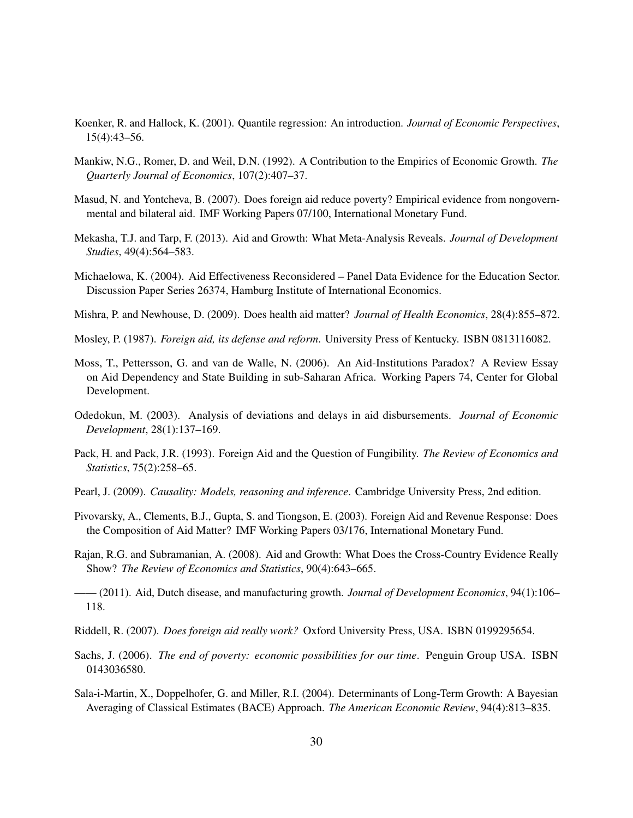- <span id="page-31-10"></span>Koenker, R. and Hallock, K. (2001). Quantile regression: An introduction. *Journal of Economic Perspectives*, 15(4):43–56.
- <span id="page-31-7"></span>Mankiw, N.G., Romer, D. and Weil, D.N. (1992). A Contribution to the Empirics of Economic Growth. *The Quarterly Journal of Economics*, 107(2):407–37.
- <span id="page-31-12"></span>Masud, N. and Yontcheva, B. (2007). Does foreign aid reduce poverty? Empirical evidence from nongovernmental and bilateral aid. IMF Working Papers 07/100, International Monetary Fund.
- <span id="page-31-1"></span>Mekasha, T.J. and Tarp, F. (2013). Aid and Growth: What Meta-Analysis Reveals. *Journal of Development Studies*, 49(4):564–583.
- <span id="page-31-13"></span>Michaelowa, K. (2004). Aid Effectiveness Reconsidered – Panel Data Evidence for the Education Sector. Discussion Paper Series 26374, Hamburg Institute of International Economics.
- <span id="page-31-4"></span>Mishra, P. and Newhouse, D. (2009). Does health aid matter? *Journal of Health Economics*, 28(4):855–872.
- <span id="page-31-2"></span>Mosley, P. (1987). *Foreign aid, its defense and reform*. University Press of Kentucky. ISBN 0813116082.
- <span id="page-31-14"></span>Moss, T., Pettersson, G. and van de Walle, N. (2006). An Aid-Institutions Paradox? A Review Essay on Aid Dependency and State Building in sub-Saharan Africa. Working Papers 74, Center for Global Development.
- <span id="page-31-8"></span>Odedokun, M. (2003). Analysis of deviations and delays in aid disbursements. *Journal of Economic Development*, 28(1):137–169.
- <span id="page-31-16"></span>Pack, H. and Pack, J.R. (1993). Foreign Aid and the Question of Fungibility. *The Review of Economics and Statistics*, 75(2):258–65.
- <span id="page-31-6"></span>Pearl, J. (2009). *Causality: Models, reasoning and inference*. Cambridge University Press, 2nd edition.
- <span id="page-31-15"></span>Pivovarsky, A., Clements, B.J., Gupta, S. and Tiongson, E. (2003). Foreign Aid and Revenue Response: Does the Composition of Aid Matter? IMF Working Papers 03/176, International Monetary Fund.
- <span id="page-31-0"></span>Rajan, R.G. and Subramanian, A. (2008). Aid and Growth: What Does the Cross-Country Evidence Really Show? *The Review of Economics and Statistics*, 90(4):643–665.
- <span id="page-31-9"></span>—— (2011). Aid, Dutch disease, and manufacturing growth. *Journal of Development Economics*, 94(1):106– 118.
- <span id="page-31-3"></span>Riddell, R. (2007). *Does foreign aid really work?* Oxford University Press, USA. ISBN 0199295654.
- <span id="page-31-5"></span>Sachs, J. (2006). *The end of poverty: economic possibilities for our time*. Penguin Group USA. ISBN 0143036580.
- <span id="page-31-11"></span>Sala-i-Martin, X., Doppelhofer, G. and Miller, R.I. (2004). Determinants of Long-Term Growth: A Bayesian Averaging of Classical Estimates (BACE) Approach. *The American Economic Review*, 94(4):813–835.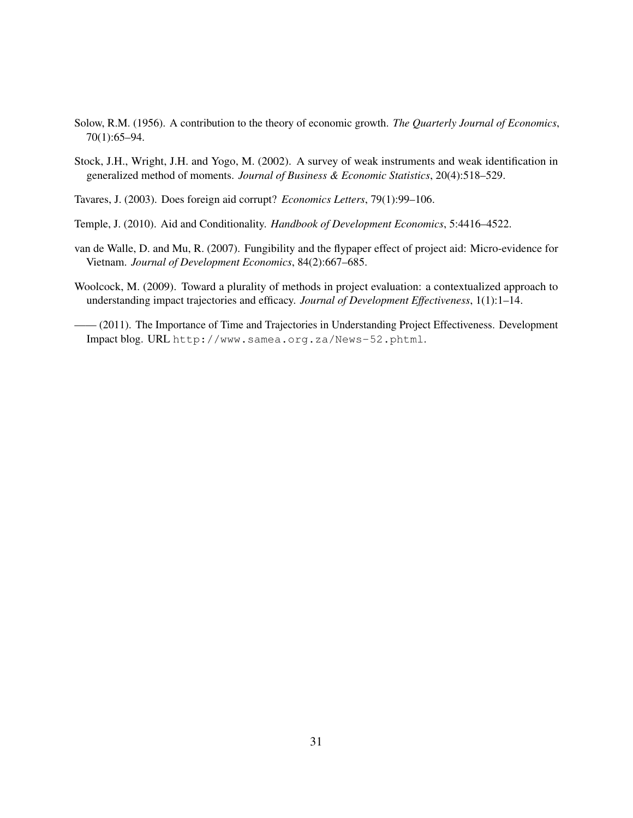- <span id="page-32-0"></span>Solow, R.M. (1956). A contribution to the theory of economic growth. *The Quarterly Journal of Economics*, 70(1):65–94.
- <span id="page-32-5"></span>Stock, J.H., Wright, J.H. and Yogo, M. (2002). A survey of weak instruments and weak identification in generalized method of moments. *Journal of Business & Economic Statistics*, 20(4):518–529.
- <span id="page-32-2"></span>Tavares, J. (2003). Does foreign aid corrupt? *Economics Letters*, 79(1):99–106.
- <span id="page-32-1"></span>Temple, J. (2010). Aid and Conditionality. *Handbook of Development Economics*, 5:4416–4522.
- <span id="page-32-6"></span>van de Walle, D. and Mu, R. (2007). Fungibility and the flypaper effect of project aid: Micro-evidence for Vietnam. *Journal of Development Economics*, 84(2):667–685.
- <span id="page-32-4"></span>Woolcock, M. (2009). Toward a plurality of methods in project evaluation: a contextualized approach to understanding impact trajectories and efficacy. *Journal of Development Effectiveness*, 1(1):1–14.
- <span id="page-32-3"></span>—— (2011). The Importance of Time and Trajectories in Understanding Project Effectiveness. Development Impact blog. URL <http://www.samea.org.za/News-52.phtml>.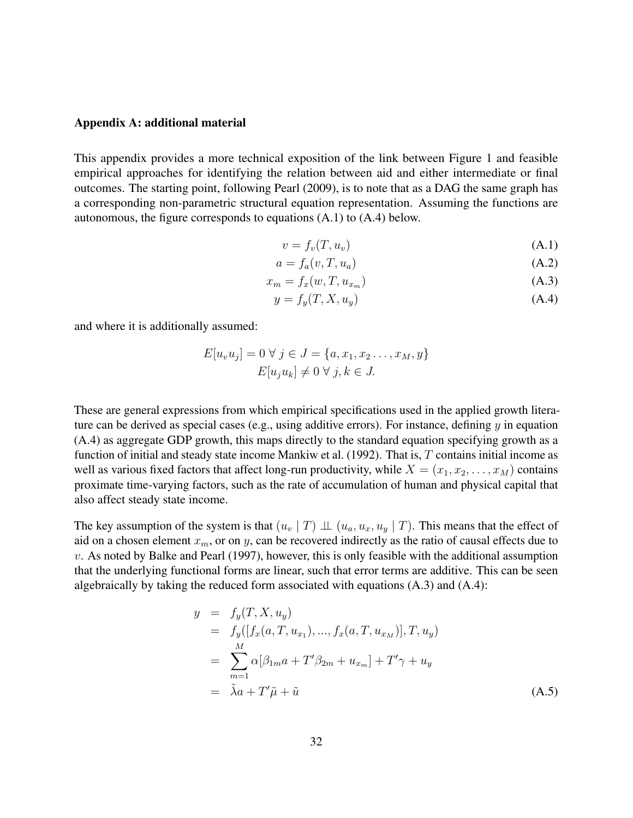#### Appendix A: additional material

This appendix provides a more technical exposition of the link between Figure [1](#page-7-0) and feasible empirical approaches for identifying the relation between aid and either intermediate or final outcomes. The starting point, following [Pearl](#page-31-6) [\(2009\)](#page-31-6), is to note that as a DAG the same graph has a corresponding non-parametric structural equation representation. Assuming the functions are autonomous, the figure corresponds to equations [\(A.1\)](#page-33-0) to [\(A.4\)](#page-33-1) below.

<span id="page-33-2"></span><span id="page-33-1"></span><span id="page-33-0"></span>
$$
v = f_v(T, u_v) \tag{A.1}
$$

$$
a = f_a(v, T, u_a) \tag{A.2}
$$

$$
x_m = f_x(w, T, u_{x_m})
$$
\n(A.3)

$$
y = f_y(T, X, u_y) \tag{A.4}
$$

and where it is additionally assumed:

$$
E[u_v u_j] = 0 \,\forall \, j \in J = \{a, x_1, x_2 \dots, x_M, y\}
$$

$$
E[u_j u_k] \neq 0 \,\forall \, j, k \in J.
$$

These are general expressions from which empirical specifications used in the applied growth literature can be derived as special cases (e.g., using additive errors). For instance, defining  $y$  in equation [\(A.4\)](#page-33-1) as aggregate GDP growth, this maps directly to the standard equation specifying growth as a function of initial and steady state income [Mankiw et al.](#page-31-7) [\(1992\)](#page-31-7). That is,  $T$  contains initial income as well as various fixed factors that affect long-run productivity, while  $X = (x_1, x_2, \dots, x_M)$  contains proximate time-varying factors, such as the rate of accumulation of human and physical capital that also affect steady state income.

The key assumption of the system is that  $(u_v | T) \perp (u_a, u_x, u_y | T)$ . This means that the effect of aid on a chosen element  $x_m$ , or on y, can be recovered indirectly as the ratio of causal effects due to  $v$ . As noted by [Balke and Pearl](#page-29-5) [\(1997\)](#page-29-5), however, this is only feasible with the additional assumption that the underlying functional forms are linear, such that error terms are additive. This can be seen algebraically by taking the reduced form associated with equations [\(A.3\)](#page-33-2) and [\(A.4\)](#page-33-1):

<span id="page-33-3"></span>
$$
y = f_y(T, X, u_y)
$$
  
=  $f_y([f_x(a, T, u_{x_1}), ..., f_x(a, T, u_{x_M})], T, u_y)$   
=  $\sum_{m=1}^{M} \alpha [\beta_{1m} a + T' \beta_{2m} + u_{x_m}] + T' \gamma + u_y$   
=  $\tilde{\lambda} a + T' \tilde{\mu} + \tilde{u}$  (A.5)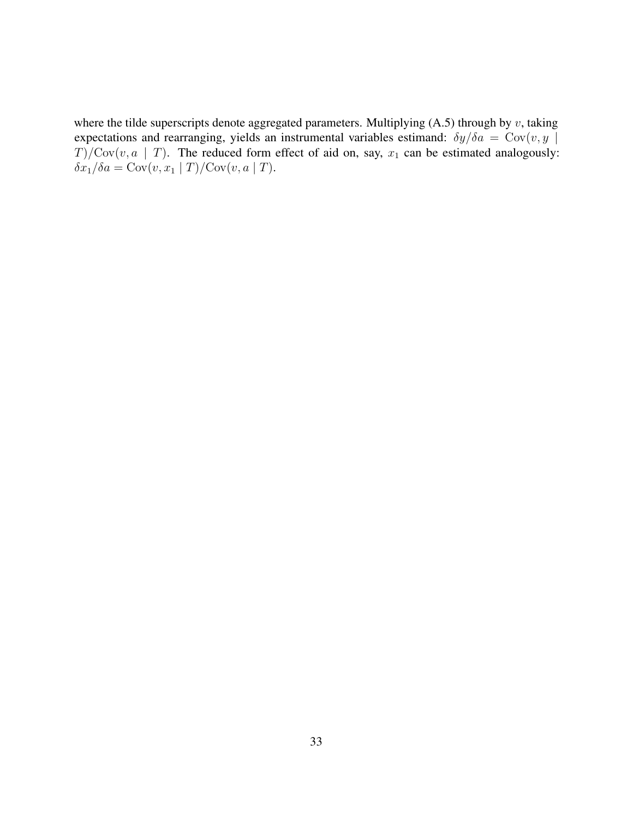where the tilde superscripts denote aggregated parameters. Multiplying  $(A.5)$  through by  $v$ , taking expectations and rearranging, yields an instrumental variables estimand:  $\delta y/\delta a = \text{Cov}(v, y \mid$  $T)/\text{Cov}(v, a \mid T)$ . The reduced form effect of aid on, say,  $x_1$  can be estimated analogously:  $\delta x_1/\delta a = \textrm{Cov}(v,x_1\mid T)/\textrm{Cov}(v,a\mid T).$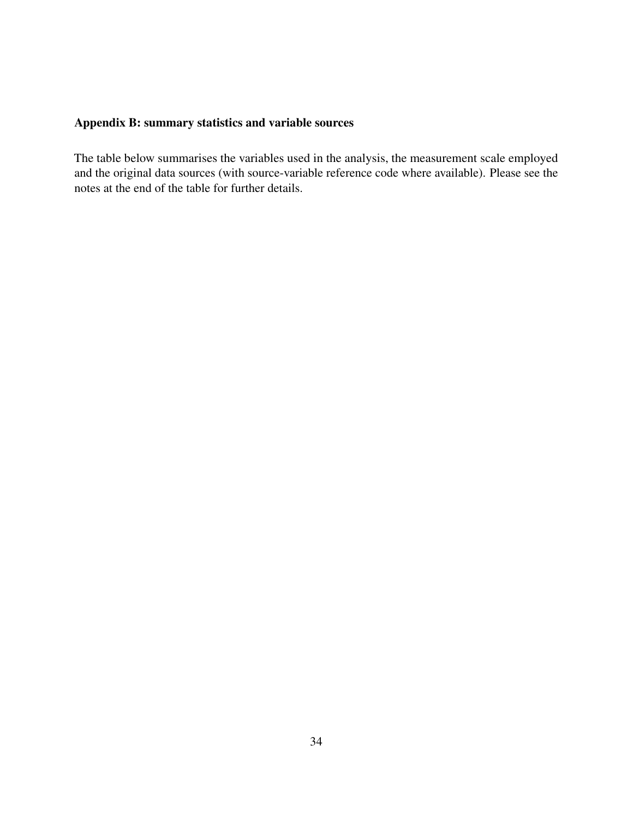# Appendix B: summary statistics and variable sources

The table below summarises the variables used in the analysis, the measurement scale employed and the original data sources (with source-variable reference code where available). Please see the notes at the end of the table for further details.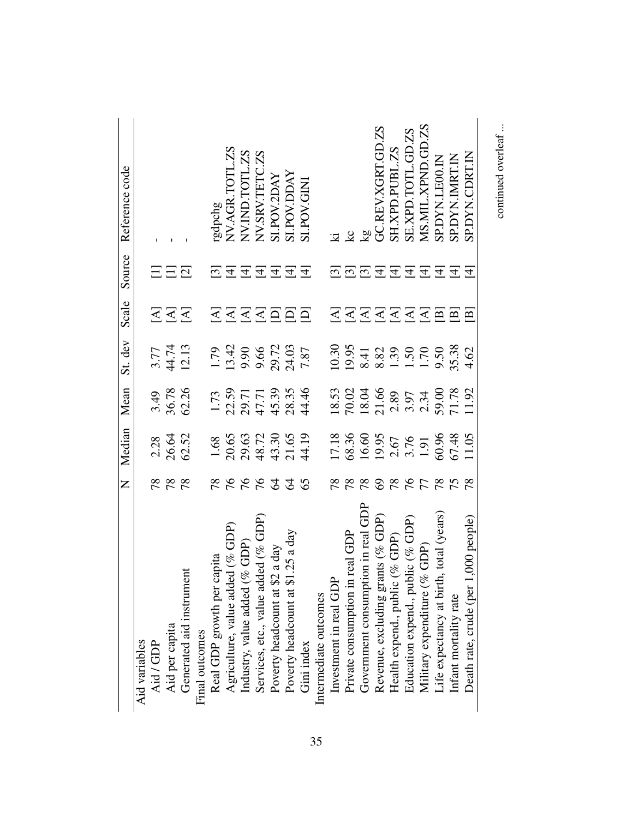|                                             | Z             | Median                                                                         | Mean                                                            | St. dev                                                                        | Scale             | Source          | Reference code          |
|---------------------------------------------|---------------|--------------------------------------------------------------------------------|-----------------------------------------------------------------|--------------------------------------------------------------------------------|-------------------|-----------------|-------------------------|
| Aid variables                               |               |                                                                                |                                                                 |                                                                                |                   |                 |                         |
| Aid/GDP                                     |               |                                                                                |                                                                 |                                                                                |                   |                 |                         |
| Aid per capita                              | 8828          | $2.28$<br>$26.64$                                                              | 3.49<br>36.78                                                   | $3.77$<br>44.74<br>12.13                                                       | $\Xi$ $\Xi$ $\Xi$ | $\Xi\,\Xi\,\Xi$ |                         |
| Generated aid instrument                    |               | 62.52                                                                          | 62.26                                                           |                                                                                |                   |                 |                         |
| Final outcomes                              |               |                                                                                |                                                                 |                                                                                |                   |                 |                         |
| capita<br>Real GDP growth per               |               |                                                                                |                                                                 | 1.79                                                                           |                   | $\Xi$           | rgdpchg                 |
| Agriculture, value added (% GDP)            |               | 1.68<br>20.65                                                                  |                                                                 |                                                                                |                   |                 | NV.AGR.TOTL.ZS          |
| $(\%$ GDP)<br>Industry, value added (       | 88666         |                                                                                |                                                                 |                                                                                |                   |                 | NV.IND.TOTL.ZS          |
| Services, etc., value added (% GDP)         |               |                                                                                |                                                                 |                                                                                |                   |                 | NV.SRV.TET              |
| Poverty headcount at \$2 a day              | $\mathcal{R}$ |                                                                                |                                                                 |                                                                                |                   |                 | SI.POV.2DAY             |
| Poverty headcount at \$1.25 a day           | $\mathcal{R}$ | 29.63<br>48.72<br>43.30<br>44.19<br>44.19                                      | $1.73$<br>$22.59$<br>$47.71$<br>$45.39$<br>$48.35$<br>$44.46$   | $\begin{array}{c} 13.42 \\ 9.90 \\ 9.66 \\ 29.72 \\ 24.03 \\ 7.87 \end{array}$ |                   |                 | <b>SI.POV.DDAY</b>      |
| Gini index                                  | 65            |                                                                                |                                                                 |                                                                                | 医医医医巨巨            | <u> 프로프로프</u>   | <b>SI.POV.GINI</b>      |
| Intermediate outcomes                       |               |                                                                                |                                                                 |                                                                                |                   |                 |                         |
| Investment in real GDP                      | 87            | 17.18                                                                          |                                                                 | 10.30<br>19.95                                                                 |                   | $\Xi$           |                         |
| Private consumption in real GDP             | 78            |                                                                                |                                                                 |                                                                                |                   |                 |                         |
| Government consumption in real GDP          |               |                                                                                |                                                                 | 8.41                                                                           |                   |                 | $\overline{\mathbf{k}}$ |
| Revenue, excluding grants (% GDP)           |               |                                                                                |                                                                 |                                                                                |                   |                 | GC.REV.XGRT.GD.ZS       |
| Health expend., public (% GDP)              |               |                                                                                |                                                                 |                                                                                |                   |                 | SH.XPD.PUBL.ZS          |
| Education expend., public (% GDP)           |               |                                                                                |                                                                 |                                                                                |                   |                 | SE.XPD.TOTL.GD.ZS       |
| Military expenditure (% GDP)                | 88878         | $\begin{array}{c} 68.36 \\ 16.60 \\ 19.95 \\ 2.67 \\ 3.76 \\ 1.91 \end{array}$ | $\frac{18.53}{70.02}$<br>70.02<br>18.04<br>2.89<br>2.34<br>2.34 | $8.82$<br>1.39<br>1.50<br>1.70<br>9.50                                         | 医医医医医区医回          |                 | MS.MIL.XPND.GD.ZS       |
| h, total (years)<br>Life expectancy at birt |               | 60.96<br>67.48                                                                 | 59.00<br>71.78                                                  |                                                                                |                   |                 | SP.DYN.LE00.IN          |
| Infant mortality rate                       |               |                                                                                |                                                                 | 35.38                                                                          |                   |                 | SP.DYN.IMRT.IN          |
| $1,000$ people)<br>Death rate, crude (per   | 78            | 11.05                                                                          | 1.92                                                            | 4.62                                                                           | $\mathbf{B}$      | $\overline{A}$  | SP.DYN.CDRT.IN          |
|                                             |               |                                                                                |                                                                 |                                                                                |                   |                 |                         |

continued overleaf ...

continued overleaf ...

35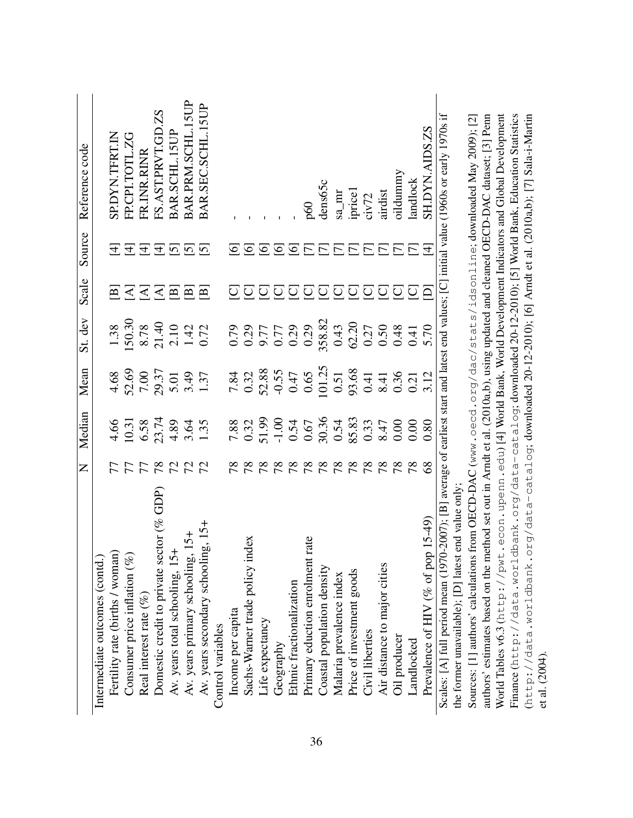|                                                        | Z               | Median                                                                                                                                                                                                                                                                                                        | Mean                                                                                                                                                                                            | St. dev                                                                                | Scale                         | Source                   | Reference code                                                                              |
|--------------------------------------------------------|-----------------|---------------------------------------------------------------------------------------------------------------------------------------------------------------------------------------------------------------------------------------------------------------------------------------------------------------|-------------------------------------------------------------------------------------------------------------------------------------------------------------------------------------------------|----------------------------------------------------------------------------------------|-------------------------------|--------------------------|---------------------------------------------------------------------------------------------|
| Intermediate outcomes (contd.)                         |                 |                                                                                                                                                                                                                                                                                                               |                                                                                                                                                                                                 |                                                                                        |                               |                          |                                                                                             |
| Fertility rate (births / woman                         |                 |                                                                                                                                                                                                                                                                                                               |                                                                                                                                                                                                 |                                                                                        |                               | $\overline{\mathcal{A}}$ | SP.DYN.TFRT.IN                                                                              |
| Consumer price inflation (%)                           | $\mathcal{L}$   |                                                                                                                                                                                                                                                                                                               |                                                                                                                                                                                                 |                                                                                        |                               | $\mathcal{A}$            | FP.CPI.TOTL.ZG                                                                              |
| Real interest rate $(\%)$                              | 77              |                                                                                                                                                                                                                                                                                                               |                                                                                                                                                                                                 |                                                                                        |                               |                          | FR. INR. RINR                                                                               |
| Domestic credit to private sector (% GDP               | 78              |                                                                                                                                                                                                                                                                                                               |                                                                                                                                                                                                 |                                                                                        |                               |                          | FS.AST.PRVT.GI                                                                              |
| Av. years total schooling, 15+                         | $\overline{z}$  |                                                                                                                                                                                                                                                                                                               |                                                                                                                                                                                                 |                                                                                        |                               |                          | BAR.SCHL.15UH                                                                               |
| Av. years primary schooling,                           | $\mathcal{L}$   |                                                                                                                                                                                                                                                                                                               |                                                                                                                                                                                                 |                                                                                        |                               | <u>a a a a a</u>         | BAR.PRM.SCHL.15U                                                                            |
| Av. years secondary schoolin                           |                 | $4.66$<br>10.31<br>6.58<br>6.74<br>4.35<br>1.35                                                                                                                                                                                                                                                               | $4.68$<br>$52.69$<br>$7.00$<br>$7.01$<br>$5.01$<br>$3.49$<br>$1.37$                                                                                                                             | $\begin{array}{c} 1.38 \\ -50.30 \\ 8.78 \\ 21.40 \\ 2.10 \\ 1.42 \\ 0.72 \end{array}$ | 国区区区国国国                       |                          | BAR.SEC.SCHL.15UP                                                                           |
| Control variables                                      |                 |                                                                                                                                                                                                                                                                                                               |                                                                                                                                                                                                 |                                                                                        |                               |                          |                                                                                             |
| Income per capita                                      |                 |                                                                                                                                                                                                                                                                                                               |                                                                                                                                                                                                 |                                                                                        |                               | ِّص                      |                                                                                             |
| dex<br>Sachs-Warner trade policy in                    |                 |                                                                                                                                                                                                                                                                                                               |                                                                                                                                                                                                 |                                                                                        |                               | $\overline{\mathcal{P}}$ |                                                                                             |
| Life expectancy                                        |                 |                                                                                                                                                                                                                                                                                                               |                                                                                                                                                                                                 |                                                                                        | $\overline{C}$ $\overline{C}$ | $\overline{9}$           |                                                                                             |
| Geography                                              |                 |                                                                                                                                                                                                                                                                                                               |                                                                                                                                                                                                 |                                                                                        | $\overline{O}$                | $\overline{\omega}$      |                                                                                             |
| Ethnic fractionalization                               | 78              |                                                                                                                                                                                                                                                                                                               |                                                                                                                                                                                                 |                                                                                        |                               | $\overline{\mathcal{O}}$ |                                                                                             |
| rate<br>Primary eduction enrolment                     | $\overline{78}$ |                                                                                                                                                                                                                                                                                                               |                                                                                                                                                                                                 |                                                                                        |                               | $\overline{L}$           | 60 <sub>q</sub>                                                                             |
| Coastal population density                             | 78              | $\begin{array}{c} 7.88 \\ 0.32 \\ 0.51.99 \\ 0.54 \\ 0.55 \\ 0.54 \\ 0.56 \\ 0.54 \\ 0.54 \\ 0.54 \\ 0.54 \\ 0.54 \\ 0.54 \\ 0.54 \\ 0.54 \\ 0.54 \\ 0.55 \\ 0.54 \\ 0.56 \\ 0.54 \\ 0.55 \\ 0.55 \\ 0.56 \\ 0.57 \\ 0.58 \\ 0.59 \\ 0.59 \\ 0.54 \\ 0.58 \\ 0.57 \\ 0.59 \\ 0.59 \\ 0.59 \\ 0.59 \\ 0.59 \\$ | $7.84\n0.32\n0.38\n0.47\n0.51\n0.53\n0.54\n0.54\n0.54\n0.54\n0.54\n0.54\n0.54\n0.54\n0.54\n0.54\n0.54\n0.54\n0.54\n0.54\n0.55\n0.56\n0.56\n0.57\n0.59\n0.59\n0.59\n0.59\n0.59\n0.59\n0.59\n0.5$ |                                                                                        | 000000                        | $\overline{\phantom{a}}$ | dens65c                                                                                     |
| Malaria prevalence index                               | 78              |                                                                                                                                                                                                                                                                                                               |                                                                                                                                                                                                 |                                                                                        |                               | ŗ                        | $a_{m}$                                                                                     |
| Price of investment goods                              | 78              |                                                                                                                                                                                                                                                                                                               |                                                                                                                                                                                                 |                                                                                        |                               |                          | iprice1<br>civ72                                                                            |
| Civil liberties                                        | 78              |                                                                                                                                                                                                                                                                                                               |                                                                                                                                                                                                 |                                                                                        |                               |                          |                                                                                             |
| Air distance to major cities                           |                 |                                                                                                                                                                                                                                                                                                               |                                                                                                                                                                                                 |                                                                                        | $\overline{C}$                |                          | airdist                                                                                     |
| Oil producer                                           | 78              |                                                                                                                                                                                                                                                                                                               |                                                                                                                                                                                                 |                                                                                        |                               |                          | oildunmy                                                                                    |
| Landlocked                                             |                 |                                                                                                                                                                                                                                                                                                               |                                                                                                                                                                                                 |                                                                                        | $\overline{C}$                |                          | landlock                                                                                    |
| $15-49$<br>Prevalence of HIV (% of pop                 | 68              | 0.80                                                                                                                                                                                                                                                                                                          | 3.12                                                                                                                                                                                            | 5.70                                                                                   | $\overline{\square}$          | $\mathcal{A}$            | <b>SH.DYN.AIDS.ZS</b>                                                                       |
| $-2007$ ); [B]<br>Scales: [A] full period mean (1970   |                 |                                                                                                                                                                                                                                                                                                               |                                                                                                                                                                                                 |                                                                                        |                               |                          | average of earliest start and latest end values; [C] initial value (1960s or early 1970s if |
| end value only;<br>the former unavailable); [D] latest |                 |                                                                                                                                                                                                                                                                                                               |                                                                                                                                                                                                 |                                                                                        |                               |                          |                                                                                             |

authors' estimates based on the method set out in Arndt et al. (2010a,b), using updated and cleaned OECD-DAC dataset; [3] Penn World Tables v6.3 (http://pwt.econ.upenn.edu) [4] World Bank, World Development Indicators and Global Development Finance (http://data.worldbank.org/data-catalog; downloaded 20-12-2010); [5] World Bank, Education Statistics (http://data.worldbank.org/data-catalog; downloaded 20-12-2010); [6] Amdt et al. (2010a,b); [7] Sala-i-Martin Sources: [1] authors' calculations from OECD-DAC (www.oecd.org/dac/stats/idsonline; downloaded May 2009); [2] authors' estimates based on the method set out in [Arndt](#page-29-0) et al. [\(2010a,](#page-29-0)[b\)](#page-29-4), using updated and cleaned OECD-DAC dataset; [3] Penn World Tables v6.3 (<http://pwt.econ.upenn.edu>) [4] World Bank, World Development Indicators and Global Development Finance (<http://data.worldbank.org/data-catalog>; downloaded 20-12-2010); [5] World Bank, Education Statistics (<http://data.worldbank.org/data-catalog>; downloaded 20-12-2010); [6] [Arndt](#page-29-0) et al. [\(2010a,](#page-29-0)[b\)](#page-29-4); [7] [Sala-i-Martin](#page-31-11) Sources: [1] authors' calculations from OECD-DAC (<www.oecd.org/dac/stats/idsonline>; downloaded May 2009); [2] et al. (2004). et [al.](#page-31-11) [\(2004\)](#page-31-11).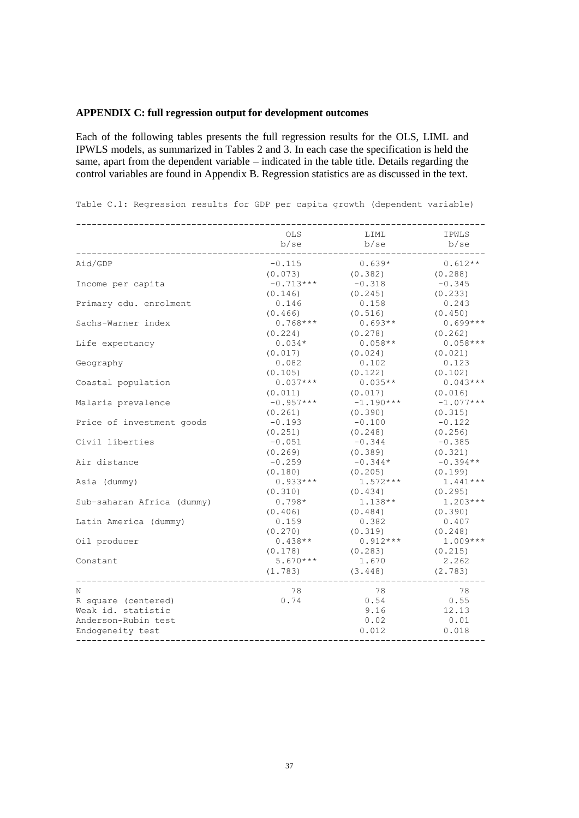# **APPENDIX C: full regression output for development outcomes**

Each of the following tables presents the full regression results for the OLS, LIML and IPWLS models, as summarized in Tables 2 and 3. In each case the specification is held the same, apart from the dependent variable – indicated in the table title. Details regarding the control variables are found in Appendix B. Regression statistics are as discussed in the text.

|                            | OLS.        | LIML        | IPWLS       |
|----------------------------|-------------|-------------|-------------|
|                            | b/se        | b/se        | b/se        |
| Aid/GDP                    | $-0.115$    | $0.639*$    | $0.612**$   |
|                            | (0.073)     | (0.382)     | (0.288)     |
| Income per capita          | $-0.713***$ | $-0.318$    | $-0.345$    |
|                            | (0.146)     | (0.245)     | (0.233)     |
| Primary edu. enrolment     | 0.146       | 0.158       | 0.243       |
|                            | (0.466)     | (0.516)     | (0.450)     |
| Sachs-Warner index         | $0.768***$  | $0.693**$   | $0.699***$  |
|                            | (0.224)     | (0.278)     | (0.262)     |
|                            |             |             | $0.058***$  |
| Life expectancy            | $0.034*$    | $0.058**$   |             |
|                            | (0.017)     | (0.024)     | (0.021)     |
| Geography                  | 0.082       | 0.102       | 0.123       |
|                            | (0.105)     | (0.122)     | (0.102)     |
| Coastal population         | $0.037***$  | $0.035**$   | $0.043***$  |
|                            | (0.011)     | (0.017)     | (0.016)     |
| Malaria prevalence         | $-0.957***$ | $-1.190***$ | $-1.077***$ |
|                            | (0.261)     | (0.390)     | (0.315)     |
| Price of investment goods  | $-0.193$    | $-0.100$    | $-0.122$    |
|                            | (0.251)     | (0.248)     | (0.256)     |
| Civil liberties            | $-0.051$    | $-0.344$    | $-0.385$    |
|                            | (0.269)     | (0.389)     | (0.321)     |
| Air distance               | $-0.259$    | $-0.344*$   | $-0.394**$  |
|                            | (0.180)     | (0.205)     | (0.199)     |
| Asia (dummy)               | $0.933***$  | $1.572***$  | $1.441***$  |
|                            | (0.310)     | (0.434)     | (0.295)     |
| Sub-saharan Africa (dummy) | $0.798*$    | $1.138**$   | $1.203***$  |
|                            | (0.406)     | (0.484)     | (0.390)     |
| Latin America (dummy)      | 0.159       | 0.382       | 0.407       |
|                            | (0.270)     | (0.319)     | (0.248)     |
| Oil producer               | $0.438**$   | $0.912***$  | $1.009***$  |
|                            | (0.178)     | (0.283)     | (0.215)     |
| Constant                   | $5.670***$  | 1.670       | 2.262       |
|                            | (1.783)     | (3.448)     | (2.783)     |
| N                          | 78          | 78          | 78          |
| R square (centered)        | 0.74        | 0.54        | 0.55        |
| Weak id. statistic         |             | 9.16        | 12.13       |
| Anderson-Rubin test        |             | 0.02        | 0.01        |
| Endogeneity test           |             | 0.012       | 0.018       |
|                            |             |             |             |

Table C.1: Regression results for GDP per capita growth (dependent variable)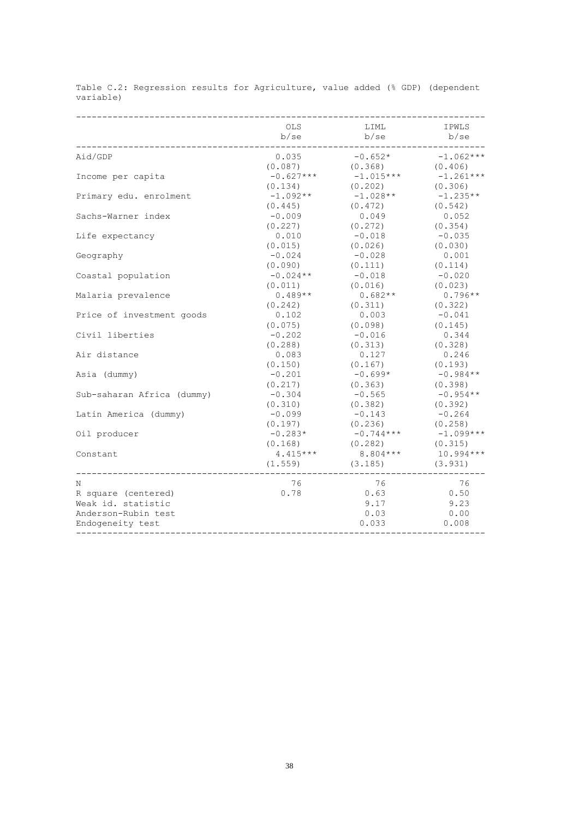|                            | OLS.<br>b/sec | LIML<br>b/sec | IPWLS<br>b/se |
|----------------------------|---------------|---------------|---------------|
|                            |               |               |               |
| Aid/GDP                    | 0.035         | $-0.652*$     | $-1.062***$   |
|                            | (0.087)       | (0.368)       | (0.406)       |
| Income per capita          | $-0.627***$   | $-1.015***$   | $-1.261***$   |
|                            | (0.134)       | (0.202)       | (0.306)       |
| Primary edu. enrolment     | $-1.092**$    | $-1.028**$    | $-1.235**$    |
|                            | (0.445)       | (0.472)       | (0.542)       |
| Sachs-Warner index         | $-0.009$      | 0.049         | 0.052         |
|                            | (0.227)       | (0.272)       | (0.354)       |
| Life expectancy            | 0.010         | $-0.018$      | $-0.035$      |
|                            | (0.015)       | (0.026)       | (0.030)       |
| Geography                  | $-0.024$      | $-0.028$      | 0.001         |
|                            | (0.090)       | (0.111)       | (0.114)       |
| Coastal population         | $-0.024**$    | $-0.018$      | $-0.020$      |
|                            | (0.011)       | (0.016)       | (0.023)       |
| Malaria prevalence         | $0.489**$     | $0.682**$     | $0.796**$     |
|                            | (0.242)       | (0.311)       | (0.322)       |
| Price of investment goods  | 0.102         | 0.003         | $-0.041$      |
|                            | (0.075)       | (0.098)       | (0.145)       |
| Civil liberties            | $-0.202$      | $-0.016$      | 0.344         |
|                            | (0.288)       | (0.313)       | (0.328)       |
| Air distance               | 0.083         | 0.127         | 0.246         |
|                            | (0.150)       | (0.167)       | (0.193)       |
| Asia (dummy)               | $-0.201$      | $-0.699*$     | $-0.984**$    |
|                            | (0.217)       | (0.363)       | (0.398)       |
| Sub-saharan Africa (dummy) | $-0.304$      | $-0.565$      | $-0.954**$    |
|                            | (0.310)       | (0.382)       | (0.392)       |
| Latin America (dummy)      | $-0.099$      | $-0.143$      | $-0.264$      |
|                            | (0.197)       | (0.236)       | (0.258)       |
| Oil producer               | $-0.283*$     | $-0.744***$   | $-1.099***$   |
|                            | (0.168)       | (0.282)       | (0.315)       |
| Constant                   | $4.415***$    | $8.804***$    | 10.994***     |
|                            | (1.559)       | (3.185)       | (3.931)       |
| N                          | 76            | 76            | 76            |
| R square (centered)        | 0.78          | 0.63          | 0.50          |
| Weak id. statistic         |               | 9.17          | 9.23          |
| Anderson-Rubin test        |               | 0.03          | 0.00          |
| Endogeneity test           |               | 0.033         | 0.008         |
|                            |               |               |               |

Table C.2: Regression results for Agriculture, value added (% GDP) (dependent variable)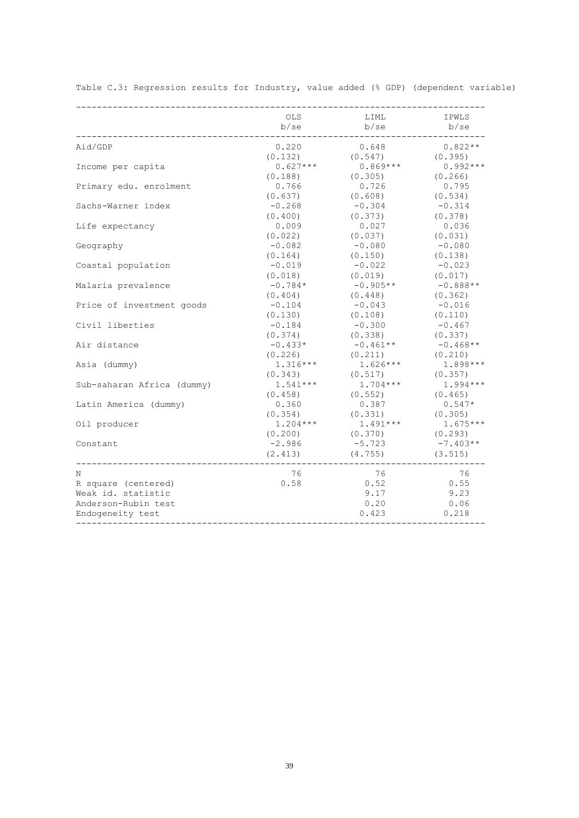|                                                                                           | OLS        | LIML                                | IPWLS                               |
|-------------------------------------------------------------------------------------------|------------|-------------------------------------|-------------------------------------|
|                                                                                           | b/se       | b/sec                               | b/se                                |
| Aid/GDP                                                                                   | 0.220      | 0.648                               | $0.822**$                           |
|                                                                                           | (0.132)    | (0.547)                             | (0.395)                             |
| Income per capita                                                                         | $0.627***$ | $0.869***$                          | $0.992***$                          |
|                                                                                           | (0.188)    | (0.305)                             | (0.266)                             |
| Primary edu. enrolment                                                                    | 0.766      | 0.726                               | 0.795                               |
|                                                                                           | (0.637)    | (0.608)                             | (0.534)                             |
| Sachs-Warner index                                                                        | $-0.268$   | $-0.304$                            | $-0.314$                            |
|                                                                                           | (0.400)    | (0.373)                             | (0.378)                             |
| Life expectancy                                                                           | 0.009      | 0.027                               | 0.036                               |
|                                                                                           | (0.022)    | (0.037)                             | (0.031)                             |
| Geography                                                                                 | $-0.082$   | $-0.080$                            | $-0.080$                            |
|                                                                                           | (0.164)    | (0.150)                             | (0.138)                             |
| Coastal population                                                                        | $-0.019$   | $-0.022$                            | $-0.023$                            |
|                                                                                           | (0.018)    | (0.019)                             | (0.017)                             |
| Malaria prevalence                                                                        | $-0.784*$  | $-0.905**$                          | $-0.888**$                          |
|                                                                                           | (0.404)    | (0.448)                             | (0.362)                             |
| Price of investment goods                                                                 | $-0.104$   | $-0.043$                            | $-0.016$                            |
|                                                                                           | (0.130)    | (0.108)                             | (0.110)                             |
| Civil liberties                                                                           | $-0.184$   | $-0.300$                            | $-0.467$                            |
|                                                                                           | (0.374)    | (0.338)                             | (0.337)                             |
| Air distance                                                                              | $-0.433*$  | $-0.461**$                          | $-0.468**$                          |
|                                                                                           | (0, 226)   | (0.211)                             | (0, 210)                            |
| Asia (dummy)                                                                              | $1.316***$ | $1.626***$                          | 1.898***                            |
|                                                                                           | (0.343)    | (0.517)                             | (0.357)                             |
| Sub-saharan Africa (dummy)                                                                | $1.541***$ | $1.704***$                          | $1.994***$                          |
|                                                                                           | (0.458)    | (0.552)                             | (0.465)                             |
| Latin America (dummy)                                                                     | 0.360      | 0.387                               | $0.547*$                            |
|                                                                                           | (0.354)    | (0.331)                             | (0.305)                             |
| Oil producer                                                                              | $1.204***$ | $1.491***$                          | $1.675***$                          |
|                                                                                           | (0.200)    | (0.370)                             | (0.293)                             |
| Constant                                                                                  | $-2.986$   | $-5.723$                            | $-7.403**$                          |
|                                                                                           | (2.413)    | (4.755)                             | (3.515)                             |
| Ν<br>R square (centered)<br>Weak id. statistic<br>Anderson-Rubin test<br>Endogeneity test | 76<br>0.58 | 76<br>0.52<br>9.17<br>0.20<br>0.423 | 76<br>0.55<br>9.23<br>0.06<br>0.218 |

Table C.3: Regression results for Industry, value added (% GDP) (dependent variable)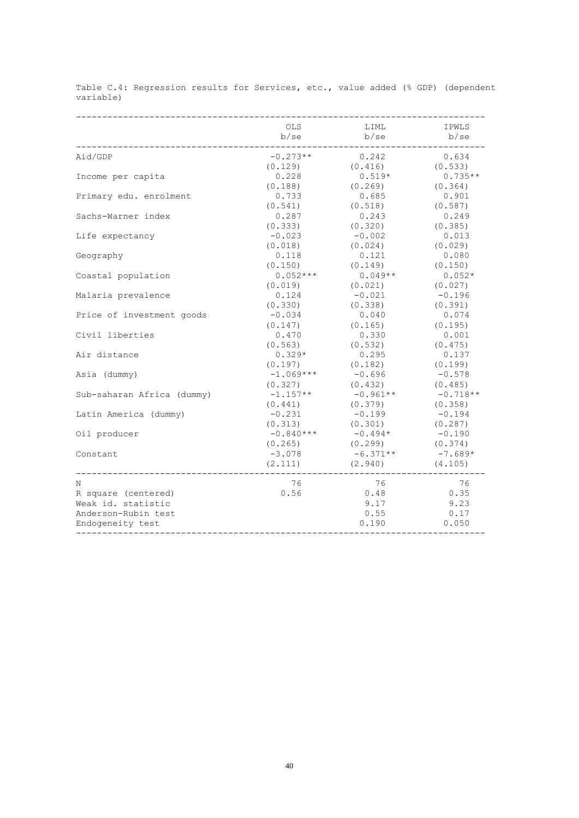|                            | OLS.        | LIML       | IPWLS      |
|----------------------------|-------------|------------|------------|
|                            | b/se        | b/sec      | b/se       |
|                            |             |            |            |
| Aid/GDP                    | $-0.273**$  | 0.242      | 0.634      |
|                            | (0.129)     | (0.416)    | (0.533)    |
| Income per capita          | 0.228       | $0.519*$   | $0.735**$  |
|                            | (0.188)     | (0.269)    | (0.364)    |
| Primary edu. enrolment     | 0.733       | 0.685      | 0.901      |
|                            | (0.541)     | (0.518)    | (0.587)    |
| Sachs-Warner index         | 0.287       | 0.243      | 0.249      |
|                            | (0.333)     | (0.320)    | (0.385)    |
| Life expectancy            | $-0.023$    | $-0.002$   | 0.013      |
|                            | (0.018)     | (0.024)    | (0.029)    |
| Geography                  | 0.118       | 0.121      | 0.080      |
|                            | (0.150)     | (0.149)    | (0.150)    |
| Coastal population         | $0.052***$  | $0.049**$  | $0.052*$   |
|                            | (0.019)     | (0.021)    | (0.027)    |
| Malaria prevalence         | 0.124       | $-0.021$   | $-0.196$   |
|                            | (0.330)     | (0.338)    | (0.391)    |
| Price of investment goods  | $-0.034$    | 0.040      | 0.074      |
|                            | (0.147)     | (0.165)    | (0.195)    |
| Civil liberties            | 0.470       | 0.330      | 0.001      |
|                            | (0.563)     | (0.532)    | (0.475)    |
| Air distance               | $0.329*$    | 0.295      | 0.137      |
|                            | (0.197)     | (0.182)    | (0.199)    |
| Asia (dummy)               | $-1.069***$ | $-0.696$   | $-0.578$   |
|                            | (0.327)     | (0.432)    | (0.485)    |
| Sub-saharan Africa (dummy) | $-1.157**$  | $-0.961**$ | $-0.718**$ |
|                            | (0.441)     | (0.379)    | (0.358)    |
| Latin America (dummy)      | $-0.231$    | $-0.199$   | $-0.194$   |
|                            | (0.313)     | (0.301)    | (0.287)    |
| Oil producer               | $-0.840***$ | $-0.494*$  | $-0.190$   |
|                            | (0.265)     | (0.299)    | (0.374)    |
| Constant                   | $-3.078$    | $-6.371**$ | $-7.689*$  |
|                            | (2.111)     | (2.940)    | (4.105)    |
| N                          | 76          | 76         | 76         |
| R square (centered)        | 0.56        | 0.48       | 0.35       |
| Weak id. statistic         |             | 9.17       | 9.23       |
| Anderson-Rubin test        |             | 0.55       | 0.17       |
| Endogeneity test           |             | 0.190      | 0.050      |
|                            |             |            |            |

Table C.4: Regression results for Services, etc., value added (% GDP) (dependent variable)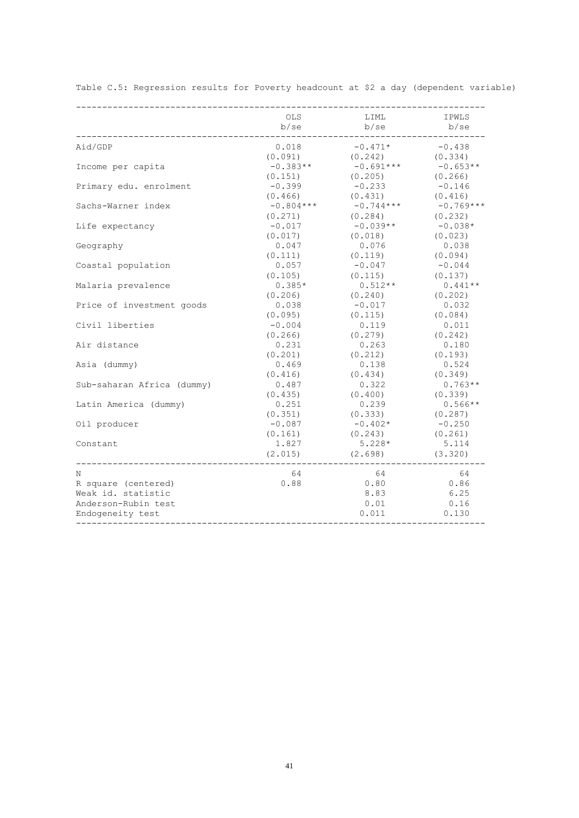|                            | OLS.<br>b/se | LIML<br>b/sec | IPWLS<br>b/se |
|----------------------------|--------------|---------------|---------------|
|                            |              |               |               |
| Aid/GDP                    | 0.018        | $-0.471*$     | $-0.438$      |
|                            | (0.091)      | (0, 242)      | (0.334)       |
| Income per capita          | $-0.383**$   | $-0.691***$   | $-0.653**$    |
|                            | (0.151)      | (0.205)       | (0.266)       |
| Primary edu. enrolment     | $-0.399$     | $-0.233$      | $-0.146$      |
|                            | (0.466)      | (0.431)       | (0.416)       |
| Sachs-Warner index         | $-0.804***$  | $-0.744***$   | $-0.769***$   |
|                            | (0.271)      | (0.284)       | (0.232)       |
| Life expectancy            | $-0.017$     | $-0.039**$    | $-0.038*$     |
|                            | (0.017)      | (0.018)       | (0.023)       |
| Geography                  | 0.047        | 0.076         | 0.038         |
|                            | (0.111)      | (0.119)       | (0.094)       |
| Coastal population         | 0.057        | $-0.047$      | $-0.044$      |
|                            | (0.105)      | (0.115)       | (0.137)       |
| Malaria prevalence         | $0.385*$     | $0.512**$     | $0.441**$     |
|                            | (0.206)      | (0.240)       | (0.202)       |
| Price of investment goods  | 0.038        | $-0.017$      | 0.032         |
|                            | (0.095)      | (0.115)       | (0.084)       |
| Civil liberties            | $-0.004$     | 0.119         | 0.011         |
|                            | (0.266)      | (0.279)       | (0.242)       |
| Air distance               | 0.231        | 0.263         | 0.180         |
|                            | (0.201)      | (0.212)       | (0.193)       |
| Asia (dummy)               | 0.469        | 0.138         | 0.524         |
|                            | (0.416)      | (0.434)       | (0.349)       |
| Sub-saharan Africa (dummy) | 0.487        | 0.322         | $0.763**$     |
|                            | (0.435)      | (0.400)       | (0.339)       |
| Latin America (dummy)      | 0.251        | 0.239         | $0.566**$     |
|                            | (0.351)      | (0.333)       | (0.287)       |
| Oil producer               | $-0.087$     | $-0.402*$     | $-0.250$      |
|                            | (0.161)      | (0.243)       | (0.261)       |
| Constant                   | 1.827        | $5.228*$      | 5.114         |
|                            | (2.015)      | (2.698)       | (3.320)       |
| Ν                          | 64           | 64            | 64            |
| R square (centered)        | 0.88         | 0.80          | 0.86          |
| Weak id. statistic         |              | 8.83          | 6.25          |
| Anderson-Rubin test        |              | 0.01          | 0.16          |
| Endogeneity test           |              | 0.011         | 0.130         |
|                            |              |               |               |

Table C.5: Regression results for Poverty headcount at \$2 a day (dependent variable)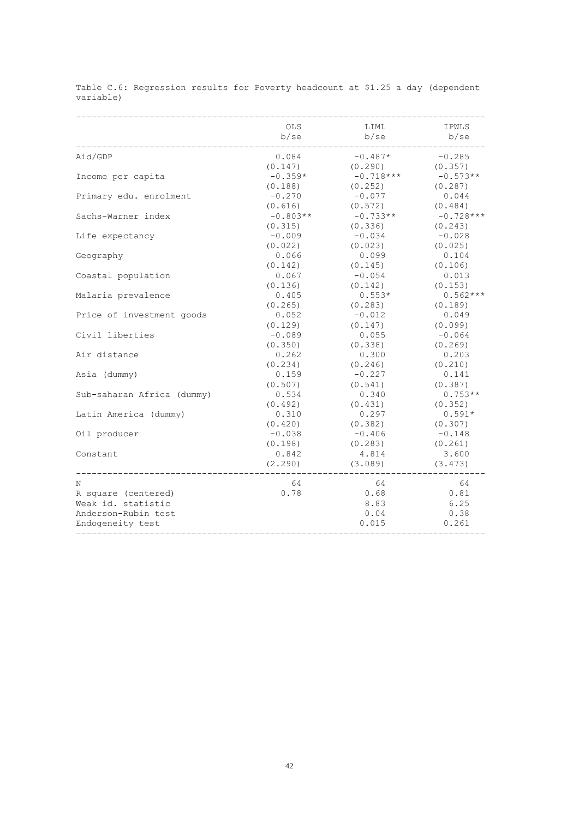|                            | OLS.       | LIML        | IPWLS       |
|----------------------------|------------|-------------|-------------|
|                            | b/sec      | b/sec       | b/se        |
| Aid/GDP                    | 0.084      | $-0.487*$   | $-0.285$    |
|                            | (0.147)    | (0, 290)    | (0.357)     |
| Income per capita          | $-0.359*$  | $-0.718***$ | $-0.573**$  |
|                            | (0.188)    | (0.252)     | (0.287)     |
| Primary edu. enrolment     | $-0.270$   | $-0.077$    | 0.044       |
|                            | (0.616)    | (0.572)     | (0.484)     |
| Sachs-Warner index         | $-0.803**$ | $-0.733**$  | $-0.728***$ |
|                            | (0.315)    | (0.336)     | (0.243)     |
| Life expectancy            | $-0.009$   | $-0.034$    | $-0.028$    |
|                            | (0.022)    | (0.023)     | (0.025)     |
| Geography                  | 0.066      | 0.099       | 0.104       |
|                            | (0.142)    | (0.145)     | (0.106)     |
| Coastal population         | 0.067      | $-0.054$    | 0.013       |
|                            | (0.136)    | (0.142)     | (0.153)     |
| Malaria prevalence         | 0.405      | $0.553*$    | $0.562***$  |
|                            | (0.265)    | (0.283)     | (0.189)     |
| Price of investment goods  | 0.052      | $-0.012$    | 0.049       |
|                            | (0.129)    | (0.147)     | (0.099)     |
| Civil liberties            | $-0.089$   | 0.055       | $-0.064$    |
|                            | (0.350)    | (0.338)     | (0.269)     |
| Air distance               | 0.262      | 0.300       | 0.203       |
|                            | (0.234)    | (0.246)     | (0.210)     |
| Asia (dummy)               | 0.159      | $-0.227$    | 0.141       |
|                            | (0.507)    | (0.541)     | (0.387)     |
| Sub-saharan Africa (dummy) | 0.534      | 0.340       | $0.753**$   |
|                            | (0.492)    | (0.431)     | (0.352)     |
| Latin America (dummy)      | 0.310      | 0.297       | $0.591*$    |
|                            | (0.420)    | (0.382)     | (0.307)     |
| Oil producer               | $-0.038$   | $-0.406$    | $-0.148$    |
|                            | (0.198)    | (0.283)     | (0.261)     |
| Constant                   | 0.842      | 4.814       | 3.600       |
|                            | (2.290)    | (3.089)     | (3.473)     |
| N                          | 64         | 64          | 64          |
| R square (centered)        | 0.78       | 0.68        | 0.81        |
| Weak id. statistic         |            | 8.83        | 6.25        |
| Anderson-Rubin test        |            | 0.04        | 0.38        |
| Endogeneity test           |            | 0.015       | 0.261       |
|                            |            |             |             |

Table C.6: Regression results for Poverty headcount at \$1.25 a day (dependent variable)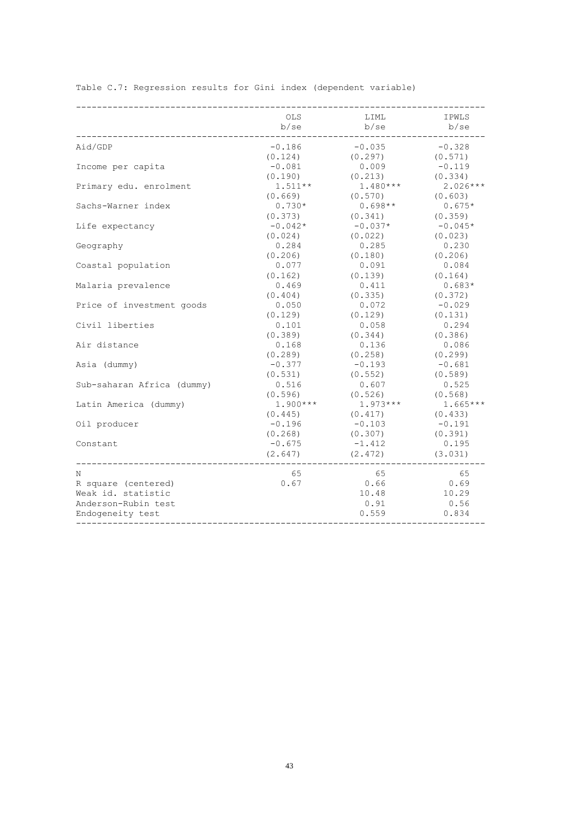|                                           | OLS.       | LIML       | IPWLS      |
|-------------------------------------------|------------|------------|------------|
|                                           | b/sec      | b/sec      | b/se       |
| Aid/GDP                                   | $-0.186$   | $-0.035$   | $-0.328$   |
|                                           | (0.124)    | (0.297)    | (0.571)    |
| Income per capita                         | $-0.081$   | 0.009      | $-0.119$   |
|                                           | (0.190)    | (0.213)    | (0.334)    |
| Primary edu. enrolment                    | $1.511**$  | $1.480***$ | $2.026***$ |
|                                           | (0.669)    | (0.570)    | (0.603)    |
| Sachs-Warner index                        | $0.730*$   | $0.698**$  | $0.675*$   |
|                                           | (0.373)    | (0.341)    | (0.359)    |
| Life expectancy                           | $-0.042*$  | $-0.037*$  | $-0.045*$  |
|                                           | (0.024)    | (0.022)    | (0.023)    |
| Geography                                 | 0.284      | 0.285      | 0.230      |
|                                           | (0.206)    | (0.180)    | (0.206)    |
| Coastal population                        | 0.077      | 0.091      | 0.084      |
|                                           | (0.162)    | (0.139)    | (0.164)    |
| Malaria prevalence                        | 0.469      | 0.411      | $0.683*$   |
|                                           | (0.404)    | (0.335)    | (0.372)    |
| Price of investment goods                 | 0.050      | 0.072      | $-0.029$   |
|                                           | (0.129)    | (0.129)    | (0.131)    |
| Civil liberties                           | 0.101      | 0.058      | 0.294      |
|                                           | (0.389)    | (0.344)    | (0.386)    |
| Air distance                              | 0.168      | 0.136      | 0.086      |
|                                           | (0.289)    | (0.258)    | (0.299)    |
| Asia (dummy)                              | $-0.377$   | $-0.193$   | $-0.681$   |
|                                           | (0.531)    | (0.552)    | (0.589)    |
| Sub-saharan Africa (dummy)                | 0.516      | 0.607      | 0.525      |
|                                           | (0.596)    | (0.526)    | (0.568)    |
| Latin America (dummy)                     | $1.900***$ | $1.973***$ | $1.665***$ |
|                                           | (0.445)    | (0.417)    | (0.433)    |
| Oil producer                              | $-0.196$   | $-0.103$   | $-0.191$   |
|                                           | (0.268)    | (0.307)    | (0.391)    |
| Constant                                  | $-0.675$   | $-1.412$   | 0.195      |
|                                           | (2.647)    | (2.472)    | (3.031)    |
| Ν                                         | 65         | 65         | 65         |
|                                           | 0.67       | 0.66       | 0.69       |
| R square (centered)<br>Weak id. statistic |            | 10.48      | 10.29      |
| Anderson-Rubin test                       |            | 0.91       | 0.56       |
| Endogeneity test                          |            | 0.559      | 0.834      |

Table C.7: Regression results for Gini index (dependent variable)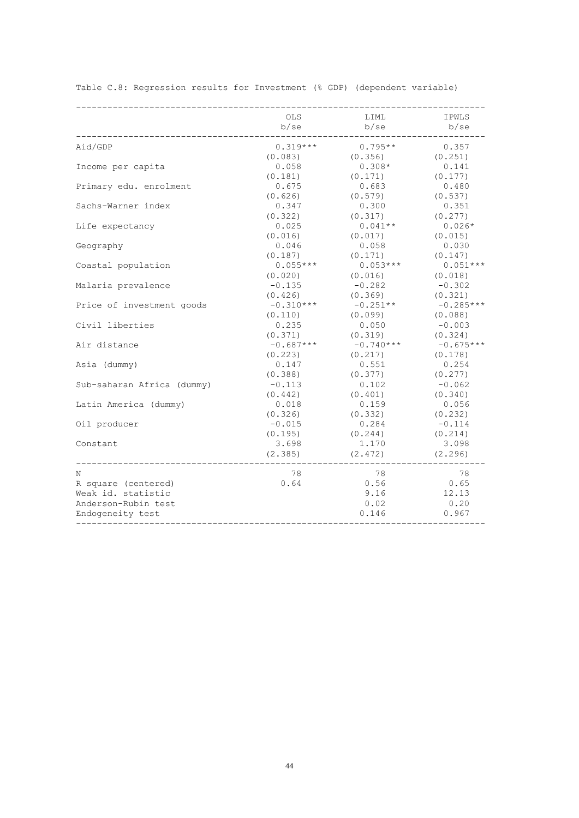|                            | OLS.        | LIML        | IPWLS       |
|----------------------------|-------------|-------------|-------------|
|                            | b/se        | b/sec       | b/se        |
| Aid/GDP                    | $0.319***$  | $0.795**$   | 0.357       |
|                            | (0.083)     | (0.356)     | (0.251)     |
| Income per capita          | 0.058       | $0.308*$    | 0.141       |
|                            | (0.181)     | (0.171)     | (0.177)     |
| Primary edu. enrolment     | 0.675       | 0.683       | 0.480       |
|                            | (0.626)     | (0.579)     | (0.537)     |
| Sachs-Warner index         | 0.347       | 0.300       | 0.351       |
|                            | (0.322)     | (0.317)     | (0.277)     |
| Life expectancy            | 0.025       | $0.041**$   | $0.026*$    |
|                            | (0.016)     | (0.017)     | (0.015)     |
| Geography                  | 0.046       | 0.058       | 0.030       |
|                            | (0.187)     | (0.171)     | (0.147)     |
| Coastal population         | $0.055***$  | $0.053***$  | $0.051***$  |
|                            | (0.020)     | (0.016)     | (0.018)     |
| Malaria prevalence         | $-0.135$    | $-0.282$    | $-0.302$    |
|                            | (0.426)     | (0.369)     | (0.321)     |
| Price of investment goods  | $-0.310***$ | $-0.251***$ | $-0.285***$ |
|                            | (0.110)     | (0.099)     | (0.088)     |
| Civil liberties            | 0.235       | 0.050       | $-0.003$    |
|                            | (0.371)     | (0.319)     | (0.324)     |
| Air distance               | $-0.687***$ | $-0.740***$ | $-0.675***$ |
|                            | (0.223)     | (0.217)     | (0.178)     |
| Asia (dummy)               | 0.147       | 0.551       | 0.254       |
|                            | (0.388)     | (0.377)     | (0.277)     |
| Sub-saharan Africa (dummy) | $-0.113$    | 0.102       | $-0.062$    |
|                            | (0.442)     | (0.401)     | (0.340)     |
| Latin America (dummy)      | 0.018       | 0.159       | 0.056       |
|                            | (0.326)     | (0.332)     | (0.232)     |
| Oil producer               | $-0.015$    | 0.284       | $-0.114$    |
|                            | (0.195)     | (0.244)     | (0.214)     |
| Constant                   | 3.698       | 1,170       | 3.098       |
|                            | (2.385)     | (2.472)     | (2.296)     |
| Ν                          | 78          | 78          | 78          |
| R square (centered)        | 0.64        | 0.56        | 0.65        |
| Weak id. statistic         |             | 9.16        | 12.13       |
| Anderson-Rubin test        |             | 0.02        | 0.20        |
| Endogeneity test           |             | 0.146       | 0.967       |
|                            |             |             |             |

Table C.8: Regression results for Investment (% GDP) (dependent variable)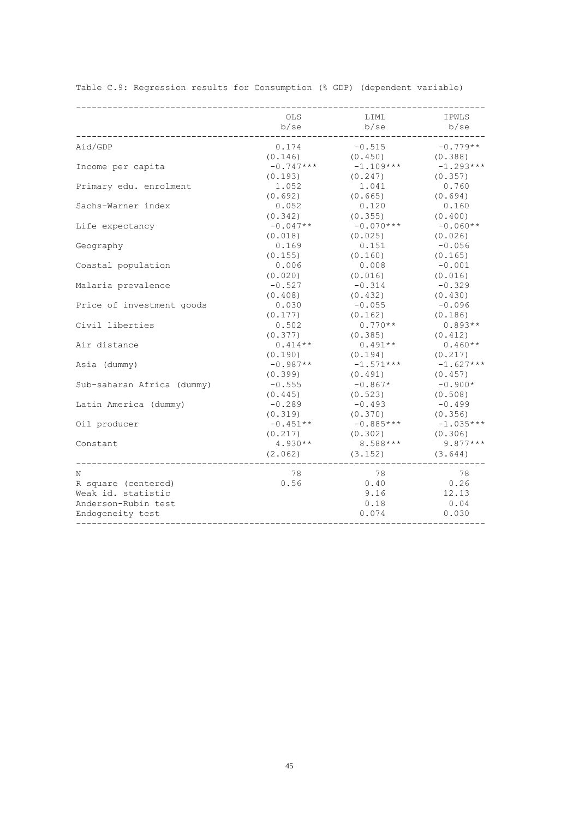|                            | OLS<br>b/se | LIML<br>b/sec | IPWLS<br>b/se |
|----------------------------|-------------|---------------|---------------|
|                            |             |               |               |
| Aid/GDP                    | 0.174       | $-0.515$      | $-0.779**$    |
|                            | (0.146)     | (0.450)       | (0.388)       |
| Income per capita          | $-0.747***$ | $-1.109***$   | $-1.293***$   |
|                            | (0.193)     | (0.247)       | (0.357)       |
| Primary edu. enrolment     | 1.052       | 1.041         | 0.760         |
|                            | (0.692)     | (0.665)       | (0.694)       |
| Sachs-Warner index         | 0.052       | 0.120         | 0.160         |
|                            | (0.342)     | (0.355)       | (0.400)       |
| Life expectancy            | $-0.047**$  | $-0.070***$   | $-0.060**$    |
|                            | (0.018)     | (0.025)       | (0.026)       |
| Geography                  | 0.169       | 0.151         | $-0.056$      |
|                            | (0.155)     | (0.160)       | (0.165)       |
| Coastal population         | 0.006       | 0.008         | $-0.001$      |
|                            | (0.020)     | (0.016)       | (0.016)       |
| Malaria prevalence         | $-0.527$    | $-0.314$      | $-0.329$      |
|                            | (0.408)     | (0.432)       | (0.430)       |
| Price of investment goods  | 0.030       | $-0.055$      | $-0.096$      |
|                            | (0.177)     | (0.162)       | (0.186)       |
| Civil liberties            | 0.502       | $0.770**$     | $0.893**$     |
|                            | (0.377)     | (0.385)       | (0.412)       |
| Air distance               | $0.414**$   | $0.491**$     | $0.460**$     |
|                            | (0.190)     | (0.194)       | (0.217)       |
| Asia (dummy)               | $-0.987**$  | $-1.571***$   | $-1.627***$   |
|                            | (0.399)     | (0.491)       | (0.457)       |
| Sub-saharan Africa (dummy) | $-0.555$    | $-0.867*$     | $-0.900*$     |
|                            | (0.445)     | (0.523)       | (0.508)       |
| Latin America (dummy)      | $-0.289$    | $-0.493$      | $-0.499$      |
|                            | (0.319)     | (0.370)       | (0.356)       |
| Oil producer               | $-0.451**$  | $-0.885***$   | $-1.035***$   |
|                            | (0.217)     | (0.302)       | (0.306)       |
| Constant                   | $4.930**$   | 8.588***      | 9.877***      |
|                            | (2.062)     | (3.152)       | (3.644)       |
| Ν                          | 78          | 78            | 78            |
| R square (centered)        | 0.56        | 0.40          | 0.26          |
| Weak id. statistic         |             | 9.16          | 12.13         |
| Anderson-Rubin test        |             | 0.18          | 0.04          |
| Endogeneity test           |             | 0.074         | 0.030         |
|                            |             |               |               |

Table C.9: Regression results for Consumption (% GDP) (dependent variable)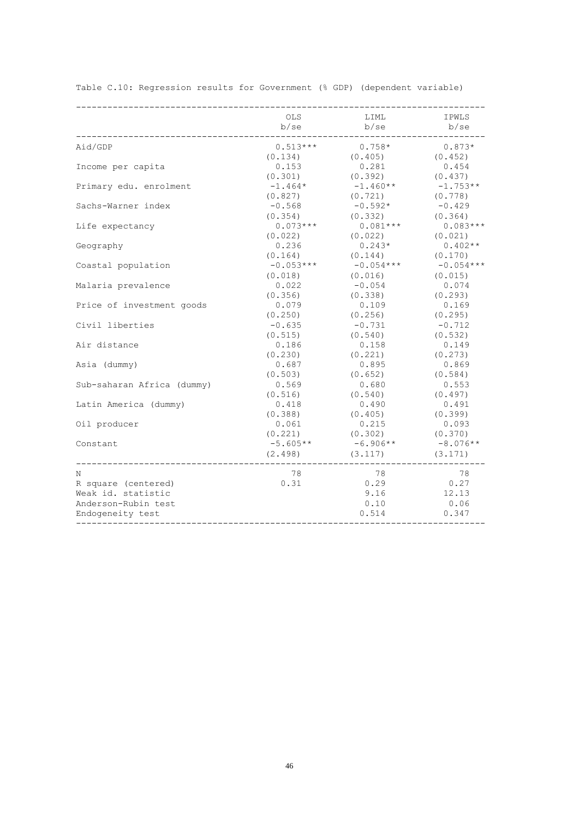|                            | OLS<br>b/se | LIML<br>b/sec | IPWLS<br>b/se |
|----------------------------|-------------|---------------|---------------|
|                            |             |               |               |
| Aid/GDP                    | $0.513***$  | $0.758*$      | $0.873*$      |
|                            | (0.134)     | (0.405)       | (0.452)       |
| Income per capita          | 0.153       | 0.281         | 0.454         |
|                            | (0.301)     | (0.392)       | (0.437)       |
| Primary edu. enrolment     | $-1.464*$   | $-1.460**$    | $-1.753**$    |
|                            | (0.827)     | (0.721)       | (0.778)       |
| Sachs-Warner index         | $-0.568$    | $-0.592*$     | $-0.429$      |
|                            | (0.354)     | (0.332)       | (0.364)       |
| Life expectancy            | $0.073***$  | $0.081***$    | $0.083***$    |
|                            | (0.022)     | (0.022)       | (0.021)       |
| Geography                  | 0.236       | $0.243*$      | $0.402**$     |
|                            | (0.164)     | (0.144)       | (0.170)       |
| Coastal population         | $-0.053***$ | $-0.054***$   | $-0.054***$   |
|                            | (0.018)     | (0.016)       | (0.015)       |
| Malaria prevalence         | 0.022       | $-0.054$      | 0.074         |
|                            | (0.356)     | (0.338)       | (0.293)       |
| Price of investment goods  | 0.079       | 0.109         | 0.169         |
|                            | (0, 250)    | (0.256)       | (0.295)       |
| Civil liberties            | $-0.635$    | $-0.731$      | $-0.712$      |
|                            | (0.515)     | (0.540)       | (0.532)       |
| Air distance               | 0.186       | 0.158         | 0.149         |
|                            | (0.230)     | (0.221)       | (0.273)       |
| Asia (dummy)               | 0.687       | 0.895         | 0.869         |
|                            | (0.503)     | (0.652)       | (0.584)       |
| Sub-saharan Africa (dummy) | 0.569       | 0.680         | 0.553         |
|                            | (0.516)     | (0.540)       | (0.497)       |
| Latin America (dummy)      | 0.418       | 0.490         | 0.491         |
|                            | (0.388)     | (0.405)       | (0.399)       |
| Oil producer               | 0.061       | 0.215         | 0.093         |
|                            | (0.221)     | (0.302)       | (0.370)       |
| Constant                   | $-5.605**$  | $-6.906**$    | $-8.076**$    |
|                            | (2.498)     | (3.117)       | (3.171)       |
| Ν                          | 78          | 78            | 78            |
| R square (centered)        | 0.31        | 0.29          | 0.27          |
| Weak id. statistic         |             | 9.16          | 12.13         |
| Anderson-Rubin test        |             | 0.10          | 0.06          |
| Endogeneity test           |             | 0.514         | 0.347         |
|                            |             |               |               |

Table C.10: Regression results for Government (% GDP) (dependent variable)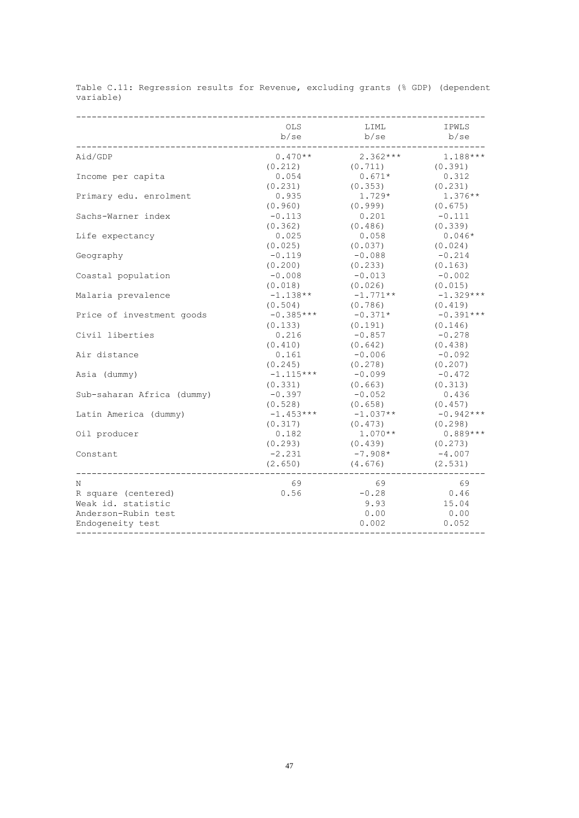|                            | OLS.        | LIML       | IPWLS       |
|----------------------------|-------------|------------|-------------|
|                            | b/se        | b/se       | b/se        |
| Aid/GDP                    | $0.470**$   | $2.362***$ | $1.188***$  |
|                            | (0.212)     | (0.711)    | (0.391)     |
| Income per capita          | 0.054       | $0.671*$   | 0.312       |
|                            | (0.231)     | (0.353)    | (0.231)     |
| Primary edu. enrolment     | 0.935       | $1.729*$   | $1.376**$   |
|                            | (0.960)     | (0.999)    | (0.675)     |
| Sachs-Warner index         | $-0.113$    | 0.201      | $-0.111$    |
|                            | (0.362)     | (0.486)    | (0.339)     |
| Life expectancy            | 0.025       | 0.058      | $0.046*$    |
|                            | (0.025)     | (0.037)    | (0.024)     |
| Geography                  | $-0.119$    | $-0.088$   | $-0.214$    |
|                            | (0.200)     | (0.233)    | (0.163)     |
| Coastal population         | $-0.008$    | $-0.013$   | $-0.002$    |
|                            | (0.018)     | (0.026)    | (0.015)     |
| Malaria prevalence         | $-1.138**$  | $-1.771**$ | $-1.329***$ |
|                            | (0.504)     | (0.786)    | (0.419)     |
| Price of investment goods  | $-0.385***$ | $-0.371*$  | $-0.391***$ |
|                            | (0.133)     | (0.191)    | (0.146)     |
| Civil liberties            | 0.216       | $-0.857$   | $-0.278$    |
|                            | (0.410)     | (0.642)    | (0.438)     |
| Air distance               | 0.161       | $-0.006$   | $-0.092$    |
|                            | (0.245)     | (0.278)    | (0.207)     |
| Asia (dummy)               | $-1.115***$ | $-0.099$   | $-0.472$    |
|                            | (0.331)     | (0.663)    | (0.313)     |
| Sub-saharan Africa (dummy) | $-0.397$    | $-0.052$   | 0.436       |
|                            | (0.528)     | (0.658)    | (0.457)     |
| Latin America (dummy)      | $-1.453***$ | $-1.037**$ | $-0.942***$ |
|                            | (0.317)     | (0.473)    | (0.298)     |
| Oil producer               | 0.182       | $1.070**$  | $0.889***$  |
|                            | (0.293)     | (0.439)    | (0.273)     |
| Constant                   | $-2.231$    | $-7.908*$  | $-4.007$    |
|                            | (2.650)     | (4.676)    | (2.531)     |
| N                          | 69          | 69         | 69          |
| R square (centered)        | 0.56        | $-0.28$    | 0.46        |
| Weak id. statistic         |             | 9.93       | 15.04       |
| Anderson-Rubin test        |             | 0.00       | 0.00        |
| Endogeneity test           |             | 0.002      | 0.052       |
|                            |             |            |             |

Table C.11: Regression results for Revenue, excluding grants (% GDP) (dependent variable)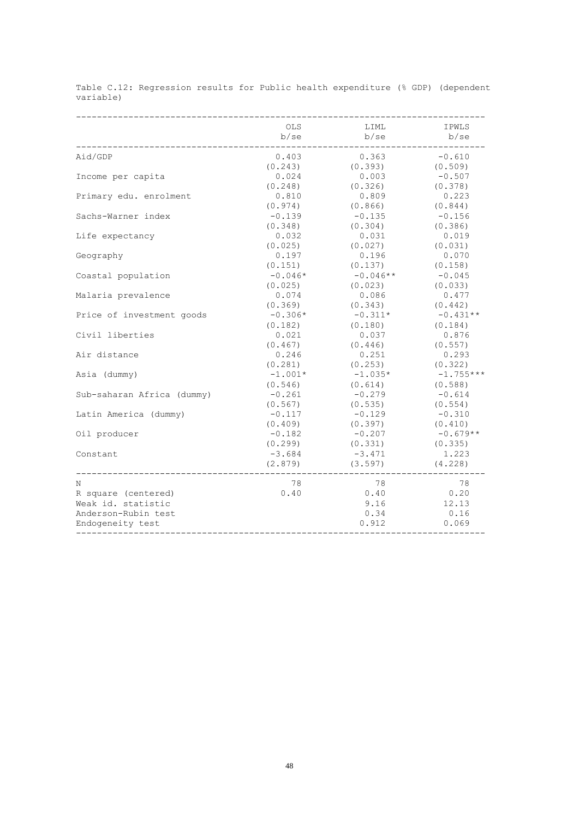|                            | OLS       | LIML       | IPWLS       |
|----------------------------|-----------|------------|-------------|
|                            | b/se      | b/sec      | b/se        |
|                            |           |            |             |
| Aid/GDP                    | 0.403     | 0.363      | $-0.610$    |
|                            | (0.243)   | (0.393)    | (0.509)     |
| Income per capita          | 0.024     | 0.003      | $-0.507$    |
|                            | (0.248)   | (0.326)    | (0.378)     |
| Primary edu. enrolment     | 0.810     | 0.809      | 0.223       |
|                            | (0.974)   | (0.866)    | (0.844)     |
| Sachs-Warner index         | $-0.139$  | $-0.135$   | $-0.156$    |
|                            | (0.348)   | (0.304)    | (0.386)     |
| Life expectancy            | 0.032     | 0.031      | 0.019       |
|                            | (0.025)   | (0.027)    | (0.031)     |
| Geography                  | 0.197     | 0.196      | 0.070       |
|                            | (0.151)   | (0.137)    | (0.158)     |
| Coastal population         | $-0.046*$ | $-0.046**$ | $-0.045$    |
|                            | (0.025)   | (0.023)    | (0.033)     |
| Malaria prevalence         | 0.074     | 0.086      | 0.477       |
|                            | (0.369)   | (0.343)    | (0.442)     |
| Price of investment goods  | $-0.306*$ | $-0.311*$  | $-0.431**$  |
|                            | (0.182)   | (0.180)    | (0.184)     |
| Civil liberties            | 0.021     | 0.037      | 0.876       |
|                            | (0.467)   | (0.446)    | (0.557)     |
| Air distance               | 0.246     | 0.251      | 0.293       |
|                            | (0.281)   | (0.253)    | (0.322)     |
| Asia (dummy)               | $-1.001*$ | $-1.035*$  | $-1.755***$ |
|                            | (0.546)   | (0.614)    | (0.588)     |
| Sub-saharan Africa (dummy) | $-0.261$  | $-0.279$   | $-0.614$    |
|                            | (0.567)   | (0.535)    | (0.554)     |
| Latin America (dummy)      | $-0.117$  | $-0.129$   | $-0.310$    |
|                            | (0.409)   | (0.397)    | (0.410)     |
| Oil producer               | $-0.182$  | $-0.207$   | $-0.679**$  |
|                            | (0.299)   | (0.331)    | (0.335)     |
| Constant                   | $-3.684$  | $-3.471$   | 1.223       |
|                            | (2.879)   | (3.597)    | (4.228)     |
| N                          | 78        | 78         | 78          |
| R square (centered)        | 0.40      | 0.40       | 0.20        |
| Weak id. statistic         |           | 9.16       | 12.13       |
| Anderson-Rubin test        |           | 0.34       | 0.16        |
| Endogeneity test           |           | 0.912      | 0.069       |
|                            |           |            |             |

Table C.12: Regression results for Public health expenditure (% GDP) (dependent variable)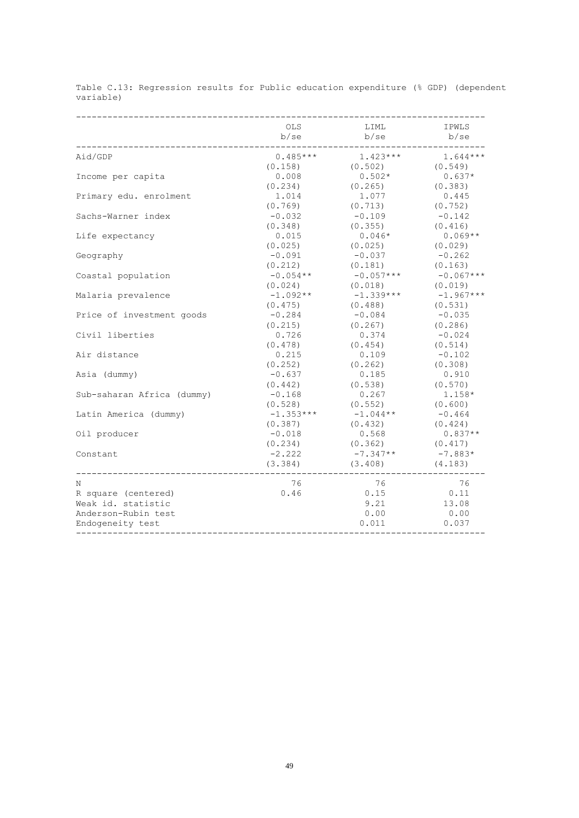|                            | OLS<br>b/sec | LIML<br>b/se | IPWLS<br>b/se |
|----------------------------|--------------|--------------|---------------|
|                            |              |              |               |
| Aid/GDP                    | $0.485***$   | $1.423***$   | $1.644***$    |
|                            | (0.158)      | (0.502)      | (0.549)       |
| Income per capita          | 0.008        | $0.502*$     | $0.637*$      |
|                            | (0.234)      | (0.265)      | (0.383)       |
| Primary edu. enrolment     | 1.014        | 1.077        | 0.445         |
|                            | (0.769)      | (0.713)      | (0.752)       |
| Sachs-Warner index         | $-0.032$     | $-0.109$     | $-0.142$      |
|                            | (0.348)      | (0.355)      | (0.416)       |
| Life expectancy            | 0.015        | $0.046*$     | $0.069**$     |
|                            | (0.025)      | (0.025)      | (0.029)       |
| Geography                  | $-0.091$     | $-0.037$     | $-0.262$      |
|                            | (0.212)      | (0.181)      | (0.163)       |
| Coastal population         | $-0.054**$   | $-0.057***$  | $-0.067***$   |
|                            | (0.024)      | (0.018)      | (0.019)       |
| Malaria prevalence         | $-1.092**$   | $-1.339***$  | $-1.967***$   |
|                            | (0.475)      | (0.488)      | (0.531)       |
| Price of investment goods  | $-0.284$     | $-0.084$     | $-0.035$      |
|                            | (0.215)      | (0.267)      | (0.286)       |
| Civil liberties            | 0.726        | 0.374        | $-0.024$      |
|                            | (0.478)      | (0.454)      | (0.514)       |
| Air distance               | 0.215        | 0.109        | $-0.102$      |
|                            | (0.252)      | (0.262)      | (0.308)       |
| Asia (dummy)               | $-0.637$     | 0.185        | 0.910         |
|                            | (0.442)      | (0.538)      | (0.570)       |
| Sub-saharan Africa (dummy) | $-0.168$     | 0.267        | $1.158*$      |
|                            | (0.528)      | (0.552)      | (0.600)       |
| Latin America (dummy)      | $-1.353***$  | $-1.044**$   | $-0.464$      |
|                            | (0.387)      | (0.432)      | (0.424)       |
| Oil producer               | $-0.018$     | 0.568        | $0.837**$     |
|                            | (0.234)      | (0.362)      | (0.417)       |
| Constant                   | $-2.222$     | $-7.347**$   | $-7.883*$     |
|                            | (3.384)      | (3, 408)     | (4.183)       |
| N                          | 76           | 76           | 76            |
| R square (centered)        | 0.46         | 0.15         | 0.11          |
| Weak id. statistic         |              | 9.21         | 13.08         |
| Anderson-Rubin test        |              | 0.00         | 0.00          |
| Endogeneity test           |              | 0.011        | 0.037         |
|                            |              |              |               |

Table C.13: Regression results for Public education expenditure (% GDP) (dependent variable)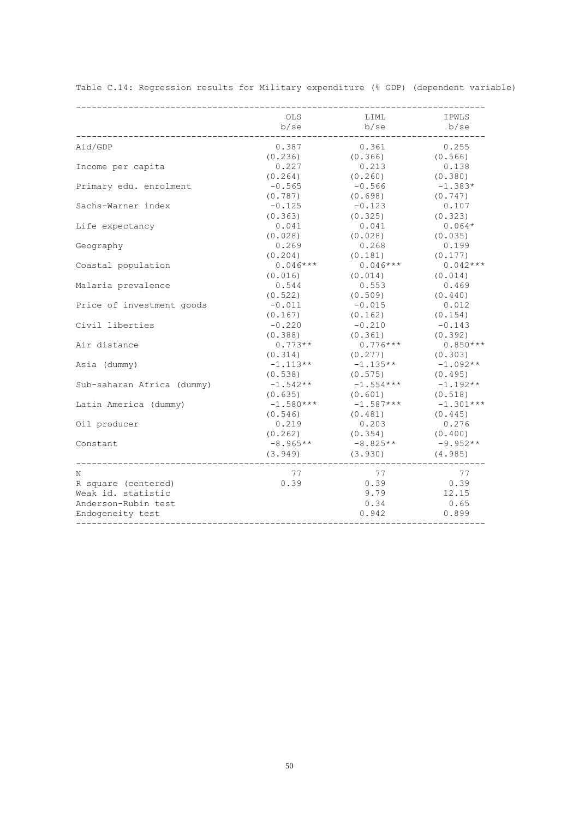|                            | OLS         | LIML        | IPWLS       |
|----------------------------|-------------|-------------|-------------|
|                            | b/sec       | b/sec       | b/se        |
| Aid/GDP                    | 0.387       | 0.361       | 0.255       |
|                            | (0.236)     | (0.366)     | (0.566)     |
| Income per capita          | 0.227       | 0.213       | 0.138       |
|                            | (0.264)     | (0, 260)    | (0.380)     |
| Primary edu. enrolment     | $-0.565$    | $-0.566$    | $-1.383*$   |
|                            | (0.787)     | (0.698)     | (0.747)     |
| Sachs-Warner index         | $-0.125$    | $-0.123$    | 0.107       |
|                            | (0.363)     | (0.325)     | (0.323)     |
| Life expectancy            | 0.041       | 0.041       | $0.064*$    |
|                            | (0.028)     | (0.028)     | (0.035)     |
| Geography                  | 0.269       | 0.268       | 0.199       |
|                            | (0.204)     | (0.181)     | (0.177)     |
| Coastal population         | $0.046***$  | $0.046***$  | $0.042***$  |
|                            | (0.016)     | (0.014)     | (0.014)     |
| Malaria prevalence         | 0.544       | 0.553       | 0.469       |
|                            | (0.522)     | (0.509)     | (0.440)     |
| Price of investment goods  | $-0.011$    | $-0.015$    | 0.012       |
|                            | (0.167)     | (0.162)     | (0.154)     |
| Civil liberties            | $-0.220$    | $-0.210$    | $-0.143$    |
|                            | (0.388)     | (0.361)     | (0.392)     |
| Air distance               | $0.773**$   | $0.776***$  | $0.850***$  |
|                            | (0.314)     | (0.277)     | (0.303)     |
| Asia (dummy)               | $-1.113**$  | $-1.135***$ | $-1.092**$  |
|                            | (0.538)     | (0.575)     | (0.495)     |
| Sub-saharan Africa (dummy) | $-1.542**$  | $-1.554***$ | $-1.192**$  |
|                            | (0.635)     | (0.601)     | (0.518)     |
| Latin America (dummy)      | $-1.580***$ | $-1.587***$ | $-1.301***$ |
|                            | (0.546)     | (0.481)     | (0.445)     |
| Oil producer               | 0.219       | 0.203       | 0.276       |
|                            | (0.262)     | (0.354)     | (0.400)     |
| Constant                   | $-8.965**$  | $-8.825**$  | $-9.952**$  |
|                            | (3.949)     | (3.930)     | (4.985)     |
| N                          | 77          | 77          | 77          |
| R square (centered)        | 0.39        | 0.39        | 0.39        |
| Weak id. statistic         |             | 9.79        | 12.15       |
| Anderson-Rubin test        |             | 0.34        | 0.65        |
| Endogeneity test           |             | 0.942       | 0.899       |

Table C.14: Regression results for Military expenditure (% GDP) (dependent variable)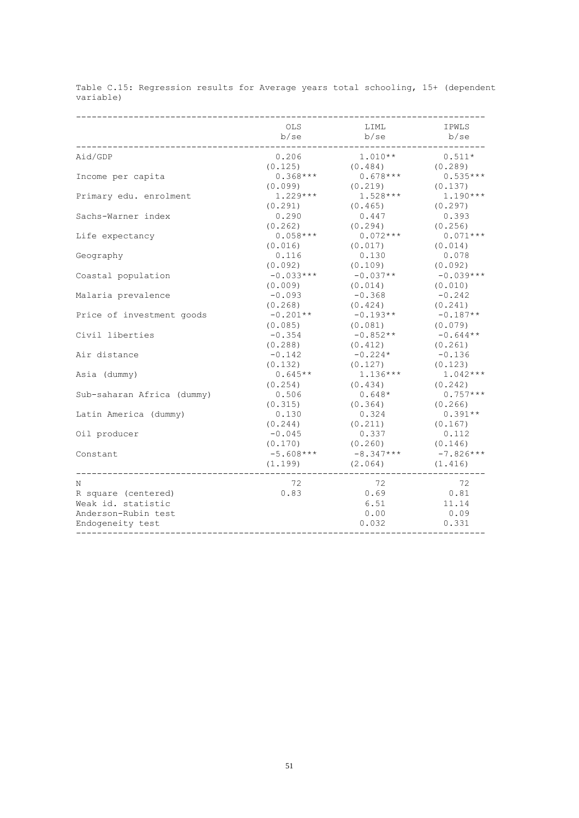|                            | OLS.        | LIML        | IPWLS       |
|----------------------------|-------------|-------------|-------------|
|                            | b/se        | b/sec       | b/se        |
| Aid/GDP                    | 0.206       | $1.010**$   | $0.511*$    |
|                            | (0.125)     | (0.484)     | (0.289)     |
| Income per capita          | $0.368***$  | $0.678***$  | $0.535***$  |
|                            | (0.099)     | (0.219)     | (0.137)     |
| Primary edu. enrolment     | $1.229***$  | $1.528***$  | $1.190***$  |
|                            | (0.291)     | (0.465)     | (0.297)     |
| Sachs-Warner index         | 0.290       | 0.447       | 0.393       |
|                            | (0.262)     | (0.294)     | (0.256)     |
| Life expectancy            | $0.058***$  | $0.072***$  | $0.071***$  |
|                            | (0.016)     | (0.017)     | (0.014)     |
| Geography                  | 0.116       | 0.130       | 0.078       |
|                            | (0.092)     | (0.109)     | (0.092)     |
| Coastal population         | $-0.033***$ | $-0.037**$  | $-0.039***$ |
|                            | (0.009)     | (0.014)     | (0.010)     |
| Malaria prevalence         | $-0.093$    | $-0.368$    | $-0.242$    |
|                            | (0.268)     | (0.424)     | (0.241)     |
| Price of investment goods  | $-0.201**$  | $-0.193**$  | $-0.187**$  |
|                            | (0.085)     | (0.081)     | (0.079)     |
| Civil liberties            | $-0.354$    | $-0.852**$  | $-0.644**$  |
|                            | (0.288)     | (0.412)     | (0.261)     |
| Air distance               | $-0.142$    | $-0.224*$   | $-0.136$    |
|                            | (0.132)     | (0.127)     | (0.123)     |
| Asia (dummy)               | $0.645**$   | $1.136***$  | $1.042***$  |
|                            | (0.254)     | (0.434)     | (0.242)     |
| Sub-saharan Africa (dummy) | 0.506       | $0.648*$    | $0.757***$  |
|                            | (0.315)     | (0.364)     | (0.266)     |
| Latin America (dummy)      | 0.130       | 0.324       | $0.391**$   |
|                            | (0.244)     | (0.211)     | (0.167)     |
| Oil producer               | $-0.045$    | 0.337       | 0.112       |
|                            | (0.170)     | (0, 260)    | (0.146)     |
| Constant                   | $-5.608***$ | $-8.347***$ | $-7.826***$ |
|                            | (1.199)     | (2.064)     | (1.416)     |
| N                          | 72          | 72          | 72          |
| R square (centered)        | 0.83        | 0.69        | 0.81        |
| Weak id. statistic         |             | 6.51        | 11.14       |
| Anderson-Rubin test        |             | 0.00        | 0.09        |
| Endogeneity test           |             | 0.032       | 0.331       |
|                            |             |             |             |

Table C.15: Regression results for Average years total schooling, 15+ (dependent variable)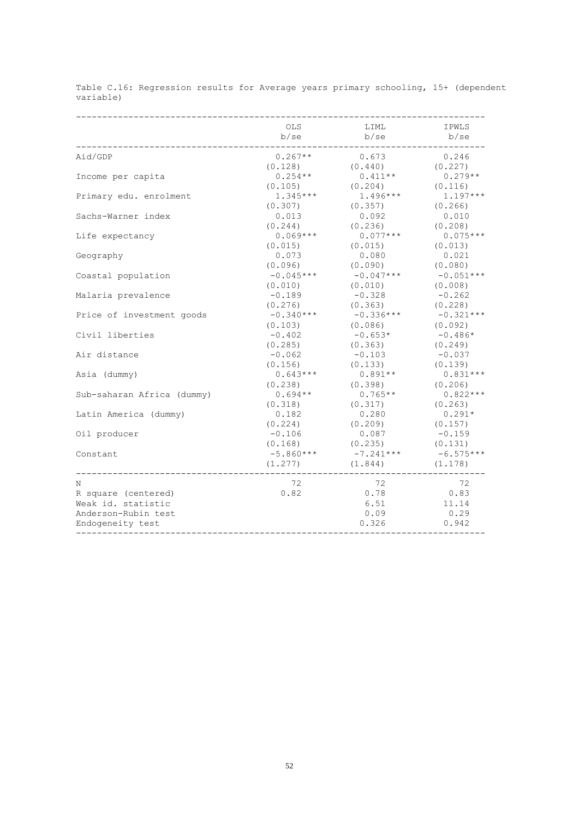|                            | OLS.<br>b/se | LIML<br>b/se | IPWLS<br>b/se |
|----------------------------|--------------|--------------|---------------|
| Aid/GDP                    | $0.267**$    | 0.673        | 0.246         |
|                            | (0.128)      | (0.440)      | (0.227)       |
| Income per capita          | $0.254**$    | $0.411**$    | $0.279**$     |
|                            | (0.105)      | (0.204)      | (0.116)       |
| Primary edu. enrolment     | $1.345***$   | $1.496***$   | $1.197***$    |
|                            | (0.307)      | (0.357)      | (0.266)       |
| Sachs-Warner index         | 0.013        | 0.092        | 0.010         |
|                            | (0.244)      | (0.236)      | (0.208)       |
|                            | $0.069***$   | $0.077***$   | $0.075***$    |
| Life expectancy            |              |              |               |
|                            | (0.015)      | (0.015)      | (0.013)       |
| Geography                  | 0.073        | 0.080        | 0.021         |
|                            | (0.096)      | (0.090)      | (0.080)       |
| Coastal population         | $-0.045***$  | $-0.047***$  | $-0.051***$   |
|                            | (0.010)      | (0.010)      | (0.008)       |
| Malaria prevalence         | $-0.189$     | $-0.328$     | $-0.262$      |
|                            | (0.276)      | (0.363)      | (0.228)       |
| Price of investment goods  | $-0.340***$  | $-0.336***$  | $-0.321***$   |
|                            | (0.103)      | (0.086)      | (0.092)       |
| Civil liberties            | $-0.402$     | $-0.653*$    | $-0.486*$     |
|                            | (0.285)      | (0.363)      | (0.249)       |
| Air distance               | $-0.062$     | $-0.103$     | $-0.037$      |
|                            | (0.156)      | (0.133)      | (0.139)       |
| Asia (dummy)               | $0.643***$   | $0.891**$    | $0.831***$    |
|                            | (0.238)      | (0.398)      | (0.206)       |
| Sub-saharan Africa (dummy) | $0.694**$    | $0.765**$    | $0.822***$    |
|                            | (0.318)      | (0.317)      | (0.263)       |
| Latin America (dummy)      | 0.182        | 0.280        | $0.291*$      |
|                            | (0.224)      | (0.209)      | (0.157)       |
| Oil producer               | $-0.106$     | 0.087        | $-0.159$      |
|                            | (0.168)      | (0.235)      | (0.131)       |
| Constant                   | $-5.860***$  | $-7.241***$  | $-6.575***$   |
|                            | (1.277)      | (1.844)      | (1.178)       |
| N                          | 72           | 72           | 72            |
| R square (centered)        | 0.82         | 0.78         | 0.83          |
| Weak id. statistic         |              | 6.51         | 11.14         |
| Anderson-Rubin test        |              | 0.09         | 0.29          |
| Endogeneity test           |              | 0.326        | 0.942         |

Table C.16: Regression results for Average years primary schooling, 15+ (dependent variable)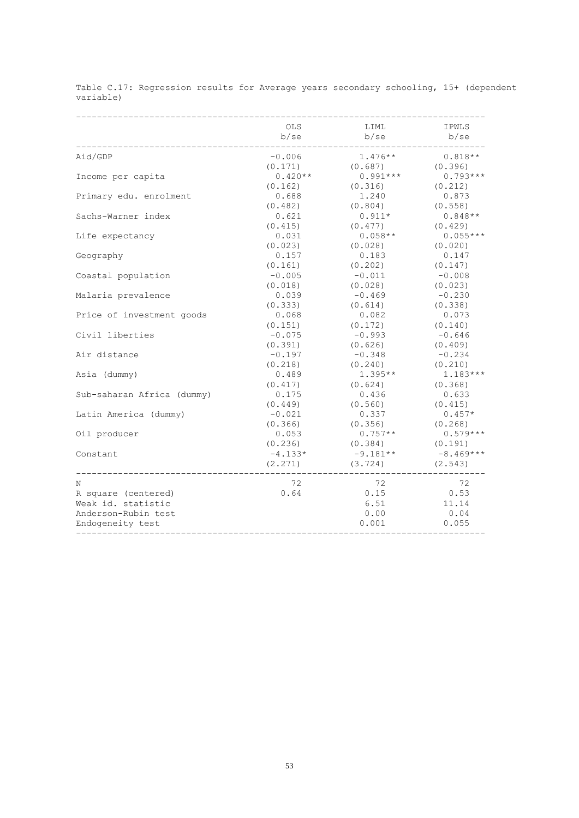|                            | <b>OLS</b> | LIML       | IPWLS       |
|----------------------------|------------|------------|-------------|
|                            | b/sec      | b/se       | b/se        |
| Aid/GDP                    | $-0.006$   | $1.476**$  | $0.818**$   |
|                            | (0.171)    | (0.687)    | (0.396)     |
| Income per capita          | $0.420**$  | $0.991***$ | $0.793***$  |
|                            | (0.162)    | (0.316)    | (0.212)     |
| Primary edu. enrolment     | 0.688      | 1,240      | 0.873       |
|                            | (0.482)    | (0.804)    | (0.558)     |
| Sachs-Warner index         | 0.621      | $0.911*$   | $0.848**$   |
|                            | (0.415)    | (0.477)    | (0.429)     |
| Life expectancy            | 0.031      | $0.058**$  | $0.055***$  |
|                            | (0.023)    | (0.028)    | (0.020)     |
| Geography                  | 0.157      | 0.183      | 0.147       |
|                            | (0.161)    | (0.202)    | (0.147)     |
| Coastal population         | $-0.005$   | $-0.011$   | $-0.008$    |
|                            | (0.018)    | (0.028)    | (0.023)     |
| Malaria prevalence         | 0.039      | $-0.469$   | $-0.230$    |
|                            | (0.333)    | (0.614)    | (0.338)     |
| Price of investment goods  | 0.068      | 0.082      | 0.073       |
|                            | (0.151)    | (0.172)    | (0.140)     |
| Civil liberties            | $-0.075$   | $-0.993$   | $-0.646$    |
|                            | (0.391)    | (0.626)    | (0.409)     |
| Air distance               | $-0.197$   | $-0.348$   | $-0.234$    |
|                            | (0.218)    | (0.240)    | (0.210)     |
| Asia (dummy)               | 0.489      | $1.395**$  | 1.183***    |
|                            | (0.417)    | (0.624)    | (0.368)     |
| Sub-saharan Africa (dummy) | 0.175      | 0.436      | 0.633       |
|                            | (0.449)    | (0.560)    | (0.415)     |
| Latin America (dummy)      | $-0.021$   | 0.337      | $0.457*$    |
|                            | (0.366)    | (0.356)    | (0.268)     |
| Oil producer               | 0.053      | $0.757**$  | $0.579***$  |
|                            | (0.236)    | (0.384)    | (0.191)     |
| Constant                   | $-4.133*$  | $-9.181**$ | $-8.469***$ |
|                            | (2.271)    | (3.724)    | (2.543)     |
| N                          | 72         | 72         | 72          |
| R square (centered)        | 0.64       | 0.15       | 0.53        |
| Weak id. statistic         |            | 6.51       | 11.14       |
| Anderson-Rubin test        |            | 0.00       | 0.04        |
| Endogeneity test           |            | 0.001      | 0.055       |

Table C.17: Regression results for Average years secondary schooling, 15+ (dependent variable)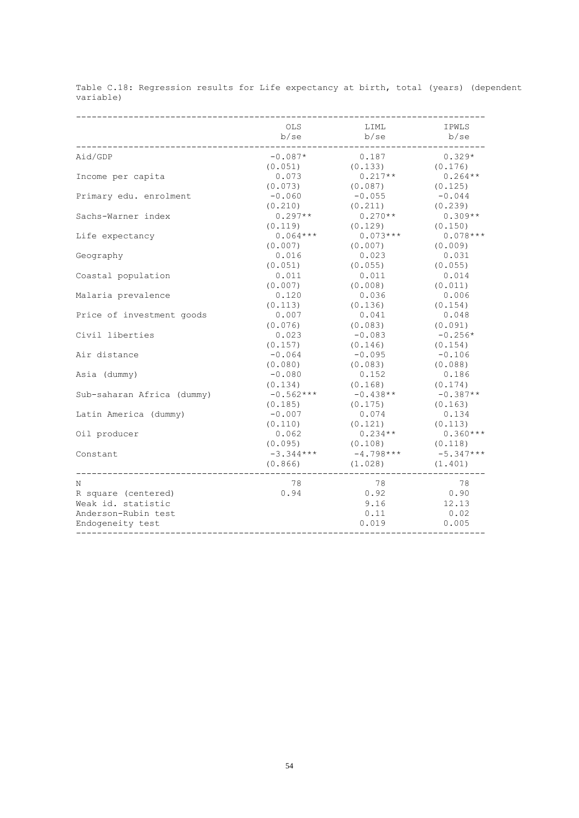|                            | OLS.<br>b/sec | LIML<br>b/se | IPWLS<br>b/se |
|----------------------------|---------------|--------------|---------------|
|                            |               |              |               |
| Aid/GDP                    | $-0.087*$     | 0.187        | $0.329*$      |
|                            | (0.051)       | (0.133)      | (0.176)       |
| Income per capita          | 0.073         | $0.217**$    | $0.264**$     |
|                            | (0.073)       | (0.087)      | (0.125)       |
| Primary edu. enrolment     | $-0.060$      | $-0.055$     | $-0.044$      |
|                            | (0.210)       | (0.211)      | (0.239)       |
| Sachs-Warner index         | $0.297**$     | $0.270**$    | $0.309**$     |
|                            | (0.119)       | (0.129)      | (0.150)       |
| Life expectancy            | $0.064***$    | $0.073***$   | $0.078***$    |
|                            | (0.007)       | (0.007)      | (0.009)       |
| Geography                  | 0.016         | 0.023        | 0.031         |
|                            | (0.051)       | (0.055)      | (0.055)       |
| Coastal population         | 0.011         | 0.011        | 0.014         |
|                            | (0.007)       | (0.008)      | (0.011)       |
| Malaria prevalence         | 0.120         | 0.036        | 0.006         |
|                            | (0.113)       | (0.136)      | (0.154)       |
| Price of investment goods  | 0.007         | 0.041        | 0.048         |
|                            | (0.076)       | (0.083)      | (0.091)       |
| Civil liberties            | 0.023         | $-0.083$     | $-0.256*$     |
|                            | (0.157)       | (0.146)      | (0.154)       |
| Air distance               | $-0.064$      | $-0.095$     | $-0.106$      |
|                            | (0.080)       | (0.083)      | (0.088)       |
| Asia (dummy)               | $-0.080$      | 0.152        | 0.186         |
|                            | (0.134)       | (0.168)      | (0.174)       |
| Sub-saharan Africa (dummy) | $-0.562***$   | $-0.438**$   | $-0.387**$    |
|                            | (0.185)       | (0.175)      | (0.163)       |
| Latin America (dummy)      | $-0.007$      | 0.074        | 0.134         |
|                            | (0.110)       | (0.121)      | (0.113)       |
| Oil producer               | 0.062         | $0.234**$    | $0.360***$    |
|                            | (0.095)       | (0.108)      | (0.118)       |
| Constant                   | $-3.344***$   | $-4.798***$  | $-5.347***$   |
|                            | (0.866)       | (1.028)      | (1.401)       |
| N                          | 78            | 78           | 78            |
| R square (centered)        | 0.94          | 0.92         | 0.90          |
| Weak id. statistic         |               | 9.16         | 12.13         |
| Anderson-Rubin test        |               | 0.11         | 0.02          |
| Endogeneity test           |               | 0.019        | 0.005         |
|                            |               |              |               |

Table C.18: Regression results for Life expectancy at birth, total (years) (dependent variable)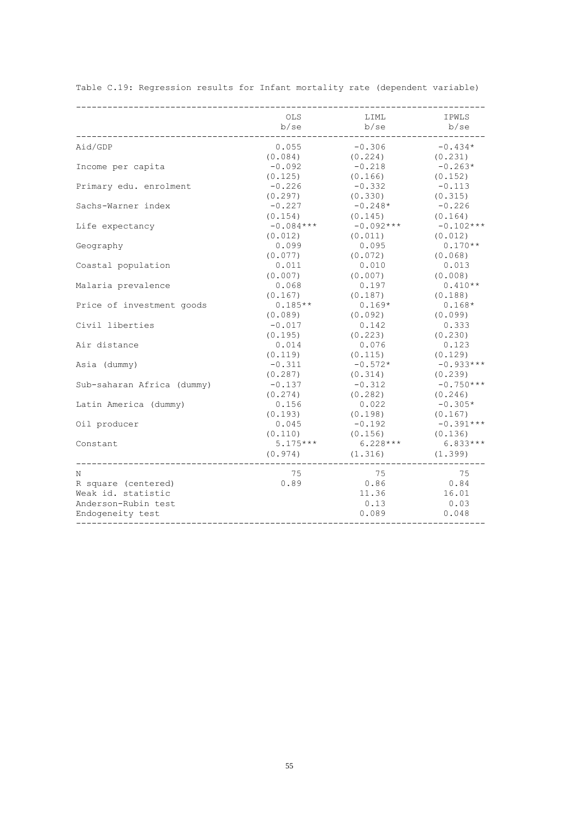|                            | OLS.<br>b/sec | LIML<br>b/sec | IPWLS<br>b/se |
|----------------------------|---------------|---------------|---------------|
|                            |               |               |               |
| Aid/GDP                    | 0.055         | $-0.306$      | $-0.434*$     |
|                            | (0.084)       | (0.224)       | (0.231)       |
| Income per capita          | $-0.092$      | $-0.218$      | $-0.263*$     |
|                            | (0.125)       | (0.166)       | (0.152)       |
| Primary edu. enrolment     | $-0.226$      | $-0.332$      | $-0.113$      |
|                            | (0.297)       | (0.330)       | (0.315)       |
| Sachs-Warner index         | $-0.227$      | $-0.248*$     | $-0.226$      |
|                            | (0.154)       | (0.145)       | (0.164)       |
| Life expectancy            | $-0.084***$   | $-0.092***$   | $-0.102***$   |
|                            | (0.012)       | (0.011)       | (0.012)       |
| Geography                  | 0.099         | 0.095         | $0.170**$     |
|                            | (0.077)       | (0.072)       | (0.068)       |
| Coastal population         | 0.011         | 0.010         | 0.013         |
|                            | (0.007)       | (0.007)       | (0.008)       |
| Malaria prevalence         | 0.068         | 0.197         | $0.410**$     |
|                            | (0.167)       | (0.187)       | (0.188)       |
| Price of investment goods  | $0.185**$     | $0.169*$      | $0.168*$      |
|                            | (0.089)       | (0.092)       | (0.099)       |
| Civil liberties            | $-0.017$      | 0.142         | 0.333         |
|                            | (0.195)       | (0.223)       | (0.230)       |
| Air distance               | 0.014         | 0.076         | 0.123         |
|                            | (0.119)       | (0.115)       | (0.129)       |
| Asia (dummy)               | $-0.311$      | $-0.572*$     | $-0.933***$   |
|                            | (0.287)       | (0.314)       | (0.239)       |
| Sub-saharan Africa (dummy) | $-0.137$      | $-0.312$      | $-0.750***$   |
|                            | (0.274)       | (0.282)       | (0.246)       |
| Latin America (dummy)      | 0.156         | 0.022         | $-0.305*$     |
|                            | (0.193)       | (0.198)       | (0.167)       |
| Oil producer               | 0.045         | $-0.192$      | $-0.391***$   |
|                            | (0.110)       | (0.156)       | (0.136)       |
| Constant                   | $5.175***$    | $6.228***$    | $6.833***$    |
|                            | (0.974)       | (1.316)       | (1.399)       |
| Ν                          | 75            | 75            | 75            |
| R square (centered)        | 0.89          | 0.86          | 0.84          |
| Weak id. statistic         |               | 11.36         | 16.01         |
| Anderson-Rubin test        |               | 0.13          | 0.03          |
| Endogeneity test           |               | 0.089         | 0.048         |
|                            |               |               |               |

Table C.19: Regression results for Infant mortality rate (dependent variable)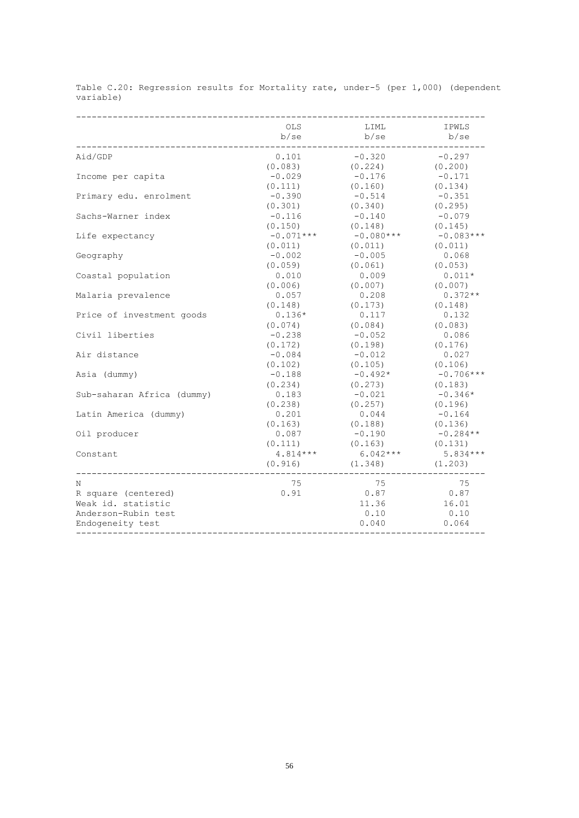|                            | OLS.        | LIML        | IPWLS       |
|----------------------------|-------------|-------------|-------------|
|                            | b/se        | b/se        | b/se        |
| Aid/GDP                    | 0.101       | $-0.320$    | $-0.297$    |
|                            | (0.083)     | (0.224)     | (0, 200)    |
| Income per capita          | $-0.029$    | $-0.176$    | $-0.171$    |
|                            | (0.111)     | (0.160)     | (0.134)     |
| Primary edu. enrolment     | $-0.390$    | $-0.514$    | $-0.351$    |
|                            | (0.301)     | (0.340)     | (0.295)     |
| Sachs-Warner index         | $-0.116$    | $-0.140$    | $-0.079$    |
|                            | (0.150)     | (0.148)     | (0.145)     |
| Life expectancy            | $-0.071***$ | $-0.080***$ | $-0.083***$ |
|                            | (0.011)     | (0.011)     | (0.011)     |
| Geography                  | $-0.002$    | $-0.005$    | 0.068       |
|                            | (0.059)     | (0.061)     | (0.053)     |
| Coastal population         | 0.010       | 0.009       | $0.011*$    |
|                            | (0.006)     | (0.007)     | (0.007)     |
| Malaria prevalence         | 0.057       | 0.208       | $0.372**$   |
|                            | (0.148)     | (0.173)     | (0.148)     |
| Price of investment goods  | $0.136*$    | 0.117       | 0.132       |
|                            | (0.074)     | (0.084)     | (0.083)     |
| Civil liberties            | $-0.238$    | $-0.052$    | 0.086       |
|                            | (0.172)     | (0.198)     | (0.176)     |
| Air distance               | $-0.084$    | $-0.012$    | 0.027       |
|                            | (0.102)     | (0.105)     | (0.106)     |
| Asia (dummy)               | $-0.188$    | $-0.492*$   | $-0.706***$ |
|                            | (0.234)     | (0.273)     | (0.183)     |
| Sub-saharan Africa (dummy) | 0.183       | $-0.021$    | $-0.346*$   |
|                            | (0.238)     | (0.257)     | (0.196)     |
| Latin America (dummy)      | 0.201       | 0.044       | $-0.164$    |
|                            | (0.163)     | (0.188)     | (0.136)     |
| Oil producer               | 0.087       | $-0.190$    | $-0.284**$  |
|                            | (0.111)     | (0.163)     | (0.131)     |
| Constant                   | $4.814***$  | $6.042***$  | $5.834***$  |
|                            | (0.916)     | (1.348)     | (1, 203)    |
| N                          | 75          | 75          | 75          |
| R square (centered)        | 0.91        | 0.87        | 0.87        |
| Weak id. statistic         |             | 11.36       | 16.01       |
| Anderson-Rubin test        |             | 0.10        | 0.10        |
| Endogeneity test           |             | 0.040       | 0.064       |
|                            |             |             |             |

Table C.20: Regression results for Mortality rate, under-5 (per 1,000) (dependent variable)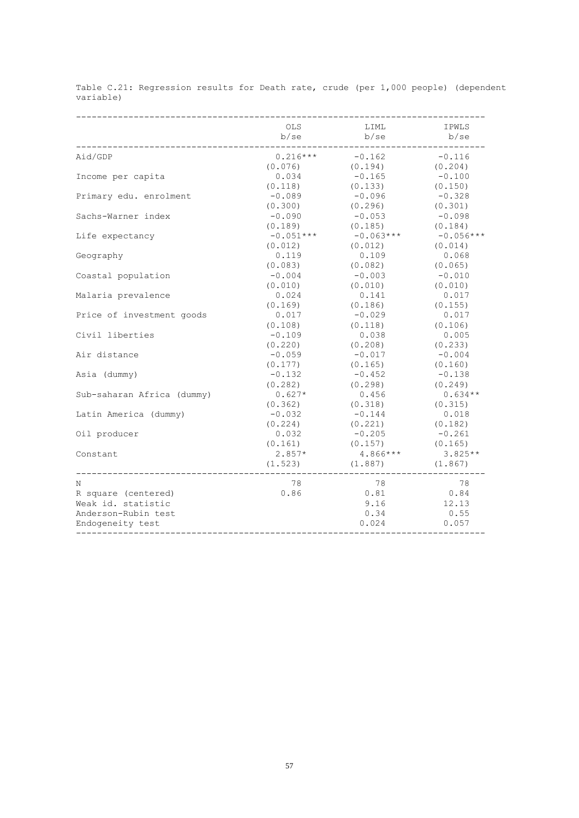|                            | <b>OLS</b>  | LIML        | IPWLS       |
|----------------------------|-------------|-------------|-------------|
|                            | b/sec       | b/sec       | b/se        |
| Aid/GDP                    | $0.216***$  | $-0.162$    | $-0.116$    |
|                            | (0.076)     | (0.194)     | (0.204)     |
| Income per capita          | 0.034       | $-0.165$    | $-0.100$    |
|                            | (0.118)     | (0.133)     | (0.150)     |
| Primary edu. enrolment     | $-0.089$    | $-0.096$    | $-0.328$    |
|                            | (0.300)     | (0.296)     | (0.301)     |
| Sachs-Warner index         | $-0.090$    | $-0.053$    | $-0.098$    |
|                            | (0.189)     | (0.185)     | (0.184)     |
| Life expectancy            | $-0.051***$ | $-0.063***$ | $-0.056***$ |
|                            | (0.012)     | (0.012)     | (0.014)     |
| Geography                  | 0.119       | 0.109       | 0.068       |
|                            | (0.083)     | (0.082)     | (0.065)     |
| Coastal population         | $-0.004$    | $-0.003$    | $-0.010$    |
|                            | (0.010)     | (0.010)     | (0.010)     |
| Malaria prevalence         | 0.024       | 0.141       | 0.017       |
|                            | (0.169)     | (0.186)     | (0.155)     |
| Price of investment goods  | 0.017       | $-0.029$    | 0.017       |
|                            | (0.108)     | (0.118)     | (0.106)     |
| Civil liberties            | $-0.109$    | 0.038       | 0.005       |
|                            | (0.220)     | (0.208)     | (0.233)     |
| Air distance               | $-0.059$    | $-0.017$    | $-0.004$    |
|                            | (0.177)     | (0.165)     | (0.160)     |
| Asia (dummy)               | $-0.132$    | $-0.452$    | $-0.138$    |
|                            | (0.282)     | (0.298)     | (0.249)     |
| Sub-saharan Africa (dummy) | $0.627*$    | 0.456       | $0.634**$   |
|                            | (0.362)     | (0.318)     | (0.315)     |
| Latin America (dummy)      | $-0.032$    | $-0.144$    | 0.018       |
|                            | (0.224)     | (0.221)     | (0.182)     |
| Oil producer               | 0.032       | $-0.205$    | $-0.261$    |
|                            | (0.161)     | (0.157)     | (0.165)     |
| Constant                   | $2.857*$    | $4.866***$  | $3.825**$   |
|                            | (1.523)     | (1.887)     | (1.867)     |
| N                          | 78          | 78          | 78          |
| R square (centered)        | 0.86        | 0.81        | 0.84        |
| Weak id. statistic         |             | 9.16        | 12.13       |
| Anderson-Rubin test        |             | 0.34        | 0.55        |
| Endogeneity test           |             | 0.024       | 0.057       |
|                            |             |             |             |

Table C.21: Regression results for Death rate, crude (per 1,000 people) (dependent variable)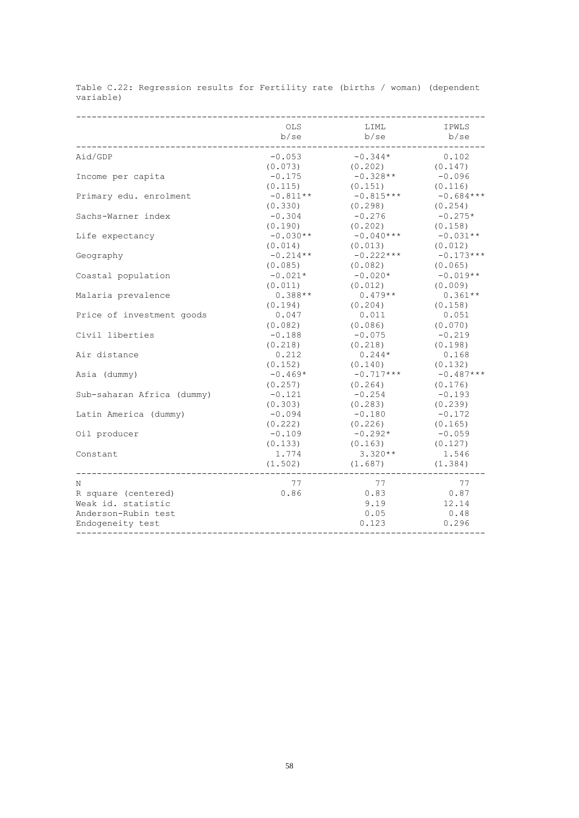|                            | OLS.       | LIML        | IPWLS       |
|----------------------------|------------|-------------|-------------|
|                            | b/se       | b/se        | b/se        |
| Aid/GDP                    | $-0.053$   | $-0.344*$   | 0.102       |
|                            | (0.073)    | (0, 202)    | (0.147)     |
| Income per capita          | $-0.175$   | $-0.328**$  | $-0.096$    |
|                            | (0.115)    | (0.151)     | (0.116)     |
| Primary edu. enrolment     | $-0.811**$ | $-0.815***$ | $-0.684***$ |
|                            | (0.330)    | (0.298)     | (0.254)     |
| Sachs-Warner index         | $-0.304$   | $-0.276$    | $-0.275*$   |
|                            | (0.190)    | (0.202)     | (0.158)     |
| Life expectancy            | $-0.030**$ | $-0.040***$ | $-0.031**$  |
|                            | (0.014)    | (0.013)     | (0.012)     |
| Geography                  | $-0.214**$ | $-0.222***$ | $-0.173***$ |
|                            | (0.085)    | (0.082)     | (0.065)     |
| Coastal population         | $-0.021*$  | $-0.020*$   | $-0.019**$  |
|                            | (0.011)    | (0.012)     | (0.009)     |
| Malaria prevalence         | $0.388**$  | $0.479**$   | $0.361**$   |
|                            | (0.194)    | (0.204)     | (0.158)     |
| Price of investment goods  | 0.047      | 0.011       | 0.051       |
|                            | (0.082)    | (0.086)     | (0.070)     |
| Civil liberties            | $-0.188$   | $-0.075$    | $-0.219$    |
|                            | (0.218)    | (0.218)     | (0.198)     |
| Air distance               | 0.212      | $0.244*$    | 0.168       |
|                            | (0.152)    | (0.140)     | (0.132)     |
| Asia (dummy)               | $-0.469*$  | $-0.717***$ | $-0.487***$ |
|                            | (0.257)    | (0.264)     | (0.176)     |
| Sub-saharan Africa (dummy) | $-0.121$   | $-0.254$    | $-0.193$    |
|                            | (0.303)    | (0, 283)    | (0.239)     |
| Latin America (dummy)      | $-0.094$   | $-0.180$    | $-0.172$    |
|                            | (0.222)    | (0.226)     | (0.165)     |
| Oil producer               | $-0.109$   | $-0.292*$   | $-0.059$    |
|                            | (0.133)    | (0.163)     | (0.127)     |
| Constant                   | 1.774      | $3.320**$   | 1.546       |
|                            | (1.502)    | (1.687)     | (1.384)     |
| N                          | 77         | 77          | 77          |
| R square (centered)        | 0.86       | 0.83        | 0.87        |
| Weak id. statistic         |            | 9.19        | 12.14       |
| Anderson-Rubin test        |            | 0.05        | 0.48        |
| Endogeneity test           |            | 0.123       | 0.296       |
|                            |            |             |             |

Table C.22: Regression results for Fertility rate (births / woman) (dependent variable)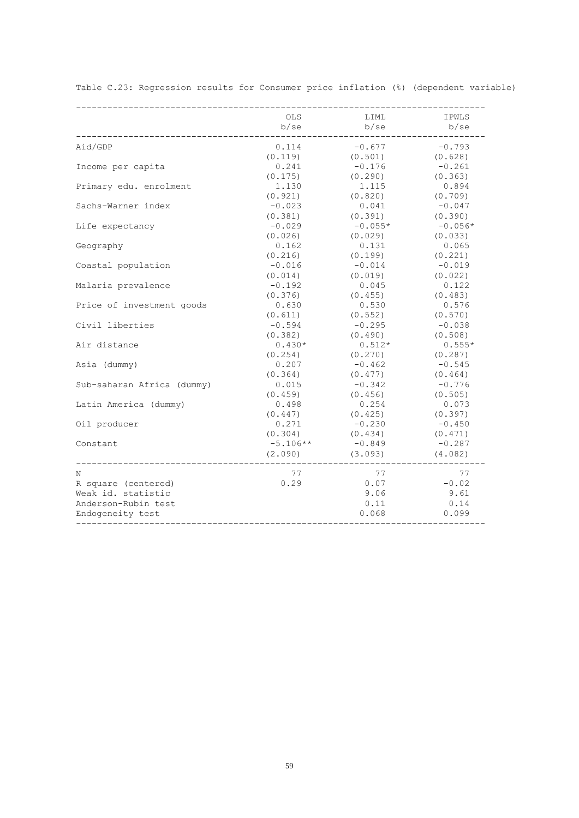|                            | OLS.       | LIML      | IPWLS     |
|----------------------------|------------|-----------|-----------|
|                            | b/sec      | b/sec     | b/se      |
| Aid/GDP                    | 0.114      | $-0.677$  | $-0.793$  |
|                            | (0.119)    | (0.501)   | (0.628)   |
| Income per capita          | 0.241      | $-0.176$  | $-0.261$  |
|                            | (0.175)    | (0.290)   | (0.363)   |
| Primary edu. enrolment     | 1.130      | 1.115     | 0.894     |
|                            | (0.921)    | (0.820)   | (0.709)   |
| Sachs-Warner index         | $-0.023$   | 0.041     | $-0.047$  |
|                            | (0.381)    | (0.391)   | (0.390)   |
| Life expectancy            | $-0.029$   | $-0.055*$ | $-0.056*$ |
|                            | (0.026)    | (0.029)   | (0.033)   |
| Geography                  | 0.162      | 0.131     | 0.065     |
|                            | (0.216)    | (0.199)   | (0.221)   |
| Coastal population         | $-0.016$   | $-0.014$  | $-0.019$  |
|                            | (0.014)    | (0.019)   | (0.022)   |
| Malaria prevalence         | $-0.192$   | 0.045     | 0.122     |
|                            | (0.376)    | (0.455)   | (0.483)   |
| Price of investment goods  | 0.630      | 0.530     | 0.576     |
|                            | (0.611)    | (0.552)   | (0.570)   |
| Civil liberties            | $-0.594$   | $-0.295$  | $-0.038$  |
|                            | (0.382)    | (0.490)   | (0.508)   |
| Air distance               | $0.430*$   | $0.512*$  | $0.555*$  |
|                            | (0.254)    | (0.270)   | (0.287)   |
| Asia (dummy)               | 0.207      | $-0.462$  | $-0.545$  |
|                            | (0.364)    | (0.477)   | (0.464)   |
| Sub-saharan Africa (dummy) | 0.015      | $-0.342$  | $-0.776$  |
|                            | (0.459)    | (0.456)   | (0.505)   |
| Latin America (dummy)      | 0.498      | 0.254     | 0.073     |
|                            | (0.447)    | (0.425)   | (0.397)   |
| Oil producer               | 0.271      | $-0.230$  | $-0.450$  |
|                            | (0.304)    | (0.434)   | (0.471)   |
| Constant                   | $-5.106**$ | $-0.849$  | $-0.287$  |
|                            | (2.090)    | (3.093)   | (4.082)   |
| Ν                          | 77         | 77        | 77        |
| R square (centered)        | 0.29       | 0.07      | $-0.02$   |
| Weak id. statistic         |            | 9.06      | 9.61      |
| Anderson-Rubin test        |            | 0.11      | 0.14      |
| Endogeneity test           |            | 0.068     | 0.099     |
|                            |            |           |           |

Table C.23: Regression results for Consumer price inflation (%) (dependent variable)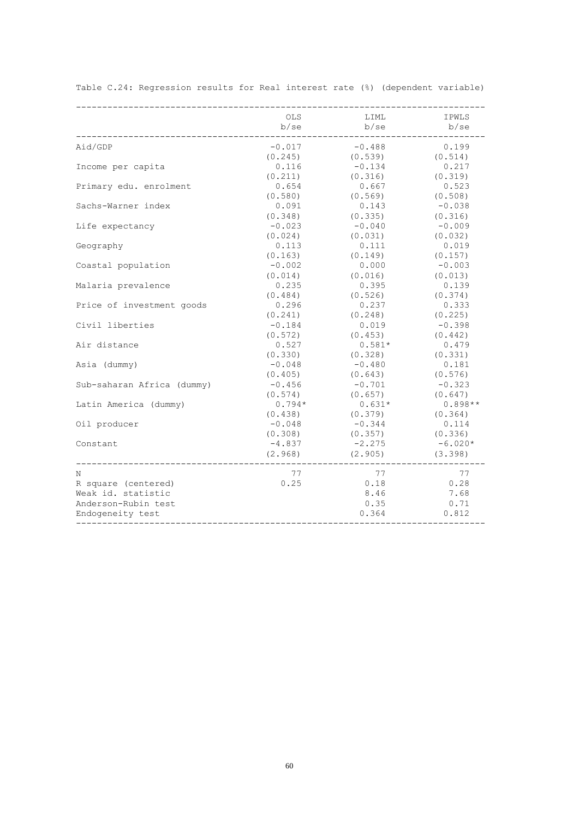|                            | OLS<br>b/sec | LIML<br>b/sec | IPWLS<br>b/se |
|----------------------------|--------------|---------------|---------------|
|                            |              |               |               |
| Aid/GDP                    | $-0.017$     | $-0.488$      | 0.199         |
|                            | (0.245)      | (0.539)       | (0.514)       |
| Income per capita          | 0.116        | $-0.134$      | 0.217         |
|                            | (0.211)      | (0.316)       | (0.319)       |
| Primary edu. enrolment     | 0.654        | 0.667         | 0.523         |
|                            | (0.580)      | (0.569)       | (0.508)       |
| Sachs-Warner index         | 0.091        | 0.143         | $-0.038$      |
|                            | (0.348)      | (0.335)       | (0.316)       |
| Life expectancy            | $-0.023$     | $-0.040$      | $-0.009$      |
|                            | (0.024)      | (0.031)       | (0.032)       |
| Geography                  | 0.113        | 0.111         | 0.019         |
|                            | (0.163)      | (0.149)       | (0.157)       |
| Coastal population         | $-0.002$     | 0.000         | $-0.003$      |
|                            | (0.014)      | (0.016)       | (0.013)       |
| Malaria prevalence         | 0.235        | 0.395         | 0.139         |
|                            | (0.484)      | (0.526)       | (0.374)       |
| Price of investment goods  | 0.296        | 0.237         | 0.333         |
|                            | (0.241)      | (0.248)       | (0.225)       |
| Civil liberties            | $-0.184$     | 0.019         | $-0.398$      |
|                            | (0.572)      | (0.453)       | (0.442)       |
| Air distance               | 0.527        | $0.581*$      | 0.479         |
|                            | (0.330)      | (0.328)       | (0.331)       |
| Asia (dummy)               | $-0.048$     | $-0.480$      | 0.181         |
|                            | (0.405)      | (0.643)       | (0.576)       |
| Sub-saharan Africa (dummy) | $-0.456$     | $-0.701$      | $-0.323$      |
|                            | (0.574)      | (0.657)       | (0.647)       |
| Latin America (dummy)      | $0.794*$     | $0.631*$      | $0.898**$     |
|                            | (0.438)      | (0.379)       | (0.364)       |
| Oil producer               | $-0.048$     | $-0.344$      | 0.114         |
|                            | (0.308)      | (0.357)       | (0.336)       |
| Constant                   | $-4.837$     | $-2, 275$     | $-6.020*$     |
|                            | (2.968)      | (2.905)       | (3.398)       |
| Ν                          | 77           | 77            | 77            |
| R square (centered)        | 0.25         | 0.18          | 0.28          |
| Weak id. statistic         |              | 8.46          | 7.68          |
| Anderson-Rubin test        |              | 0.35          | 0.71          |
| Endogeneity test           |              | 0.364         | 0.812         |
|                            |              |               |               |

Table C.24: Regression results for Real interest rate (%) (dependent variable)